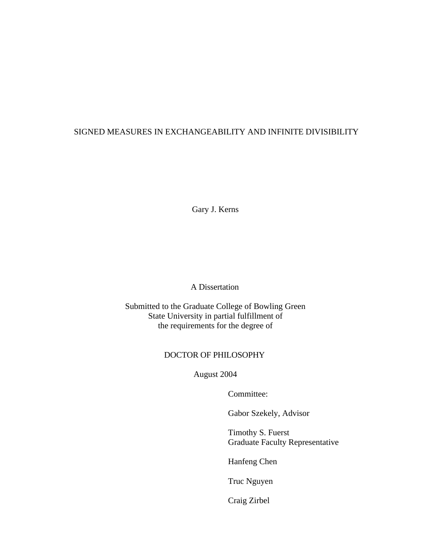# SIGNED MEASURES IN EXCHANGEABILITY AND INFINITE DIVISIBILITY

Gary J. Kerns

A Dissertation

Submitted to the Graduate College of Bowling Green State University in partial fulfillment of the requirements for the degree of

## DOCTOR OF PHILOSOPHY

August 2004

Committee:

Gabor Szekely, Advisor

Timothy S. Fuerst Graduate Faculty Representative

Hanfeng Chen

Truc Nguyen

Craig Zirbel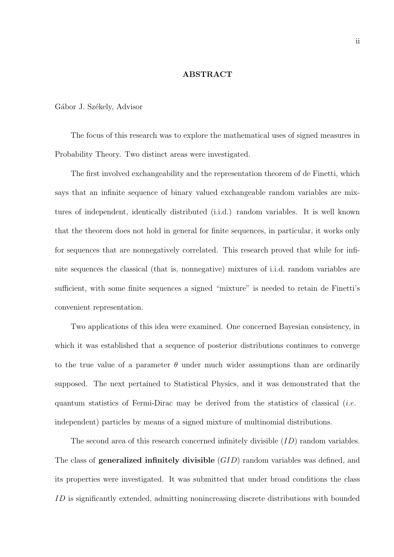#### ABSTRACT

#### Gábor J. Székely, Advisor

The focus of this research was to explore the mathematical uses of signed measures in Probability Theory. Two distinct areas were investigated.

The first involved exchangeability and the representation theorem of de Finetti, which says that an infinite sequence of binary valued exchangeable random variables are mixtures of independent, identically distributed (i.i.d.) random variables. It is well known that the theorem does not hold in general for finite sequences, in particular, it works only for sequences that are nonnegatively correlated. This research proved that while for infinite sequences the classical (that is, nonnegative) mixtures of i.i.d. random variables are sufficient, with some finite sequences a signed "mixture" is needed to retain de Finetti's convenient representation.

Two applications of this idea were examined. One concerned Bayesian consistency, in which it was established that a sequence of posterior distributions continues to converge to the true value of a parameter  $\theta$  under much wider assumptions than are ordinarily supposed. The next pertained to Statistical Physics, and it was demonstrated that the quantum statistics of Fermi-Dirac may be derived from the statistics of classical (i.e. independent) particles by means of a signed mixture of multinomial distributions.

The second area of this research concerned infinitely divisible  $(ID)$  random variables. The class of **generalized infinitely divisible**  $(GID)$  random variables was defined, and its properties were investigated. It was submitted that under broad conditions the class ID is significantly extended, admitting nonincreasing discrete distributions with bounded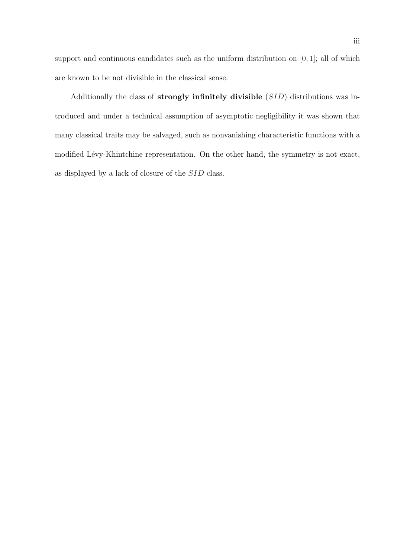support and continuous candidates such as the uniform distribution on  $[0, 1]$ ; all of which are known to be not divisible in the classical sense.

Additionally the class of strongly infinitely divisible (SID) distributions was introduced and under a technical assumption of asymptotic negligibility it was shown that many classical traits may be salvaged, such as nonvanishing characteristic functions with a modified Lévy-Khintchine representation. On the other hand, the symmetry is not exact, as displayed by a lack of closure of the  $SID$  class.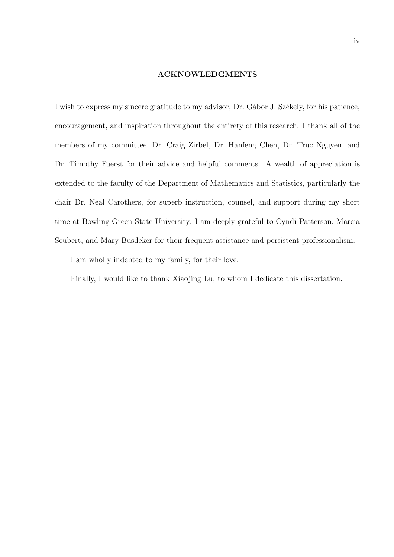#### ACKNOWLEDGMENTS

I wish to express my sincere gratitude to my advisor, Dr. Gábor J. Székely, for his patience, encouragement, and inspiration throughout the entirety of this research. I thank all of the members of my committee, Dr. Craig Zirbel, Dr. Hanfeng Chen, Dr. Truc Nguyen, and Dr. Timothy Fuerst for their advice and helpful comments. A wealth of appreciation is extended to the faculty of the Department of Mathematics and Statistics, particularly the chair Dr. Neal Carothers, for superb instruction, counsel, and support during my short time at Bowling Green State University. I am deeply grateful to Cyndi Patterson, Marcia Seubert, and Mary Busdeker for their frequent assistance and persistent professionalism.

I am wholly indebted to my family, for their love.

Finally, I would like to thank Xiaojing Lu, to whom I dedicate this dissertation.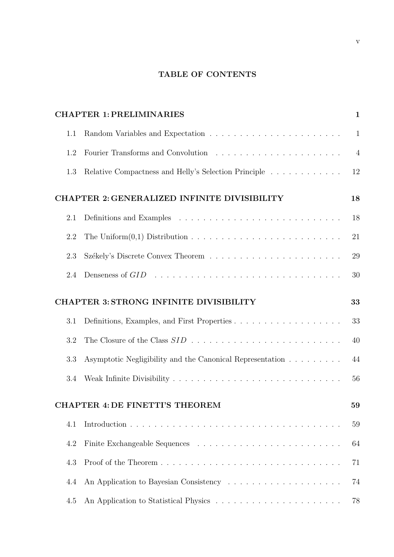# TABLE OF CONTENTS

|     | <b>CHAPTER 1: PRELIMINARIES</b>                                                            | $\mathbf{1}$   |
|-----|--------------------------------------------------------------------------------------------|----------------|
| 1.1 | Random Variables and Expectation $\ldots \ldots \ldots \ldots \ldots \ldots \ldots \ldots$ | $\mathbf{1}$   |
| 1.2 |                                                                                            | $\overline{4}$ |
| 1.3 | Relative Compactness and Helly's Selection Principle                                       | 12             |
|     | <b>CHAPTER 2: GENERALIZED INFINITE DIVISIBILITY</b>                                        | 18             |
| 2.1 |                                                                                            | 18             |
| 2.2 |                                                                                            | 21             |
| 2.3 |                                                                                            | 29             |
| 2.4 |                                                                                            | 30             |
|     | <b>CHAPTER 3: STRONG INFINITE DIVISIBILITY</b>                                             | 33             |
|     |                                                                                            |                |
| 3.1 |                                                                                            | 33             |
| 3.2 |                                                                                            | 40             |
| 3.3 | Asymptotic Negligibility and the Canonical Representation                                  | 44             |
| 3.4 |                                                                                            | 56             |
|     | CHAPTER 4: DE FINETTI'S THEOREM                                                            | 59             |
| 4.1 |                                                                                            | 59             |
| 4.2 |                                                                                            | 64             |
| 4.3 |                                                                                            | 71             |
| 4.4 |                                                                                            | 74             |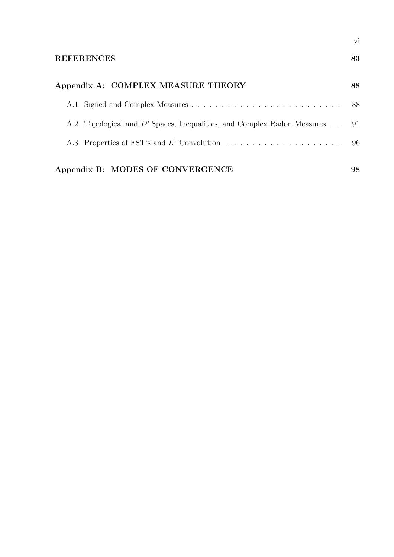| Appendix A: COMPLEX MEASURE THEORY                                                       | 88 |
|------------------------------------------------------------------------------------------|----|
|                                                                                          |    |
| A.2 Topological and L <sup>p</sup> Spaces, Inequalities, and Complex Radon Measures . 91 |    |
|                                                                                          |    |
| Appendix B: MODES OF CONVERGENCE                                                         | 98 |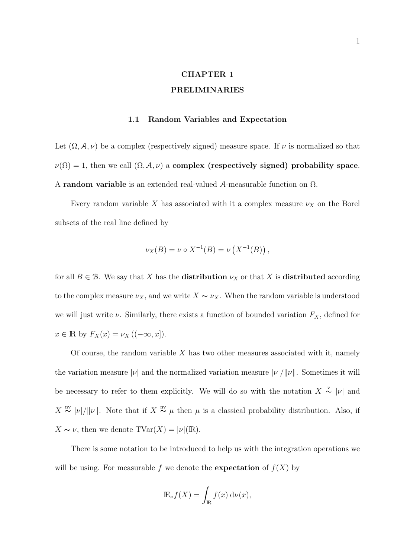# CHAPTER 1 PRELIMINARIES

### 1.1 Random Variables and Expectation

Let  $(\Omega, \mathcal{A}, \nu)$  be a complex (respectively signed) measure space. If  $\nu$  is normalized so that  $\nu(\Omega) = 1$ , then we call  $(\Omega, \mathcal{A}, \nu)$  a complex (respectively signed) probability space. A random variable is an extended real-valued A-measurable function on Ω.

Every random variable X has associated with it a complex measure  $\nu_X$  on the Borel subsets of the real line defined by

$$
\nu_X(B) = \nu \circ X^{-1}(B) = \nu(X^{-1}(B)),
$$

for all  $B \in \mathcal{B}$ . We say that X has the **distribution**  $\nu_X$  or that X is **distributed** according to the complex measure  $\nu_X$ , and we write  $X \sim \nu_X$ . When the random variable is understood we will just write  $\nu$ . Similarly, there exists a function of bounded variation  $F_X$ , defined for  $x \in \mathbb{R}$  by  $F_X(x) = \nu_X ((-\infty, x]).$ 

Of course, the random variable  $X$  has two other measures associated with it, namely the variation measure  $|\nu|$  and the normalized variation measure  $|\nu|/||\nu||$ . Sometimes it will be necessary to refer to them explicitly. We will do so with the notation  $X \overset{v}{\sim} |v|$  and  $X \stackrel{\text{nv}}{\sim} |\nu|/||\nu||$ . Note that if  $X \stackrel{\text{nv}}{\sim} \mu$  then  $\mu$  is a classical probability distribution. Also, if  $X \sim \nu$ , then we denote  $\text{TVar}(X) = |\nu|(\text{I\!R}).$ 

There is some notation to be introduced to help us with the integration operations we will be using. For measurable f we denote the **expectation** of  $f(X)$  by

$$
\mathbb{E}_{\nu}f(X) = \int_{\mathbb{R}} f(x) d\nu(x),
$$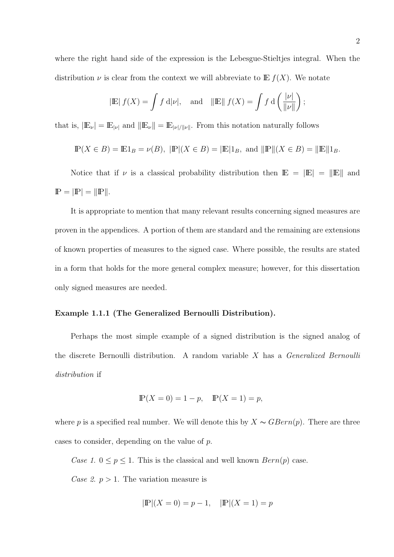where the right hand side of the expression is the Lebesgue-Stieltjes integral. When the distribution  $\nu$  is clear from the context we will abbreviate to  $E f(X)$ . We notate

$$
|\mathbb{E}| f(X) = \int f d|\nu|
$$
, and  $||\mathbb{E}|| f(X) = \int f d\left(\frac{|\nu|}{\|\nu\|}\right)$ ;

that is,  $|\mathbb{E}_{\nu}| = \mathbb{E}_{|\nu|}$  and  $||\mathbb{E}_{\nu}|| = \mathbb{E}_{|\nu|/||\nu||}$ . From this notation naturally follows

$$
\mathbb{P}(X \in B) = \mathbb{E}1_B = \nu(B), \ |\mathbb{P}|(X \in B) = |\mathbb{E}|1_B, \text{ and } \|\mathbb{P}\|(X \in B) = \|\mathbb{E}\|1_B.
$$

Notice that if  $\nu$  is a classical probability distribution then  $\mathbb{E} = |\mathbb{E}| = ||\mathbb{E}||$  and  $\mathbb{P} = |\mathbb{P}| = ||\mathbb{P}||.$ 

It is appropriate to mention that many relevant results concerning signed measures are proven in the appendices. A portion of them are standard and the remaining are extensions of known properties of measures to the signed case. Where possible, the results are stated in a form that holds for the more general complex measure; however, for this dissertation only signed measures are needed.

#### Example 1.1.1 (The Generalized Bernoulli Distribution).

Perhaps the most simple example of a signed distribution is the signed analog of the discrete Bernoulli distribution. A random variable  $X$  has a *Generalized Bernoulli* distribution if

$$
\mathbb{P}(X = 0) = 1 - p, \quad \mathbb{P}(X = 1) = p,
$$

where p is a specified real number. We will denote this by  $X \sim GBern(p)$ . There are three cases to consider, depending on the value of p.

Case 1.  $0 \le p \le 1$ . This is the classical and well known  $Bern(p)$  case.

Case 2.  $p > 1$ . The variation measure is

$$
|\mathbb{P}|(X=0) = p-1, \quad |\mathbb{P}|(X=1) = p
$$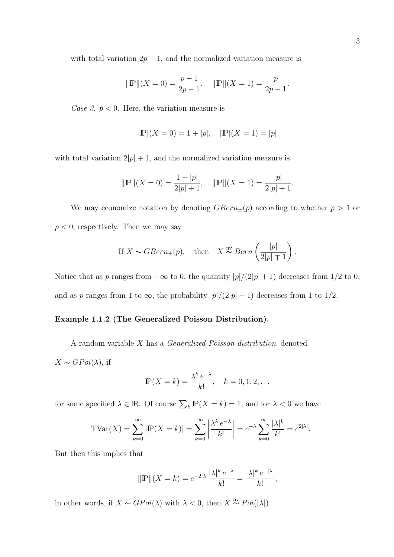with total variation  $2p - 1$ , and the normalized variation measure is

$$
\|\mathbb{P}\|(X=0) = \frac{p-1}{2p-1}, \quad \|\mathbb{P}\|(X=1) = \frac{p}{2p-1}.
$$

Case 3.  $p < 0$ . Here, the variation measure is

$$
|\mathbb{P}|(X=0) = 1 + |p|, \quad |\mathbb{P}|(X=1) = |p|
$$

with total variation  $2|p| + 1$ , and the normalized variation measure is

$$
\|\mathbb{P}\|(X=0) = \frac{1+|p|}{2|p|+1}, \quad \|\mathbb{P}\|(X=1) = \frac{|p|}{2|p|+1}.
$$

We may economize notation by denoting  $GBern_{\pm}(p)$  according to whether  $p > 1$  or  $p < 0$ , respectively. Then we may say

If 
$$
X \sim GBern_{\pm}(p)
$$
, then  $X \stackrel{\text{nv}}{\sim} Bern\left(\frac{|p|}{2|p| \mp 1}\right)$ .

Notice that as p ranges from  $-\infty$  to 0, the quantity  $|p|/(2|p|+1)$  decreases from 1/2 to 0, and as p ranges from 1 to  $\infty$ , the probability  $|p|/(2|p|-1)$  decreases from 1 to 1/2.

### Example 1.1.2 (The Generalized Poisson Distribution).

A random variable X has a Generalized Poisson distribution, denoted  $X \sim G P o i(\lambda)$ , if

$$
\mathbb{P}(X=k) = \frac{\lambda^k e^{-\lambda}}{k!}, \quad k = 0, 1, 2, \dots
$$

for some specified  $\lambda \in \mathbb{R}$ . Of course  $\sum_{k} \mathbb{P}(X = k) = 1$ , and for  $\lambda < 0$  we have

$$
\text{TVar}(X) = \sum_{k=0}^{\infty} |\mathbb{P}(X=k)| = \sum_{k=0}^{\infty} \left| \frac{\lambda^k \, e^{-\lambda}}{k!} \right| = e^{-\lambda} \sum_{k=0}^{\infty} \frac{|\lambda|^k}{k!} = e^{2|\lambda|}.
$$

But then this implies that

$$
\|\mathbb{P}\|(X = k) = e^{-2|\lambda|} \frac{|\lambda|^k e^{-\lambda}}{k!} = \frac{|\lambda|^k e^{-|\lambda|}}{k!},
$$

in other words, if  $X \sim GPoi(\lambda)$  with  $\lambda < 0$ , then  $X \stackrel{\text{nv}}{\sim} Poi(|\lambda|)$ .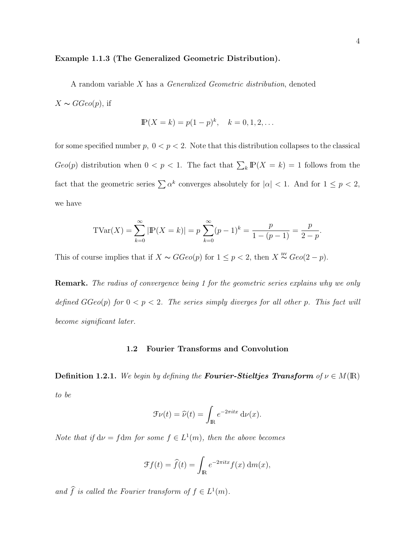#### Example 1.1.3 (The Generalized Geometric Distribution).

A random variable X has a Generalized Geometric distribution, denoted

 $X \sim GGeo(p),$  if

$$
\mathbb{P}(X = k) = p(1 - p)^k, \quad k = 0, 1, 2, \dots
$$

for some specified number  $p, 0 < p < 2$ . Note that this distribution collapses to the classical  $Geo(p)$  distribution when  $0 < p < 1$ . The fact that  $\sum_{k} \mathbb{P}(X = k) = 1$  follows from the fact that the geometric series  $\sum \alpha^k$  converges absolutely for  $|\alpha| < 1$ . And for  $1 \le p < 2$ , we have

$$
TVar(X) = \sum_{k=0}^{\infty} |P(X = k)| = p \sum_{k=0}^{\infty} (p-1)^k = \frac{p}{1 - (p-1)} = \frac{p}{2 - p}.
$$

This of course implies that if  $X \sim GGeo(p)$  for  $1 \leq p < 2$ , then  $X \stackrel{\text{nv}}{\sim} Geo(2-p)$ .

Remark. The radius of convergence being 1 for the geometric series explains why we only defined  $GGeo(p)$  for  $0 < p < 2$ . The series simply diverges for all other p. This fact will become significant later.

## 1.2 Fourier Transforms and Convolution

**Definition 1.2.1.** We begin by defining the **Fourier-Stieltjes Transform** of  $\nu \in M(\mathbb{R})$ to be

$$
\mathcal{F}\nu(t) = \widehat{\nu}(t) = \int_{\mathbb{R}} e^{-2\pi itx} \, \mathrm{d}\nu(x).
$$

Note that if  $d\nu = f dm$  for some  $f \in L^1(m)$ , then the above becomes

$$
\mathcal{F}f(t) = \hat{f}(t) = \int_{\mathbb{R}} e^{-2\pi itx} f(x) \, dm(x),
$$

and  $\hat{f}$  is called the Fourier transform of  $f \in L^1(m)$ .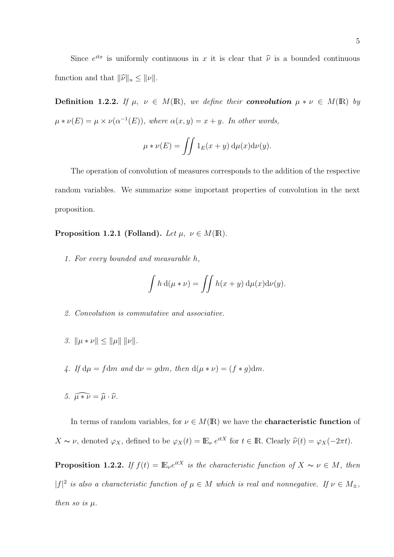Since  $e^{itx}$  is uniformly continuous in x it is clear that  $\hat{\nu}$  is a bounded continuous function and that  $\|\widehat{\nu}\|_u \leq \|\nu\|$ .

Definition 1.2.2. If  $\mu$ ,  $\nu \in M(\mathbb{R})$ , we define their convolution  $\mu * \nu \in M(\mathbb{R})$  by  $\mu * \nu(E) = \mu \times \nu(\alpha^{-1}(E)),$  where  $\alpha(x, y) = x + y$ . In other words,

$$
\mu * \nu(E) = \iint 1_E(x+y) \, d\mu(x) d\nu(y).
$$

The operation of convolution of measures corresponds to the addition of the respective random variables. We summarize some important properties of convolution in the next proposition.

Proposition 1.2.1 (Folland). Let  $\mu, \nu \in M(\mathbb{R})$ .

1. For every bounded and measurable h,

$$
\int h \, d(\mu * \nu) = \iint h(x + y) \, d\mu(x) d\nu(y).
$$

- 2. Convolution is commutative and associative.
- 3.  $\|\mu * \nu\| < \|\mu\| \|\nu\|.$
- 4. If  $d\mu = f dm$  and  $d\nu = g dm$ , then  $d(\mu * \nu) = (f * g) dm$ .
- 5.  $\widehat{\mu * \nu} = \widehat{\mu} \cdot \widehat{\nu}$ .

In terms of random variables, for  $\nu \in M(\mathbb{R})$  we have the **characteristic function** of  $X \sim \nu$ , denoted  $\varphi_X$ , defined to be  $\varphi_X(t) = \mathbb{E}_{\nu} e^{itX}$  for  $t \in \mathbb{R}$ . Clearly  $\widehat{\nu}(t) = \varphi_X(-2\pi t)$ .

**Proposition 1.2.2.** If  $f(t) = \mathbb{E}_{\nu} e^{itX}$  is the characteristic function of  $X \sim \nu \in M$ , then | $|f|^2$  is also a characteristic function of  $\mu \in M$  which is real and nonnegative. If  $\nu \in M_{\pm}$ , then so is  $\mu$ .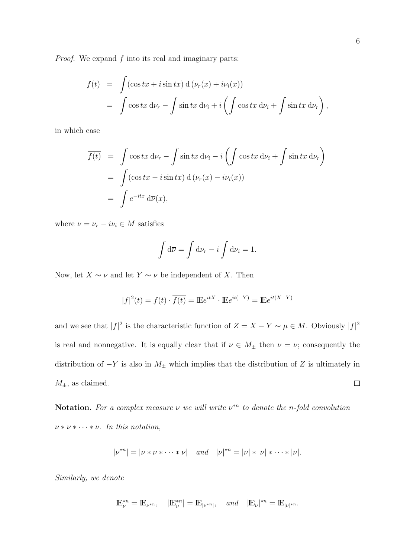*Proof.* We expand  $f$  into its real and imaginary parts:

$$
f(t) = \int (\cos tx + i \sin tx) d(\nu_r(x) + i\nu_i(x))
$$
  
= 
$$
\int \cos tx d\nu_r - \int \sin tx d\nu_i + i \left( \int \cos tx d\nu_i + \int \sin tx d\nu_r \right)
$$

in which case

$$
\overline{f(t)} = \int \cos tx \, d\nu_r - \int \sin tx \, d\nu_i - i \left( \int \cos tx \, d\nu_i + \int \sin tx \, d\nu_r \right)
$$
  
= 
$$
\int (\cos tx - i \sin tx) \, d(\nu_r(x) - i\nu_i(x))
$$
  
= 
$$
\int e^{-itx} \, d\overline{\nu}(x),
$$

where  $\overline{\nu} = \nu_r - i\nu_i \in M$  satisfies

$$
\int d\overline{\nu} = \int d\nu_r - i \int d\nu_i = 1.
$$

Now, let  $X \sim \nu$  and let  $Y \sim \overline{\nu}$  be independent of X. Then

$$
|f|^2(t) = f(t) \cdot \overline{f(t)} = \mathbb{E}e^{itX} \cdot \mathbb{E}e^{it(-Y)} = \mathbb{E}e^{it(X-Y)}
$$

and we see that  $|f|^2$  is the characteristic function of  $Z = X - Y \sim \mu \in M$ . Obviously  $|f|^2$ is real and nonnegative. It is equally clear that if  $\nu \in M_{\pm}$  then  $\nu = \overline{\nu}$ ; consequently the distribution of  $-Y$  is also in  $M_{\pm}$  which implies that the distribution of Z is ultimately in  $M_{\pm}$ , as claimed.  $\Box$ 

**Notation.** For a complex measure  $\nu$  we will write  $\nu^{*n}$  to denote the n-fold convolution  $\nu * \nu * \cdots * \nu$ . In this notation,

$$
|\nu^{*n}| = |\nu * \nu * \cdots * \nu| \quad and \quad |\nu|^{*n} = |\nu| * |\nu| * \cdots * |\nu|.
$$

Similarly, we denote

$$
\mathbb{E}_{\nu}^{*n}=\mathbb{E}_{\nu^{*n}},\quad |\mathbb{E}_{\nu}^{*n}|=\mathbb{E}_{|\nu^{*n}|},\quad \text{and}\quad |\mathbb{E}_{\nu}|^{*n}=\mathbb{E}_{|\nu|^{*n}}.
$$

,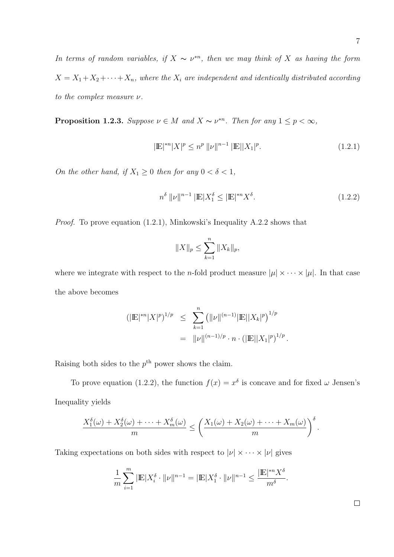In terms of random variables, if  $X \sim \nu^{n}$ , then we may think of X as having the form  $X = X_1 + X_2 + \cdots + X_n$ , where the  $X_i$  are independent and identically distributed according to the complex measure  $\nu$ .

**Proposition 1.2.3.** Suppose  $\nu \in M$  and  $X \sim \nu^{*n}$ . Then for any  $1 \leq p < \infty$ ,

$$
|\mathbb{E}|^{*n}|X|^p \le n^p \, \|\nu\|^{n-1} \, |\mathbb{E}||X_1|^p. \tag{1.2.1}
$$

On the other hand, if  $X_1 \geq 0$  then for any  $0 < \delta < 1$ ,

$$
n^{\delta} \, \| \nu \|^{n-1} \, |\mathbb{E}| X_1^{\delta} \le |\mathbb{E}|^{n} X^{\delta}.
$$
\n(1.2.2)

Proof. To prove equation (1.2.1), Minkowski's Inequality A.2.2 shows that

$$
||X||_p \le \sum_{k=1}^n ||X_k||_p,
$$

where we integrate with respect to the *n*-fold product measure  $|\mu| \times \cdots \times |\mu|$ . In that case the above becomes

$$
(|\mathbb{E}|^{*n}|X|^p)^{1/p} \leq \sum_{k=1}^n (||\nu||^{(n-1)}|\mathbb{E}||X_k|^p)^{1/p}
$$
  
=  $||\nu||^{(n-1)/p} \cdot n \cdot (|\mathbb{E}||X_1|^p)^{1/p}.$ 

Raising both sides to the  $p<sup>th</sup>$  power shows the claim.

To prove equation (1.2.2), the function  $f(x) = x^{\delta}$  is concave and for fixed  $\omega$  Jensen's Inequality yields

$$
\frac{X_1^{\delta}(\omega)+X_2^{\delta}(\omega)+\cdots+X_m^{\delta}(\omega)}{m}\leq \left(\frac{X_1(\omega)+X_2(\omega)+\cdots+X_m(\omega)}{m}\right)^{\delta}.
$$

Taking expectations on both sides with respect to  $|\nu| \times \cdots \times |\nu|$  gives

$$
\frac{1}{m}\sum_{i=1}^{m}|\mathbb{E}|X_i^{\delta}\cdot\|\nu\|^{n-1} = |\mathbb{E}|X_1^{\delta}\cdot\|\nu\|^{n-1} \le \frac{|\mathbb{E}|^{*n}X^{\delta}}{m^{\delta}}.
$$

 $\Box$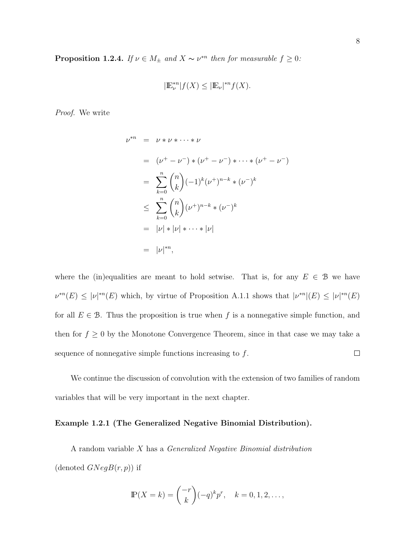**Proposition 1.2.4.** If  $\nu \in M_{\pm}$  and  $X \sim \nu^{*n}$  then for measurable  $f \geq 0$ :

$$
|\mathbb{E}_{\nu}^{*n}|f(X) \leq |\mathbb{E}_{\nu}|^{*n}f(X).
$$

Proof. We write

$$
\nu^{*n} = \nu * \nu * \cdots * \nu
$$
  
=  $(\nu^{+} - \nu^{-}) * (\nu^{+} - \nu^{-}) * \cdots * (\nu^{+} - \nu^{-})$   
=  $\sum_{k=0}^{n} {n \choose k} (-1)^{k} (\nu^{+})^{n-k} * (\nu^{-})^{k}$   
 $\leq \sum_{k=0}^{n} {n \choose k} (\nu^{+})^{n-k} * (\nu^{-})^{k}$   
=  $|\nu| * |\nu| * \cdots * |\nu|$   
=  $|\nu|^{*n}$ ,

where the (in)equalities are meant to hold setwise. That is, for any  $E \in \mathcal{B}$  we have  $\nu^{*n}(E) \leq |\nu|^{*n}(E)$  which, by virtue of Proposition A.1.1 shows that  $|\nu^{*n}|(E) \leq |\nu|^{*n}(E)$ for all  $E \in \mathcal{B}$ . Thus the proposition is true when f is a nonnegative simple function, and then for  $f \geq 0$  by the Monotone Convergence Theorem, since in that case we may take a  $\Box$ sequence of nonnegative simple functions increasing to  $f$ .

We continue the discussion of convolution with the extension of two families of random variables that will be very important in the next chapter.

## Example 1.2.1 (The Generalized Negative Binomial Distribution).

A random variable X has a Generalized Negative Binomial distribution (denoted  $GNegB(r, p)$ ) if

$$
\mathbb{P}(X = k) = \binom{-r}{k} (-q)^k p^r, \quad k = 0, 1, 2, \dots,
$$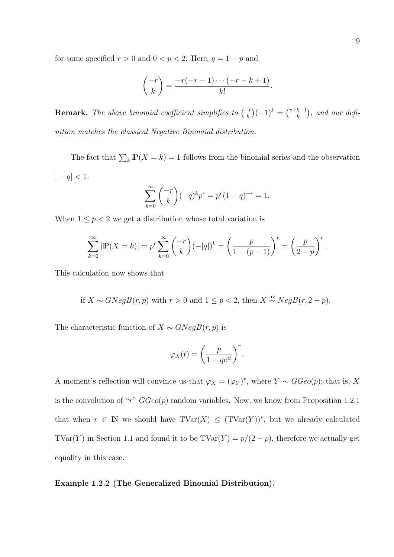for some specified  $r > 0$  and  $0 < p < 2$ . Here,  $q = 1 - p$  and

$$
\binom{-r}{k} = \frac{-r(-r-1)\cdots(-r-k+1)}{k!}.
$$

**Remark.** The above binomial coefficient simplifies to  $\binom{-r}{k}$ ¢  $(-1)^k =$  $(r+k-1)$ k ¢ , and our definition matches the classical Negative Binomial distribution.

The fact that  $\sum_{k} \mathbb{P}(X = k) = 1$  follows from the binomial series and the observation  $\vert -q\vert <1:$ 

$$
\sum_{k=0}^{\infty} \binom{-r}{k} (-q)^k p^r = p^r (1-q)^{-r} = 1.
$$

When  $1 \leq p < 2$  we get a distribution whose total variation is

$$
\sum_{k=0}^{\infty} |\mathbb{P}(X = k)| = p^r \sum_{k=0}^{\infty} {\binom{-r}{k}} (-|q|)^k = \left(\frac{p}{1 - (p-1)}\right)^r = \left(\frac{p}{2-p}\right)^r.
$$

This calculation now shows that

if 
$$
X \sim GNegB(r, p)
$$
 with  $r > 0$  and  $1 \le p < 2$ , then  $X \stackrel{\text{nv}}{\sim} NegB(r, 2 - p)$ .

The characteristic function of  $X \sim GNegB(r, p)$  is

$$
\varphi_X(t) = \left(\frac{p}{1 - q e^{it}}\right)^r.
$$

A moment's reflection will convince us that  $\varphi_X = (\varphi_Y)^r$ , where  $Y \sim GGeo(p)$ ; that is, X is the convolution of "r"  $GGeo(p)$  random variables. Now, we know from Proposition 1.2.1 that when  $r \in \mathbb{N}$  we should have  $\text{TVar}(X) \leq (\text{TVar}(Y))^r$ , but we already calculated TVar(Y) in Section 1.1 and found it to be  $\text{TVar}(Y) = p/(2 - p)$ , therefore we actually get equality in this case.

## Example 1.2.2 (The Generalized Binomial Distribution).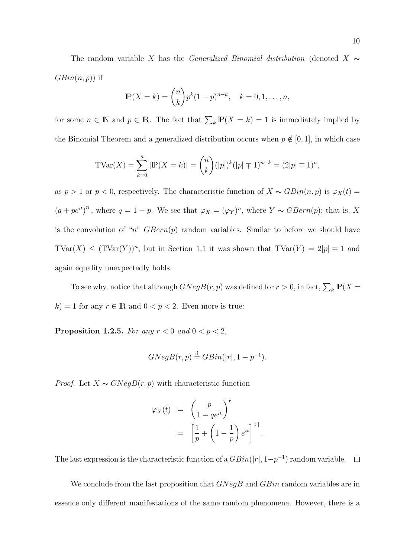The random variable X has the Generalized Binomial distribution (denoted X  $\sim$  $GBin(n, p)$  if

$$
\mathbb{P}(X = k) = \binom{n}{k} p^{k} (1-p)^{n-k}, \quad k = 0, 1, \dots, n,
$$

for some  $n \in \mathbb{N}$  and  $p \in \mathbb{R}$ . The fact that  $\sum_{k} \mathbb{P}(X = k) = 1$  is immediately implied by the Binomial Theorem and a generalized distribution occurs when  $p \notin [0, 1]$ , in which case

$$
TVar(X) = \sum_{k=0}^{n} |P(X = k)| = {n \choose k} (|p|)^k (|p| \mp 1)^{n-k} = (2|p| \mp 1)^n,
$$

as  $p > 1$  or  $p < 0$ , respectively. The characteristic function of  $X \sim GBin(n, p)$  is  $\varphi_X(t) =$  $(q + pe^{it})^n$ , where  $q = 1 - p$ . We see that  $\varphi_X = (\varphi_Y)^n$ , where  $Y \sim GBern(p)$ ; that is, X is the convolution of "n"  $GBern(p)$  random variables. Similar to before we should have  $\text{TVar}(X) \leq (\text{TVar}(Y))^n$ , but in Section 1.1 it was shown that  $\text{TVar}(Y) = 2|p| \mp 1$  and again equality unexpectedly holds.

To see why, notice that although  $GNegB(r, p)$  was defined for  $r > 0$ , in fact,  $\sum_{k} \mathbb{P}(X =$  $k$ ) = 1 for any  $r \in \mathbb{R}$  and  $0 < p < 2$ . Even more is true:

**Proposition 1.2.5.** For any  $r < 0$  and  $0 < p < 2$ ,

$$
GNegB(r,p) \stackrel{\text{d}}{=} GBin(|r|, 1-p^{-1}).
$$

*Proof.* Let  $X \sim GNegB(r, p)$  with characteristic function

$$
\varphi_X(t) = \left(\frac{p}{1 - q e^{it}}\right)^r
$$

$$
= \left[\frac{1}{p} + \left(1 - \frac{1}{p}\right)e^{it}\right]^{r}
$$

.

The last expression is the characteristic function of a  $GBin(|r|, 1-p^{-1})$  random variable.  $\Box$ 

We conclude from the last proposition that  $GNeqB$  and  $GBin$  random variables are in essence only different manifestations of the same random phenomena. However, there is a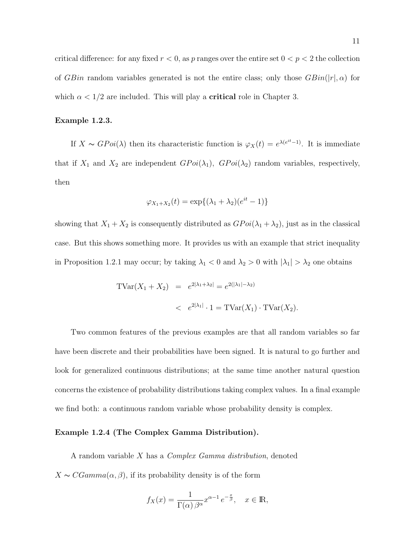critical difference: for any fixed  $r < 0$ , as p ranges over the entire set  $0 < p < 2$  the collection of GBin random variables generated is not the entire class; only those  $GBin(|r|, \alpha)$  for which  $\alpha < 1/2$  are included. This will play a **critical** role in Chapter 3.

## Example 1.2.3.

If  $X \sim G Poi(\lambda)$  then its characteristic function is  $\varphi_X(t) = e^{\lambda(e^{it}-1)}$ . It is immediate that if  $X_1$  and  $X_2$  are independent  $GPoi(\lambda_1)$ ,  $GPoi(\lambda_2)$  random variables, respectively, then

$$
\varphi_{X_1+X_2}(t) = \exp\{(\lambda_1 + \lambda_2)(e^{it} - 1)\}\
$$

showing that  $X_1 + X_2$  is consequently distributed as  $GPoi(\lambda_1 + \lambda_2)$ , just as in the classical case. But this shows something more. It provides us with an example that strict inequality in Proposition 1.2.1 may occur; by taking  $\lambda_1 < 0$  and  $\lambda_2 > 0$  with  $|\lambda_1| > \lambda_2$  one obtains

$$
TVar(X_1 + X_2) = e^{2|\lambda_1 + \lambda_2|} = e^{2(|\lambda_1| - \lambda_2)} < e^{2|\lambda_1|} \cdot 1 = TVar(X_1) \cdot TVar(X_2).
$$

Two common features of the previous examples are that all random variables so far have been discrete and their probabilities have been signed. It is natural to go further and look for generalized continuous distributions; at the same time another natural question concerns the existence of probability distributions taking complex values. In a final example we find both: a continuous random variable whose probability density is complex.

#### Example 1.2.4 (The Complex Gamma Distribution).

A random variable X has a Complex Gamma distribution, denoted  $X \sim CGamma(\alpha, \beta)$ , if its probability density is of the form

$$
f_X(x) = \frac{1}{\Gamma(\alpha)\,\beta^{\alpha}} x^{\alpha - 1} \, e^{-\frac{x}{\beta}}, \quad x \in \mathbb{R},
$$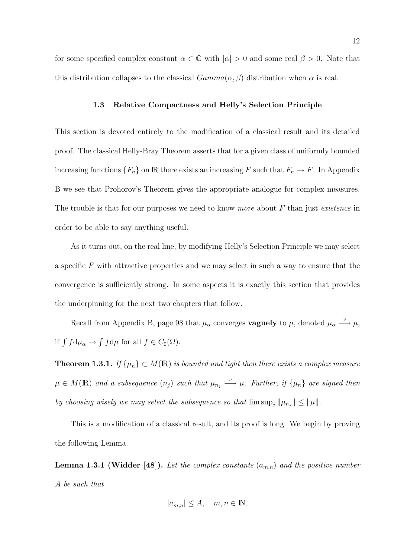for some specified complex constant  $\alpha \in \mathbb{C}$  with  $|\alpha| > 0$  and some real  $\beta > 0$ . Note that this distribution collapses to the classical  $Gamma(\alpha, \beta)$  distribution when  $\alpha$  is real.

#### 1.3 Relative Compactness and Helly's Selection Principle

This section is devoted entirely to the modification of a classical result and its detailed proof. The classical Helly-Bray Theorem asserts that for a given class of uniformly bounded increasing functions  $\{F_n\}$  on  $\mathbb R$  there exists an increasing F such that  $F_n \to F$ . In Appendix B we see that Prohorov's Theorem gives the appropriate analogue for complex measures. The trouble is that for our purposes we need to know more about  $F$  than just existence in order to be able to say anything useful.

As it turns out, on the real line, by modifying Helly's Selection Principle we may select a specific  $F$  with attractive properties and we may select in such a way to ensure that the convergence is sufficiently strong. In some aspects it is exactly this section that provides the underpinning for the next two chapters that follow.

Recall from Appendix B, page 98 that  $\mu_{\alpha}$  converges **vaguely** to  $\mu$ , denoted  $\mu_{\alpha} \stackrel{v}{\longrightarrow} \mu$ , if  $\int f d\mu_{\alpha} \rightarrow$ R  $f d\mu$  for all  $f \in C_0(\Omega)$ .

**Theorem 1.3.1.** If  $\{\mu_n\} \subset M(\mathbb{R})$  is bounded and tight then there exists a complex measure  $\mu \in M(\mathbb{R})$  and a subsequence  $(n_j)$  such that  $\mu_{n_j} \stackrel{v}{\longrightarrow} \mu$ . Further, if  $\{\mu_n\}$  are signed then by choosing wisely we may select the subsequence so that  $\limsup_j ||\mu_{n_j}|| \le ||\mu||$ .

This is a modification of a classical result, and its proof is long. We begin by proving the following Lemma.

**Lemma 1.3.1 (Widder [48]).** Let the complex constants  $(a_{m,n})$  and the positive number A be such that

$$
|a_{m,n}| \le A, \quad m, n \in \mathbb{N}.
$$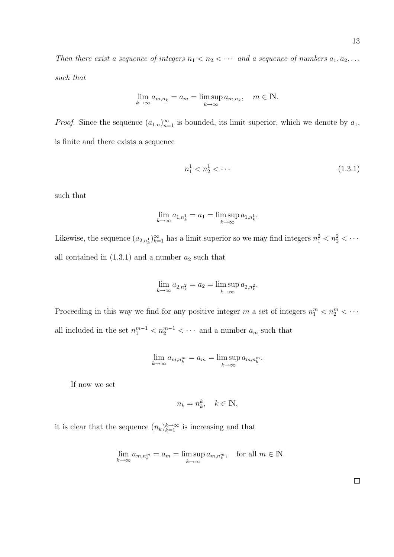Then there exist a sequence of integers  $n_1 < n_2 < \cdots$  and a sequence of numbers  $a_1, a_2, \ldots$ such that

$$
\lim_{k \to \infty} a_{m,n_k} = a_m = \limsup_{k \to \infty} a_{m,n_k}, \quad m \in \mathbb{N}.
$$

*Proof.* Since the sequence  $(a_{1,n})_{n=1}^{\infty}$  is bounded, its limit superior, which we denote by  $a_1$ , is finite and there exists a sequence

$$
n_1^1 < n_2^1 < \dots \tag{1.3.1}
$$

such that

$$
\lim_{k \to \infty} a_{1,n_k^1} = a_1 = \limsup_{k \to \infty} a_{1,n_k^1}.
$$

Likewise, the sequence  $(a_{2,n_k^1})_{k=1}^{\infty}$  has a limit superior so we may find integers  $n_1^2 < n_2^2 < \cdots$ all contained in  $(1.3.1)$  and a number  $a_2$  such that

$$
\lim_{k \to \infty} a_{2,n_k^2} = a_2 = \limsup_{k \to \infty} a_{2,n_k^2}.
$$

Proceeding in this way we find for any positive integer m a set of integers  $n_1^m < n_2^m < \cdots$ all included in the set  $n_1^{m-1} < n_2^{m-1} < \cdots$  and a number  $a_m$  such that

$$
\lim_{k \to \infty} a_{m,n_k^m} = a_m = \limsup_{k \to \infty} a_{m,n_k^m}.
$$

If now we set

$$
n_k = n_k^k, \quad k \in \mathbb{N},
$$

it is clear that the sequence  $(n_k)_{k=1}^{k\to\infty}$  is increasing and that

$$
\lim_{k \to \infty} a_{m,n_k^m} = a_m = \limsup_{k \to \infty} a_{m,n_k^m}, \text{ for all } m \in \mathbb{N}.
$$

 $\Box$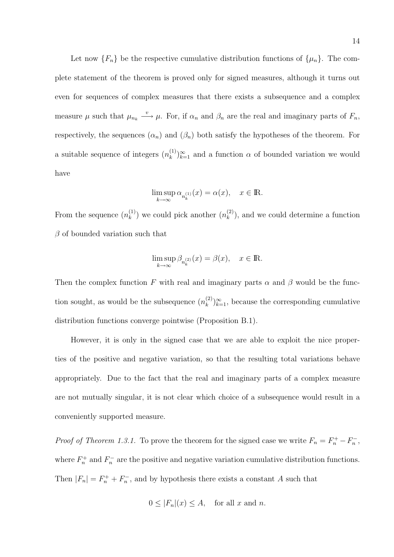Let now  $\{F_n\}$  be the respective cumulative distribution functions of  $\{\mu_n\}$ . The complete statement of the theorem is proved only for signed measures, although it turns out even for sequences of complex measures that there exists a subsequence and a complex measure  $\mu$  such that  $\mu_{n_k} \stackrel{v}{\longrightarrow} \mu$ . For, if  $\alpha_n$  and  $\beta_n$  are the real and imaginary parts of  $F_n$ , respectively, the sequences  $(\alpha_n)$  and  $(\beta_n)$  both satisfy the hypotheses of the theorem. For a suitable sequence of integers  $(n_k^{(1)})$  $(k)$ <sub>k</sub> $(k)$ <sub>k=1</sub> and a function  $\alpha$  of bounded variation we would have

$$
\limsup_{k \to \infty} \alpha_{n_k^{(1)}}(x) = \alpha(x), \quad x \in \mathbb{R}.
$$

From the sequence  $(n_k^{(1)})$  $\binom{1}{k}$  we could pick another  $(n_k^{(2)})$  $\binom{2}{k}$ , and we could determine a function  $\beta$  of bounded variation such that

$$
\limsup_{k \to \infty} \beta_{n_k^{(2)}}(x) = \beta(x), \quad x \in \mathbb{R}.
$$

Then the complex function F with real and imaginary parts  $\alpha$  and  $\beta$  would be the function sought, as would be the subsequence  $(n_k^{(2)})$  $\binom{2}{k}\mathcal{E}_{k=1}^{\infty}$ , because the corresponding cumulative distribution functions converge pointwise (Proposition B.1).

However, it is only in the signed case that we are able to exploit the nice properties of the positive and negative variation, so that the resulting total variations behave appropriately. Due to the fact that the real and imaginary parts of a complex measure are not mutually singular, it is not clear which choice of a subsequence would result in a conveniently supported measure.

*Proof of Theorem 1.3.1.* To prove the theorem for the signed case we write  $F_n = F_n^+ - F_n^-$ , where  $F_n^+$  and  $F_n^-$  are the positive and negative variation cumulative distribution functions. Then  $|F_n| = F_n^+ + F_n^-$ , and by hypothesis there exists a constant A such that

$$
0 \le |F_n|(x) \le A
$$
, for all x and n.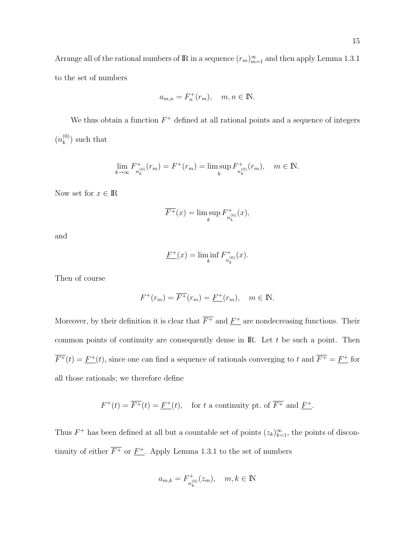Arrange all of the rational numbers of R in a sequence  $(r_m)_{m=1}^{\infty}$  and then apply Lemma 1.3.1 to the set of numbers

$$
a_{m,n} = F_n^+(r_m), \quad m, n \in \mathbb{N}.
$$

We thus obtain a function  $F^+$  defined at all rational points and a sequence of integers  $(n_k^{(0)}$  $\binom{0}{k}$  such that

$$
\lim_{k \to \infty} F_{n_k^{(0)}}^+(r_m) = F^+(r_m) = \limsup_k F_{n_k^{(0)}}^+(r_m), \quad m \in \mathbb{N}.
$$

Now set for  $x \in \mathbb{R}$ 

$$
\overline{F^+}(x) = \limsup_k F^+_{n_k^{(0)}}(x),
$$

and

$$
\underline{F^+}(x) = \liminf_k F^+_{n_k^{(0)}}(x).
$$

Then of course

$$
F^+(r_m) = \overline{F^+}(r_m) = \underline{F^+}(r_m), \quad m \in \mathbb{N}.
$$

Moreover, by their definition it is clear that  $\overline{F^+}$  and  $\underline{F^+}$  are nondecreasing functions. Their common points of continuity are consequently dense in  $\mathbb{R}$ . Let t be such a point. Then  $\overline{F^+}(t) = \underline{F^+}(t)$ , since one can find a sequence of rationals converging to t and  $\overline{F^+} = \underline{F^+}$  for all those rationals; we therefore define

 $F^+(t) = \overline{F^+}(t) = \underline{F^+}(t)$ , for t a continuity pt. of  $\overline{F^+}$  and  $\underline{F^+}$ .

Thus  $F^+$  has been defined at all but a countable set of points  $(z_k)_{k=1}^{\infty}$ , the points of discontinuity of either  $\overline{F^+}$  or  $\underline{F^+}$ . Apply Lemma 1.3.1 to the set of numbers

$$
a_{m,k} = F_{n_k^{(0)}}^+(z_m), \quad m, k \in \mathbb{N}
$$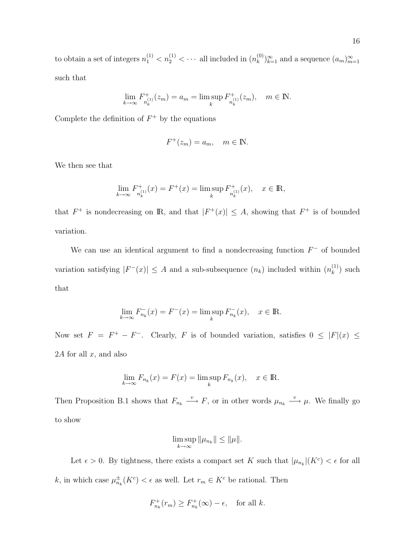to obtain a set of integers  $n_1^{(1)} < n_2^{(1)} < \cdots$  all included in  $(n_k^{(0)}$  ${k^{(0)}\choose k}^{\infty}_{k=1}$  and a sequence  $(a_m)_{m=1}^{\infty}$ such that

$$
\lim_{k \to \infty} F_{n_k^{(1)}}^+(z_m) = a_m = \limsup_k F_{n_k^{(1)}}^+(z_m), \quad m \in \mathbb{N}.
$$

Complete the definition of  $F^+$  by the equations

$$
F^+(z_m) = a_m, \quad m \in \mathbb{N}.
$$

We then see that

$$
\lim_{k \to \infty} F_{n_k^{(1)}}^+(x) = F^+(x) = \limsup_k F_{n_k^{(1)}}^+(x), \quad x \in \mathbb{R},
$$

that  $F^+$  is nondecreasing on R, and that  $|F^+(x)| \leq A$ , showing that  $F^+$  is of bounded variation.

We can use an identical argument to find a nondecreasing function  $F^-$  of bounded variation satisfying  $|F^{-}(x)| \leq A$  and a sub-subsequence  $(n_k)$  included within  $(n_k^{(1)})$  $\binom{1}{k}$  such that

$$
\lim_{k \to \infty} F_{n_k}^-(x) = F^-(x) = \limsup_k F_{n_k}^-(x), \quad x \in \mathbb{R}.
$$

Now set  $F = F^+ - F^-$ . Clearly, F is of bounded variation, satisfies  $0 \leq |F|(x) \leq$ 2A for all  $x$ , and also

$$
\lim_{k \to \infty} F_{n_k}(x) = F(x) = \limsup_k F_{n_k}(x), \quad x \in \mathbb{R}.
$$

Then Proposition B.1 shows that  $F_{n_k} \stackrel{v}{\longrightarrow} F$ , or in other words  $\mu_{n_k} \stackrel{v}{\longrightarrow} \mu$ . We finally go to show

$$
\limsup_{k\to\infty} \|\mu_{n_k}\| \le \|\mu\|.
$$

Let  $\epsilon > 0$ . By tightness, there exists a compact set K such that  $|\mu_{n_k}|(K^c) < \epsilon$  for all k, in which case  $\mu_{n_k}^{\pm}(K^c) < \epsilon$  as well. Let  $r_m \in K^c$  be rational. Then

$$
F_{n_k}^+(r_m) \ge F_{n_k}^+(\infty) - \epsilon, \quad \text{for all } k.
$$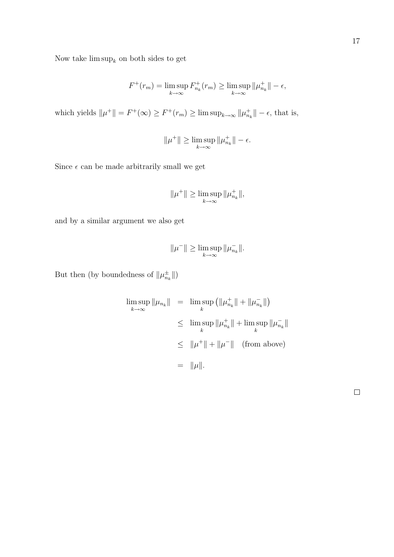Now take  $\limsup_k$  on both sides to get

$$
F^+(r_m) = \limsup_{k \to \infty} F^+_{n_k}(r_m) \ge \limsup_{k \to \infty} ||\mu^+_{n_k}|| - \epsilon,
$$

which yields  $||\mu^+|| = F^+(\infty) \ge F^+(r_m) \ge \limsup_{k \to \infty} ||\mu_{n_k}^+|| - \epsilon$ , that is,

$$
\|\mu^+\| \ge \limsup_{k \to \infty} \|\mu_{n_k}^+\| - \epsilon.
$$

Since  $\epsilon$  can be made arbitrarily small we get

$$
\|\mu^+\| \ge \limsup_{k \to \infty} \|\mu_{n_k}^+\|,
$$

and by a similar argument we also get

$$
\|\mu^-\| \ge \limsup_{k \to \infty} \|\mu_{n_k}^-\|.
$$

But then (by boundedness of  $\|\mu_{n_k}^{\pm}\|$ )

$$
\limsup_{k \to \infty} \|\mu_{n_k}\| = \limsup_k (\|\mu_{n_k}^+\| + \|\mu_{n_k}^-\|)
$$
  
\n
$$
\leq \limsup_k \|\mu_{n_k}^+\| + \limsup_k \|\mu_{n_k}^-\|
$$
  
\n
$$
\leq \|\mu^+\| + \|\mu^-\| \quad \text{(from above)}
$$
  
\n
$$
= \|\mu\|.
$$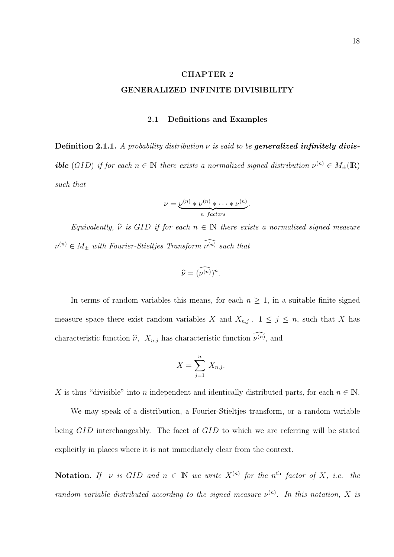# CHAPTER 2

## GENERALIZED INFINITE DIVISIBILITY

### 2.1 Definitions and Examples

Definition 2.1.1. A probability distribution  $\nu$  is said to be generalized infinitely divis**ible** (GID) if for each  $n \in \mathbb{N}$  there exists a normalized signed distribution  $\nu^{(n)} \in M_{\pm}(\mathbb{R})$ such that

$$
\nu = \underbrace{\nu^{(n)} * \nu^{(n)} * \cdots * \nu^{(n)}}_{n \text{ factors}}.
$$

Equivalently,  $\hat{\nu}$  is GID if for each  $n \in \mathbb{N}$  there exists a normalized signed measure  $\nu^{(n)} \in M_{\pm}$  with Fourier-Stieltjes Transform  $\widehat{\nu^{(n)}}$  such that

$$
\widehat{\nu} = (\widehat{\nu^{(n)}})^n.
$$

In terms of random variables this means, for each  $n \geq 1$ , in a suitable finite signed measure space there exist random variables X and  $X_{n,j}$ ,  $1 \leq j \leq n$ , such that X has characteristic function  $\widehat{\nu}$ ,  $X_{n,j}$  has characteristic function  $\widehat{\nu^{(n)}}$ , and

$$
X = \sum_{j=1}^{n} X_{n,j}.
$$

X is thus "divisible" into n independent and identically distributed parts, for each  $n \in \mathbb{N}$ .

We may speak of a distribution, a Fourier-Stieltjes transform, or a random variable being GID interchangeably. The facet of GID to which we are referring will be stated explicitly in places where it is not immediately clear from the context.

**Notation.** If v is GID and  $n \in \mathbb{N}$  we write  $X^{(n)}$  for the n<sup>th</sup> factor of X, i.e. the random variable distributed according to the signed measure  $\nu^{(n)}$ . In this notation, X is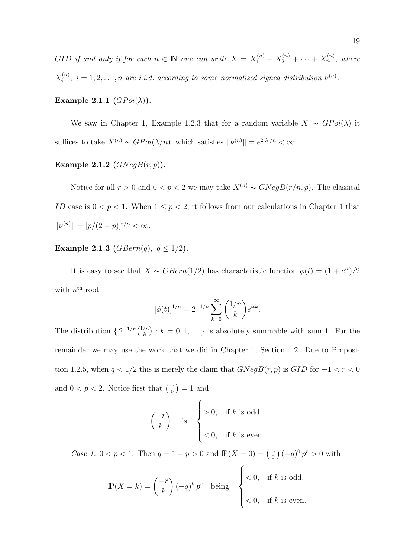GID if and only if for each  $n \in \mathbb{N}$  one can write  $X = X_1^{(n)} + X_2^{(n)} + \cdots + X_n^{(n)}$ , where  $X_i^{(n)}$  $i^{(n)}$ ,  $i = 1, 2, \ldots, n$  are i.i.d. according to some normalized signed distribution  $\nu^{(n)}$ .

## Example 2.1.1  $(GPoi(\lambda))$ .

We saw in Chapter 1, Example 1.2.3 that for a random variable  $X \sim GPoi(\lambda)$  it suffices to take  $X^{(n)} \sim GPoi(\lambda/n)$ , which satisfies  $||\nu^{(n)}|| = e^{2|\lambda|/n} < \infty$ .

# Example 2.1.2  $(GNegB(r, p)).$

Notice for all  $r > 0$  and  $0 < p < 2$  we may take  $X^{(n)} \sim GNegB(r/n, p)$ . The classical ID case is  $0 < p < 1$ . When  $1 \le p < 2$ , it follows from our calculations in Chapter 1 that  $||\nu^{(n)}|| = [p/(2-p)]^{r/n} < \infty.$ 

## **Example 2.1.3** (*GBern(q)*,  $q \le 1/2$ ).

It is easy to see that  $X \sim GBern(1/2)$  has characteristic function  $\phi(t) = (1 + e^{it})/2$ with  $n^{\text{th}}$  root

$$
[\phi(t)]^{1/n} = 2^{-1/n} \sum_{k=0}^{\infty} {1/n \choose k} e^{itk}.
$$

The distribution  $\{2^{-1/n}\binom{1/n}{k}\}$ k ¢ :  $k = 0, 1, \ldots$  is absolutely summable with sum 1. For the remainder we may use the work that we did in Chapter 1, Section 1.2. Due to Proposition 1.2.5, when  $q < 1/2$  this is merely the claim that  $GNegB(r, p)$  is  $GID$  for  $-1 < r < 0$ and  $0 < p < 2$ . Notice first that  $\binom{-r}{0}$ ¢  $= 1$  and  $\overline{a}$ 

$$
\begin{pmatrix} -r \\ k \end{pmatrix}
$$
 is 
$$
\begin{cases} > 0, & \text{if } k \text{ is odd,} \\ < 0, & \text{if } k \text{ is even.} \end{cases}
$$

*Case 1.*  $0 < p < 1$ . Then  $q = 1 - p > 0$  and  $\mathbb{P}(X = 0) = \begin{pmatrix} -r & 0 \\ 0 & r \end{pmatrix}$ ¢  $(-q)^0 p^r > 0$  with  $\overline{a}$ 

$$
\mathbb{P}(X = k) = \binom{-r}{k} (-q)^k p^r \quad \text{being} \quad \begin{cases} < 0, & \text{if } k \text{ is odd,} \\ < 0, & \text{if } k \text{ is even.} \end{cases}
$$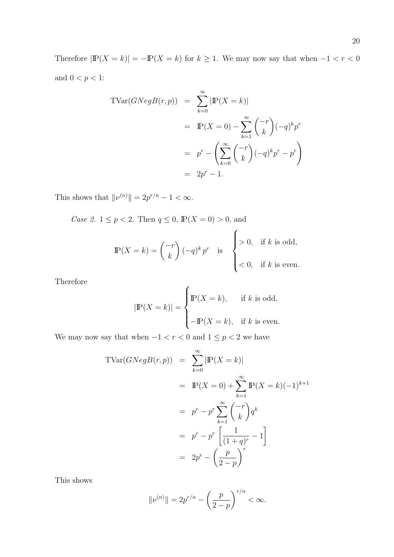Therefore  $|\mathbb{P}(X = k)| = -\mathbb{P}(X = k)$  for  $k \ge 1$ . We may now say that when  $-1 < r < 0$ and  $0 < p < 1$  :

$$
\begin{aligned} \text{TVar}(GNegB(r,p)) &= \sum_{k=0}^{\infty} |\mathbb{P}(X=k)| \\ &= \mathbb{P}(X=0) - \sum_{k=1}^{\infty} \binom{-r}{k} (-q)^k p^r \\ &= p^r - \left(\sum_{k=0}^{\infty} \binom{-r}{k} (-q)^k p^r - p^r\right) \\ &= 2p^r - 1. \end{aligned}
$$

This shows that  $\|\nu^{(n)}\| = 2p^{r/n} - 1 < \infty$ .

*Case 2.*  $1 \le p < 2$ . Then  $q \le 0$ ,  $\mathbb{P}(X = 0) > 0$ , and  $\overline{a}$ 

$$
\mathbb{P}(X = k) = \binom{-r}{k} (-q)^k p^r \text{ is } \begin{cases} > 0, & \text{if } k \text{ is odd,} \\ < 0, & \text{if } k \text{ is even.} \end{cases}
$$

Therefore

$$
|\mathbb{P}(X = k)| = \begin{cases} \mathbb{P}(X = k), & \text{if } k \text{ is odd,} \\ -\mathbb{P}(X = k), & \text{if } k \text{ is even.} \end{cases}
$$

 $\overline{a}$ 

We may now say that when  $-1 < r < 0$  and  $1 \leq p < 2$  we have

$$
\begin{aligned}\n\text{TVar}(GNegB(r,p)) &= \sum_{k=0}^{\infty} |\mathbb{P}(X=k)| \\
&= \mathbb{P}(X=0) + \sum_{k=1}^{\infty} \mathbb{P}(X=k)(-1)^{k+1} \\
&= p^r - p^r \sum_{k=1}^{\infty} \binom{-r}{k} q^k \\
&= p^r - p^r \left[ \frac{1}{(1+q)^r} - 1 \right] \\
&= 2p^r - \left( \frac{p}{2-p} \right)^r\n\end{aligned}
$$

This shows

$$
\|\nu^{(n)}\| = 2p^{r/n} - \left(\frac{p}{2-p}\right)^{r/n} < \infty.
$$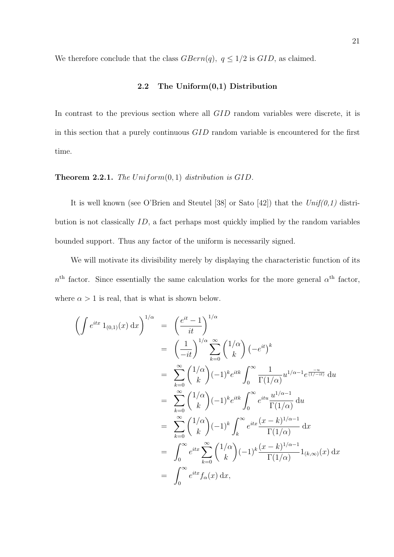We therefore conclude that the class  $GBern(q)$ ,  $q \leq 1/2$  is  $GID$ , as claimed.

## 2.2 The Uniform(0,1) Distribution

In contrast to the previous section where all  $GID$  random variables were discrete, it is in this section that a purely continuous GID random variable is encountered for the first time.

## **Theorem 2.2.1.** The Uniform $(0, 1)$  distribution is GID.

It is well known (see O'Brien and Steutel [38] or Sato [42]) that the  $Unif(0,1)$  distribution is not classically ID, a fact perhaps most quickly implied by the random variables bounded support. Thus any factor of the uniform is necessarily signed.

We will motivate its divisibility merely by displaying the characteristic function of its  $n<sup>th</sup>$  factor. Since essentially the same calculation works for the more general  $\alpha<sup>th</sup>$  factor, where  $\alpha > 1$  is real, that is what is shown below.

$$
\left(\int e^{itx} 1_{(0,1)}(x) dx\right)^{1/\alpha} = \left(\frac{e^{it} - 1}{it}\right)^{1/\alpha}
$$
  
\n
$$
= \left(\frac{1}{-it}\right)^{1/\alpha} \sum_{k=0}^{\infty} {1/\alpha \choose k} (-e^{it})^k
$$
  
\n
$$
= \sum_{k=0}^{\infty} {1/\alpha \choose k} (-1)^k e^{itk} \int_0^{\infty} \frac{1}{\Gamma(1/\alpha)} u^{1/\alpha - 1} e^{\frac{-u}{(1/\alpha + it)}} du
$$
  
\n
$$
= \sum_{k=0}^{\infty} {1/\alpha \choose k} (-1)^k e^{itk} \int_0^{\infty} e^{itu} \frac{u^{1/\alpha - 1}}{\Gamma(1/\alpha)} du
$$
  
\n
$$
= \sum_{k=0}^{\infty} {1/\alpha \choose k} (-1)^k \int_k^{\infty} e^{itx} \frac{(x - k)^{1/\alpha - 1}}{\Gamma(1/\alpha)} dx
$$
  
\n
$$
= \int_0^{\infty} e^{itx} \sum_{k=0}^{\infty} {1/\alpha \choose k} (-1)^k \frac{(x - k)^{1/\alpha - 1}}{\Gamma(1/\alpha)} 1_{(k,\infty)}(x) dx
$$
  
\n
$$
= \int_0^{\infty} e^{itx} f_\alpha(x) dx,
$$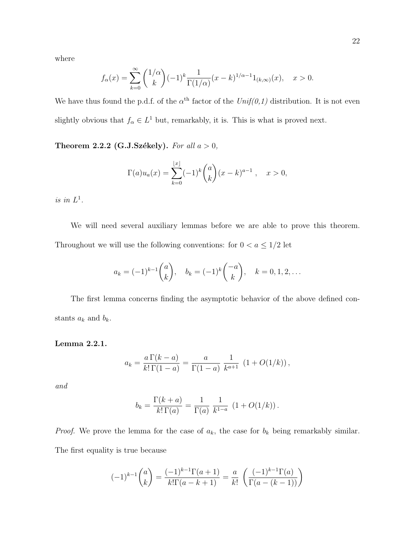where

$$
f_{\alpha}(x) = \sum_{k=0}^{\infty} {1/\alpha \choose k} (-1)^k \frac{1}{\Gamma(1/\alpha)} (x-k)^{1/\alpha - 1} 1_{(k,\infty)}(x), \quad x > 0.
$$

We have thus found the p.d.f. of the  $\alpha^{\text{th}}$  factor of the  $Unif(0,1)$  distribution. It is not even slightly obvious that  $f_{\alpha} \in L^{1}$  but, remarkably, it is. This is what is proved next.

Theorem 2.2.2 (G.J.Székely). For all  $a > 0$ ,

$$
\Gamma(a)u_a(x) = \sum_{k=0}^{\lfloor x \rfloor} (-1)^k {a \choose k} (x-k)^{a-1}, \quad x > 0,
$$

is in  $L^1$ .

We will need several auxiliary lemmas before we are able to prove this theorem. Throughout we will use the following conventions: for  $0 < a \leq 1/2$  let

$$
a_k = (-1)^{k-1} {a \choose k}, \quad b_k = (-1)^k {a \choose k}, \quad k = 0, 1, 2, \dots
$$

The first lemma concerns finding the asymptotic behavior of the above defined constants  $a_k$  and  $b_k$ .

Lemma 2.2.1.

$$
a_k = \frac{a \Gamma(k-a)}{k! \Gamma(1-a)} = \frac{a}{\Gamma(1-a)} \frac{1}{k^{a+1}} (1 + O(1/k)),
$$

and

$$
b_k = \frac{\Gamma(k+a)}{k!\,\Gamma(a)} = \frac{1}{\Gamma(a)} \, \frac{1}{k^{1-a}} \, (1+O(1/k)).
$$

*Proof.* We prove the lemma for the case of  $a_k$ , the case for  $b_k$  being remarkably similar. The first equality is true because

$$
(-1)^{k-1} \binom{a}{k} = \frac{(-1)^{k-1} \Gamma(a+1)}{k! \Gamma(a-k+1)} = \frac{a}{k!} \left( \frac{(-1)^{k-1} \Gamma(a)}{\Gamma(a-(k-1))} \right)
$$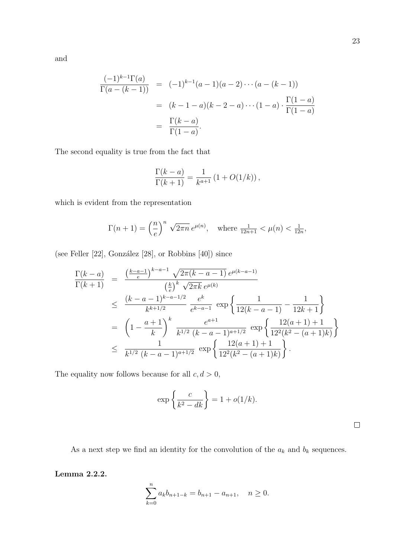$$
\frac{(-1)^{k-1}\Gamma(a)}{\Gamma(a-(k-1))} = (-1)^{k-1}(a-1)(a-2)\cdots(a-(k-1))
$$
  
=  $(k-1-a)(k-2-a)\cdots(1-a)\cdot\frac{\Gamma(1-a)}{\Gamma(1-a)}$   
=  $\frac{\Gamma(k-a)}{\Gamma(1-a)}$ .

The second equality is true from the fact that

$$
\frac{\Gamma(k-a)}{\Gamma(k+1)} = \frac{1}{k^{a+1}} (1 + O(1/k)),
$$

which is evident from the representation

$$
\Gamma(n+1) = \left(\frac{n}{e}\right)^n \sqrt{2\pi n} e^{\mu(n)}, \text{ where } \frac{1}{12n+1} < \mu(n) < \frac{1}{12n},
$$

(see Feller  $[22]$ , González  $[28]$ , or Robbins  $[40]$ ) since

$$
\frac{\Gamma(k-a)}{\Gamma(k+1)} = \frac{\left(\frac{k-a-1}{e}\right)^{k-a-1} \sqrt{2\pi (k-a-1)} e^{\mu(k-a-1)}}{\left(\frac{k}{e}\right)^k \sqrt{2\pi k} e^{\mu(k)}}
$$
\n
$$
\leq \frac{(k-a-1)^{k-a-1/2}}{k^{k+1/2}} \frac{e^k}{e^{k-a-1}} \exp\left\{\frac{1}{12(k-a-1)} - \frac{1}{12k+1}\right\}
$$
\n
$$
= \left(1 - \frac{a+1}{k}\right)^k \frac{e^{a+1}}{k^{1/2} (k-a-1)^{a+1/2}} \exp\left\{\frac{12(a+1)+1}{12^2(k^2-(a+1)k)}\right\}
$$
\n
$$
\leq \frac{1}{k^{1/2} (k-a-1)^{a+1/2}} \exp\left\{\frac{12(a+1)+1}{12^2(k^2-(a+1)k)}\right\}.
$$

The equality now follows because for all  $c, d > 0$ ,

$$
\exp\left\{\frac{c}{k^2 - dk}\right\} = 1 + o(1/k).
$$

 $\Box$ 

As a next step we find an identity for the convolution of the  $a_k$  and  $b_k$  sequences.

Lemma 2.2.2.

$$
\sum_{k=0}^{n} a_k b_{n+1-k} = b_{n+1} - a_{n+1}, \quad n \ge 0.
$$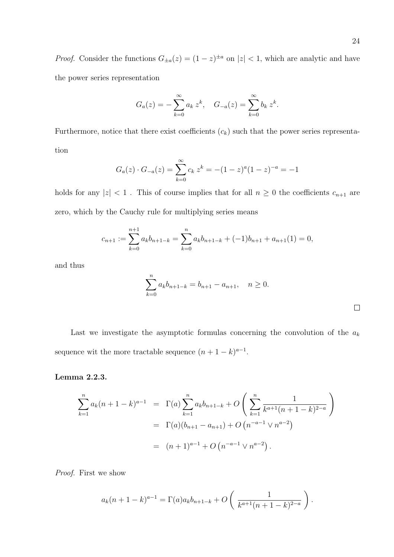*Proof.* Consider the functions  $G_{\pm a}(z) = (1-z)^{\pm a}$  on  $|z| < 1$ , which are analytic and have the power series representation

$$
G_a(z) = -\sum_{k=0}^{\infty} a_k z^k, \quad G_{-a}(z) = \sum_{k=0}^{\infty} b_k z^k.
$$

Furthermore, notice that there exist coefficients  $(c_k)$  such that the power series representation

$$
G_a(z) \cdot G_{-a}(z) = \sum_{k=0}^{\infty} c_k z^k = -(1-z)^a (1-z)^{-a} = -1
$$

holds for any  $|z| < 1$  . This of course implies that for all  $n \geq 0$  the coefficients  $c_{n+1}$  are zero, which by the Cauchy rule for multiplying series means

$$
c_{n+1} := \sum_{k=0}^{n+1} a_k b_{n+1-k} = \sum_{k=0}^{n} a_k b_{n+1-k} + (-1)b_{n+1} + a_{n+1}(1) = 0,
$$

and thus

$$
\sum_{k=0}^{n} a_k b_{n+1-k} = b_{n+1} - a_{n+1}, \quad n \ge 0.
$$

Last we investigate the asymptotic formulas concerning the convolution of the  $a_k$ sequence wit the more tractable sequence  $(n+1-k)^{a-1}$ .

### Lemma 2.2.3.

$$
\sum_{k=1}^{n} a_k (n+1-k)^{a-1} = \Gamma(a) \sum_{k=1}^{n} a_k b_{n+1-k} + O\left(\sum_{k=1}^{n} \frac{1}{k^{a+1}(n+1-k)^{2-a}}\right)
$$
  
=  $\Gamma(a) (b_{n+1} - a_{n+1}) + O(n^{-a-1} \vee n^{a-2})$   
=  $(n+1)^{a-1} + O(n^{-a-1} \vee n^{a-2}).$ 

Proof. First we show

$$
a_k(n+1-k)^{a-1} = \Gamma(a)a_k b_{n+1-k} + O\left(\frac{1}{k^{a+1}(n+1-k)^{2-a}}\right).
$$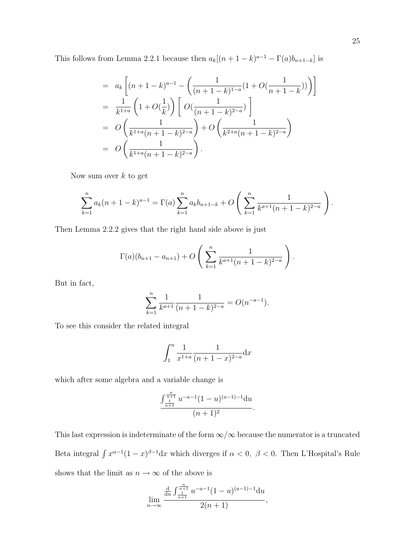This follows from Lemma 2.2.1 because then  $a_k[(n+1-k)^{a-1} - \Gamma(a)b_{n+1-k}]$  is

$$
= a_k \left[ (n+1-k)^{a-1} - \left( \frac{1}{(n+1-k)^{1-a}} (1+O(\frac{1}{n+1-k})) \right) \right]
$$
  
\n
$$
= \frac{1}{k^{1+a}} \left( 1+O(\frac{1}{k}) \right) \left[ O(\frac{1}{(n+1-k)^{2-a}}) \right]
$$
  
\n
$$
= O\left( \frac{1}{k^{1+a}(n+1-k)^{2-a}} \right) + O\left( \frac{1}{k^{2+a}(n+1-k)^{2-a}} \right)
$$
  
\n
$$
= O\left( \frac{1}{k^{1+a}(n+1-k)^{2-a}} \right).
$$

Now sum over  $k$  to get

$$
\sum_{k=1}^{n} a_k (n+1-k)^{a-1} = \Gamma(a) \sum_{k=1}^{n} a_k b_{n+1-k} + O\left(\sum_{k=1}^{n} \frac{1}{k^{a+1}(n+1-k)^{2-a}}\right).
$$

Then Lemma 2.2.2 gives that the right hand side above is just

$$
\Gamma(a)(b_{n+1} - a_{n+1}) + O\left(\sum_{k=1}^n \frac{1}{k^{a+1}(n+1-k)^{2-a}}\right).
$$

But in fact,

$$
\sum_{k=1}^{n} \frac{1}{k^{a+1}} \frac{1}{(n+1-k)^{2-a}} = O(n^{-a-1}).
$$

To see this consider the related integral

$$
\int_{1}^{n} \frac{1}{x^{1+a}} \frac{1}{(n+1-x)^{2-a}} \mathrm{d}x
$$

which after some algebra and a variable change is

$$
\frac{\int_{\frac{1}{n+1}}^{\frac{n}{n+1}} u^{-a-1} (1-u)^{(a-1)-1} du}{(n+1)^2}.
$$

This last expression is indeterminate of the form  $\infty/\infty$  because the numerator is a truncated Beta integral  $\int x^{\alpha-1}(1-x)^{\beta-1}dx$  which diverges if  $\alpha < 0$ ,  $\beta < 0$ . Then L'Hospital's Rule shows that the limit as  $n \to \infty$  of the above is

$$
\lim_{n \to \infty} \frac{\frac{d}{dn} \int_{\frac{1}{n+1}}^{\frac{n}{n+1}} u^{-a-1} (1-u)^{(a-1)-1} du}{2(n+1)},
$$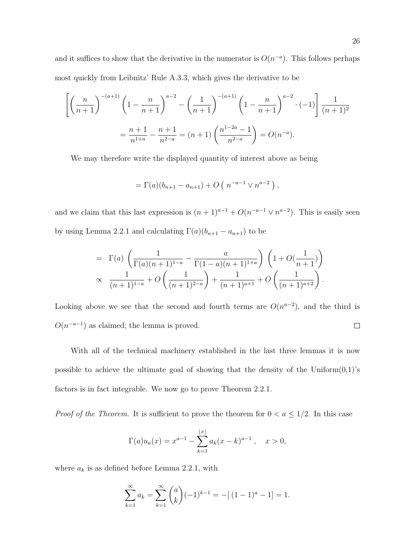and it suffices to show that the derivative in the numerator is  $O(n^{-a})$ . This follows perhaps most quickly from Leibnitz' Rule A.3.3, which gives the derivative to be

$$
\left[ \left( \frac{n}{n+1} \right)^{-(a+1)} \left( 1 - \frac{n}{n+1} \right)^{a-2} - \left( \frac{1}{n+1} \right)^{-(a+1)} \left( 1 - \frac{n}{n+1} \right)^{a-2} \cdot (-1) \right] \frac{1}{(n+1)^2}
$$

$$
= \frac{n+1}{n^{1+a}} - \frac{n+1}{n^{2-a}} = (n+1) \left( \frac{n^{1-2a} - 1}{n^{2-a}} \right) = O(n^{-a}).
$$

We may therefore write the displayed quantity of interest above as being

$$
= \Gamma(a)(b_{n+1} - a_{n+1}) + O(n^{-a-1} \vee n^{a-2}),
$$

and we claim that this last expression is  $(n+1)^{a-1} + O(n^{-a-1} \vee n^{a-2})$ . This is easily seen by using Lemma 2.2.1 and calculating  $\Gamma(a)(b_{n+1} - a_{n+1})$  to be

$$
= \Gamma(a) \left( \frac{1}{\Gamma(a)(n+1)^{1-a}} - \frac{a}{\Gamma(1-a)(n+1)^{1+a}} \right) \left( 1 + O(\frac{1}{n+1}) \right) \n\propto \frac{1}{(n+1)^{1-a}} + O\left( \frac{1}{(n+1)^{2-a}} \right) + \frac{1}{(n+1)^{a+1}} + O\left( \frac{1}{(n+1)^{a+2}} \right).
$$

Looking above we see that the second and fourth terms are  $O(n^{a-2})$ , and the third is  $O(n^{-a-1})$  as claimed; the lemma is proved.  $\Box$ 

With all of the technical machinery established in the last three lemmas it is now possible to achieve the ultimate goal of showing that the density of the Uniform $(0,1)$ 's factors is in fact integrable. We now go to prove Theorem 2.2.1.

*Proof of the Theorem.* It is sufficient to prove the theorem for  $0 < a \leq 1/2$ . In this case

$$
\Gamma(a)u_a(x) = x^{a-1} - \sum_{k=1}^{\lfloor x \rfloor} a_k(x-k)^{a-1}, \quad x > 0,
$$

where  $a_k$  is as defined before Lemma 2.2.1, with

$$
\sum_{k=1}^{\infty} a_k = \sum_{k=1}^{\infty} {a \choose k} (-1)^{k-1} = -[(1-1)^a - 1] = 1.
$$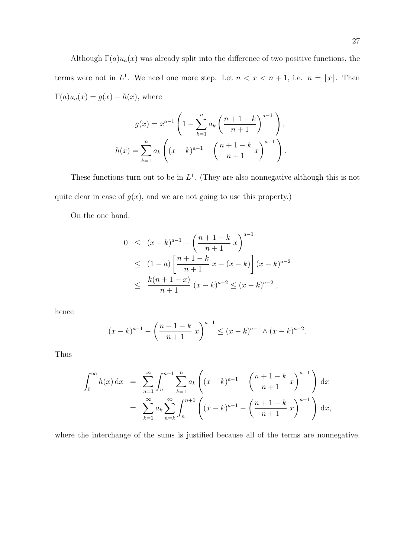Although  $\Gamma(a)u_a(x)$  was already split into the difference of two positive functions, the terms were not in  $L^1$ . We need one more step. Let  $n < x < n+1$ , i.e.  $n = |x|$ . Then  $\Gamma(a)u_a(x) = g(x) - h(x)$ , where

$$
g(x) = x^{a-1} \left( 1 - \sum_{k=1}^{n} a_k \left( \frac{n+1-k}{n+1} \right)^{a-1} \right),
$$
  

$$
h(x) = \sum_{k=1}^{n} a_k \left( (x-k)^{a-1} - \left( \frac{n+1-k}{n+1} x \right)^{a-1} \right).
$$

These functions turn out to be in  $L^1$ . (They are also nonnegative although this is not quite clear in case of  $g(x)$ , and we are not going to use this property.)

On the one hand,

$$
0 \le (x - k)^{a-1} - \left(\frac{n+1-k}{n+1}x\right)^{a-1}
$$
  
\n
$$
\le (1 - a) \left[\frac{n+1-k}{n+1}x - (x - k)\right](x - k)^{a-2}
$$
  
\n
$$
\le \frac{k(n+1-x)}{n+1} (x - k)^{a-2} \le (x - k)^{a-2},
$$

hence

$$
(x-k)^{a-1} - \left(\frac{n+1-k}{n+1}x\right)^{a-1} \le (x-k)^{a-1} \wedge (x-k)^{a-2}.
$$

Thus

$$
\int_0^\infty h(x) dx = \sum_{n=1}^\infty \int_n^{n+1} \sum_{k=1}^n a_k \left( (x-k)^{a-1} - \left( \frac{n+1-k}{n+1} x \right)^{a-1} \right) dx
$$
  
= 
$$
\sum_{k=1}^\infty a_k \sum_{n=k}^\infty \int_n^{n+1} \left( (x-k)^{a-1} - \left( \frac{n+1-k}{n+1} x \right)^{a-1} \right) dx,
$$

where the interchange of the sums is justified because all of the terms are nonnegative.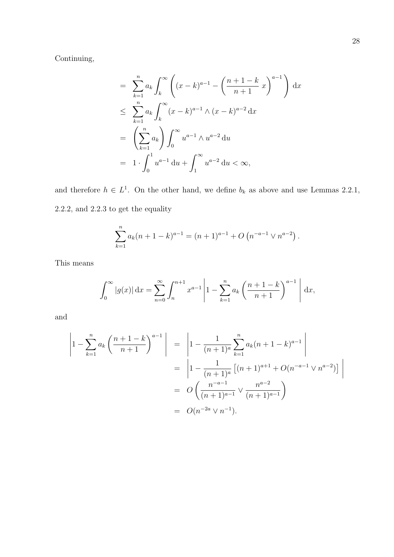Continuing,

$$
= \sum_{k=1}^{n} a_k \int_k^{\infty} \left( (x-k)^{a-1} - \left( \frac{n+1-k}{n+1} x \right)^{a-1} \right) dx
$$
  

$$
\leq \sum_{k=1}^{n} a_k \int_k^{\infty} (x-k)^{a-1} \wedge (x-k)^{a-2} dx
$$
  

$$
= \left( \sum_{k=1}^{n} a_k \right) \int_0^{\infty} u^{a-1} \wedge u^{a-2} du
$$
  

$$
= 1 \cdot \int_0^1 u^{a-1} du + \int_1^{\infty} u^{a-2} du < \infty,
$$

and therefore  $h \in L^1$ . On the other hand, we define  $b_k$  as above and use Lemmas 2.2.1, 2.2.2, and 2.2.3 to get the equality

$$
\sum_{k=1}^{n} a_k (n+1-k)^{a-1} = (n+1)^{a-1} + O\left(n^{-a-1} \vee n^{a-2}\right).
$$

This means

$$
\int_0^{\infty} |g(x)| dx = \sum_{n=0}^{\infty} \int_n^{n+1} x^{a-1} \left| 1 - \sum_{k=1}^n a_k \left( \frac{n+1-k}{n+1} \right)^{a-1} \right| dx,
$$

and

$$
\left| 1 - \sum_{k=1}^{n} a_k \left( \frac{n+1-k}{n+1} \right)^{a-1} \right| = \left| 1 - \frac{1}{(n+1)^a} \sum_{k=1}^{n} a_k (n+1-k)^{a-1} \right|
$$
  
= 
$$
\left| 1 - \frac{1}{(n+1)^a} \left[ (n+1)^{a+1} + O(n^{-a-1} \vee n^{a-2}) \right] \right|
$$
  
= 
$$
O\left( \frac{n^{-a-1}}{(n+1)^{a-1}} \vee \frac{n^{a-2}}{(n+1)^{a-1}} \right)
$$
  
= 
$$
O(n^{-2a} \vee n^{-1}).
$$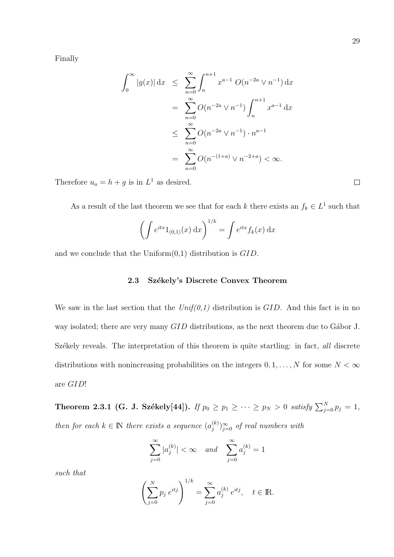$$
\int_0^\infty |g(x)| \, dx \leq \sum_{n=0}^\infty \int_n^{n+1} x^{a-1} O(n^{-2a} \vee n^{-1}) \, dx
$$
  
= 
$$
\sum_{n=0}^\infty O(n^{-2a} \vee n^{-1}) \int_n^{n+1} x^{a-1} \, dx
$$
  

$$
\leq \sum_{n=0}^\infty O(n^{-2a} \vee n^{-1}) \cdot n^{a-1}
$$
  
= 
$$
\sum_{n=0}^\infty O(n^{-(1+a)} \vee n^{-2+a}) < \infty.
$$

Therefore  $u_a = h + g$  is in  $L^1$  as desired.

As a result of the last theorem we see that for each k there exists an  $f_k \in L^1$  such that

$$
\left(\int e^{itx} 1_{(0,1)}(x) dx\right)^{1/k} = \int e^{itx} f_k(x) dx
$$

and we conclude that the Uniform $(0,1)$  distribution is  $GID$ .

### 2.3 Székely's Discrete Convex Theorem

We saw in the last section that the  $Unif(0,1)$  distribution is  $GID$ . And this fact is in no way isolated; there are very many  $GID$  distributions, as the next theorem due to Gábor J. Székely reveals. The interpretation of this theorem is quite startling: in fact, all discrete distributions with nonincreasing probabilities on the integers  $0, 1, \ldots, N$  for some  $N < \infty$ are GID!

Theorem 2.3.1 (G. J. Székely[44]). If  $p_0 \ge p_1 \ge \cdots \ge p_N > 0$  satisfy  $\sum_{j=0}^N p_j = 1$ , then for each  $k \in \mathbb{N}$  there exists a sequence  $(a_i^{(k)})$  $j^{(k)}_{j}$   $\sum_{j=0}^{\infty}$  of real numbers with

$$
\sum_{j=0}^{\infty} |a_j^{(k)}| < \infty \quad and \quad \sum_{j=0}^{\infty} a_j^{(k)} = 1
$$

such that

$$
\left(\sum_{j=0}^{N} p_j e^{itj}\right)^{1/k} = \sum_{j=0}^{\infty} a_j^{(k)} e^{itj}, \quad t \in \mathbb{R}.
$$

 $\Box$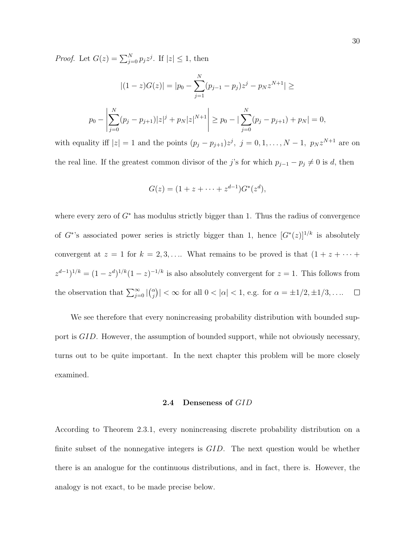*Proof.* Let  $G(z) = \sum_{j=0}^{N} p_j z^j$ . If  $|z| \leq 1$ , then

$$
|(1-z)G(z)| = |p_0 - \sum_{j=1}^{N} (p_{j-1} - p_j)z^j - p_N z^{N+1}| \ge
$$
  

$$
p_0 - \left| \sum_{j=0}^{N} (p_j - p_{j+1}) |z|^j + p_N |z|^{N+1} \right| \ge p_0 - \left| \sum_{j=0}^{N} (p_j - p_{j+1}) + p_N \right| = 0,
$$

with equality iff  $|z| = 1$  and the points  $(p_j - p_{j+1})z^j$ ,  $j = 0, 1, ..., N-1$ ,  $p_N z^{N+1}$  are on the real line. If the greatest common divisor of the j's for which  $p_{j-1} - p_j \neq 0$  is d, then

$$
G(z) = (1 + z + \dots + z^{d-1})G^*(z^d),
$$

where every zero of  $G^*$  has modulus strictly bigger than 1. Thus the radius of convergence of G<sup>\*</sup>'s associated power series is strictly bigger than 1, hence  $[G^*(z)]^{1/k}$  is absolutely convergent at  $z = 1$  for  $k = 2, 3, \ldots$  What remains to be proved is that  $(1 + z + \cdots + z)$  $z^{d-1}$ <sup>1/k</sup> =  $(1 - z^d)^{1/k} (1 - z)^{-1/k}$  is also absolutely convergent for  $z = 1$ . This follows from  $\sqrt{\alpha}$ ¢ the observation that  $\sum_{j=0}^{\infty}$  $|<\infty$  for all  $0<|\alpha|<1$ , e.g. for  $\alpha=\pm 1/2,\pm 1/3,\ldots$  $\Box$ j

We see therefore that every nonincreasing probability distribution with bounded support is GID. However, the assumption of bounded support, while not obviously necessary, turns out to be quite important. In the next chapter this problem will be more closely examined.

#### 2.4 Denseness of GID

According to Theorem 2.3.1, every nonincreasing discrete probability distribution on a finite subset of the nonnegative integers is GID. The next question would be whether there is an analogue for the continuous distributions, and in fact, there is. However, the analogy is not exact, to be made precise below.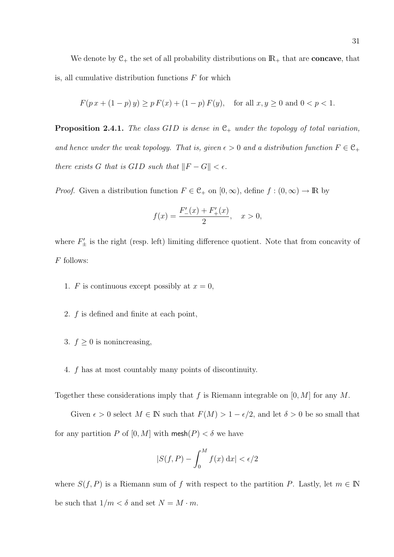We denote by  $C_+$  the set of all probability distributions on  $\mathbb{R}_+$  that are **concave**, that is, all cumulative distribution functions  $F$  for which

$$
F(p\,x + (1 - p)\,y) \ge p\,F(x) + (1 - p)\,F(y), \quad \text{for all } x, y \ge 0 \text{ and } 0 < p < 1.
$$

**Proposition 2.4.1.** The class GID is dense in  $C_+$  under the topology of total variation, and hence under the weak topology. That is, given  $\epsilon > 0$  and a distribution function  $F \in \mathcal{C}_+$ there exists G that is GID such that  $||F - G|| < \epsilon$ .

*Proof.* Given a distribution function  $F \in \mathcal{C}_+$  on  $[0, \infty)$ , define  $f : (0, \infty) \to \mathbb{R}$  by

$$
f(x) = \frac{F'_{-}(x) + F'_{+}(x)}{2}, \quad x > 0,
$$

where  $F'_{\pm}$  is the right (resp. left) limiting difference quotient. Note that from concavity of  $\cal F$  follows:

- 1. F is continuous except possibly at  $x = 0$ ,
- 2. f is defined and finite at each point,
- 3.  $f \geq 0$  is nonincreasing,
- 4. f has at most countably many points of discontinuity.

Together these considerations imply that f is Riemann integrable on  $[0, M]$  for any M.

Given  $\epsilon > 0$  select  $M \in \mathbb{N}$  such that  $F(M) > 1 - \epsilon/2$ , and let  $\delta > 0$  be so small that for any partition P of  $[0, M]$  with mesh $(P) < \delta$  we have

$$
|S(f, P) - \int_0^M f(x) \, \mathrm{d}x| < \epsilon/2
$$

where  $S(f, P)$  is a Riemann sum of f with respect to the partition P. Lastly, let  $m \in \mathbb{N}$ be such that  $1/m < \delta$  and set  $N = M \cdot m$ .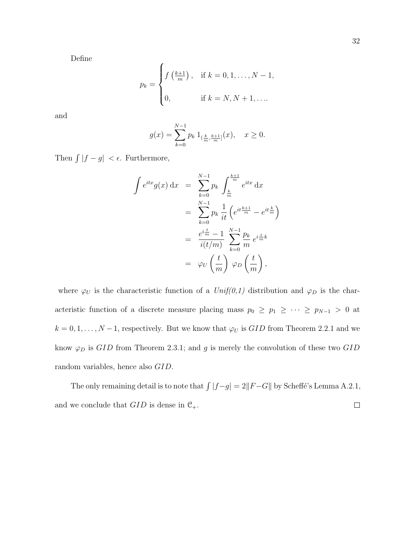Define

$$
p_k = \begin{cases} f\left(\frac{k+1}{m}\right), & \text{if } k = 0, 1, \dots, N-1, \\ 0, & \text{if } k = N, N+1, \dots \end{cases}
$$

and

$$
g(x) = \sum_{k=0}^{N-1} p_k \, 1_{(\frac{k}{m}, \frac{k+1}{m}]}(x), \quad x \ge 0.
$$

Then  $\int |f - g| < \epsilon$ . Furthermore,

$$
\int e^{itx} g(x) dx = \sum_{k=0}^{N-1} p_k \int_{\frac{k}{m}}^{\frac{k+1}{m}} e^{itx} dx
$$
  

$$
= \sum_{k=0}^{N-1} p_k \frac{1}{it} \left( e^{it \frac{k+1}{m}} - e^{it \frac{k}{m}} \right)
$$
  

$$
= \frac{e^{i \frac{t}{m}} - 1}{i(t/m)} \sum_{k=0}^{N-1} \frac{p_k}{m} e^{i \frac{t}{m} k}
$$
  

$$
= \varphi_U \left( \frac{t}{m} \right) \varphi_D \left( \frac{t}{m} \right),
$$

where  $\varphi_U$  is the characteristic function of a  $Unif(0,1)$  distribution and  $\varphi_D$  is the characteristic function of a discrete measure placing mass  $p_0 \ge p_1 \ge \cdots \ge p_{N-1} > 0$  at  $k = 0, 1, \ldots, N - 1$ , respectively. But we know that  $\varphi_U$  is  $GID$  from Theorem 2.2.1 and we know  $\varphi_D$  is  $GID$  from Theorem 2.3.1; and g is merely the convolution of these two  $GID$ random variables, hence also GID.

The only remaining detail is to note that  $\int |f-g| = 2||F-G||$  by Scheffé's Lemma A.2.1, and we conclude that  $GID$  is dense in  $C_{+}$ .  $\Box$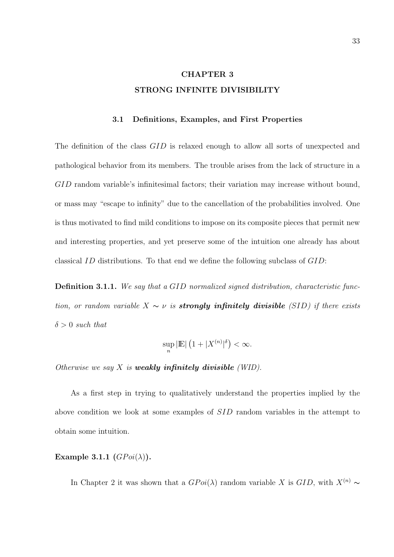# CHAPTER 3 STRONG INFINITE DIVISIBILITY

### 3.1 Definitions, Examples, and First Properties

The definition of the class  $GID$  is relaxed enough to allow all sorts of unexpected and pathological behavior from its members. The trouble arises from the lack of structure in a GID random variable's infinitesimal factors; their variation may increase without bound, or mass may "escape to infinity" due to the cancellation of the probabilities involved. One is thus motivated to find mild conditions to impose on its composite pieces that permit new and interesting properties, and yet preserve some of the intuition one already has about classical ID distributions. To that end we define the following subclass of GID:

Definition 3.1.1. We say that a GID normalized signed distribution, characteristic function, or random variable  $X \sim \nu$  is **strongly infinitely divisible** (SID) if there exists  $\delta > 0$  such that

$$
\sup_n |\mathbb{E}| (1+|X^{(n)}|^\delta) < \infty.
$$

Otherwise we say  $X$  is **weakly infinitely divisible** (WID).

As a first step in trying to qualitatively understand the properties implied by the above condition we look at some examples of SID random variables in the attempt to obtain some intuition.

Example 3.1.1  $(GPoi(\lambda))$ .

In Chapter 2 it was shown that a  $GPoi(\lambda)$  random variable X is  $GID$ , with  $X^{(n)} \sim$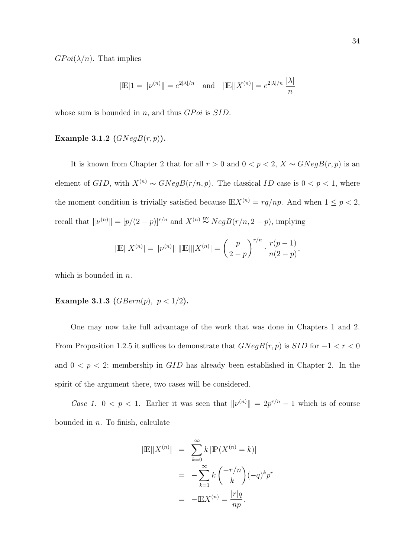$GPoi(\lambda/n)$ . That implies

$$
|\mathbb{E}|1 = ||\nu^{(n)}|| = e^{2|\lambda|/n}
$$
 and  $|\mathbb{E}||X^{(n)}| = e^{2|\lambda|/n} \frac{|\lambda|}{n}$ 

whose sum is bounded in n, and thus  $GPoi$  is  $SID$ .

### Example 3.1.2  $(GNegB(r, p)).$

It is known from Chapter 2 that for all  $r > 0$  and  $0 < p < 2$ ,  $X \sim GNegB(r, p)$  is an element of  $GID$ , with  $X^{(n)} \sim GNegB(r/n, p)$ . The classical ID case is  $0 < p < 1$ , where the moment condition is trivially satisfied because  $\mathbb{E}X^{(n)} = rq(np$ . And when  $1 \leq p < 2$ , recall that  $\|\nu^{(n)}\| = [p/(2-p)]^{r/n}$  and  $X^{(n)} \overset{\text{nv}}{\sim} NegB(r/n, 2-p)$ , implying

$$
|\mathbb{E}||X^{(n)}| = ||\nu^{(n)}|| \, ||\mathbb{E}|||X^{(n)}| = \left(\frac{p}{2-p}\right)^{r/n} \cdot \frac{r(p-1)}{n(2-p)},
$$

which is bounded in  $n$ .

# Example 3.1.3 ( $GBern(p)$ ,  $p < 1/2$ ).

One may now take full advantage of the work that was done in Chapters 1 and 2. From Proposition 1.2.5 it suffices to demonstrate that  $GNegB(r, p)$  is  $SID$  for  $-1 < r < 0$ and  $0 < p < 2$ ; membership in GID has already been established in Chapter 2. In the spirit of the argument there, two cases will be considered.

Case 1.  $0 < p < 1$ . Earlier it was seen that  $\|\nu^{(n)}\| = 2p^{r/n} - 1$  which is of course bounded in  $n$ . To finish, calculate

$$
|\mathbb{E}||X^{(n)}| = \sum_{k=0}^{\infty} k |\mathbb{P}(X^{(n)} = k)|
$$
  
= 
$$
-\sum_{k=1}^{\infty} k \binom{-r/n}{k} (-q)^k p^r
$$
  
= 
$$
-\mathbb{E}X^{(n)} = \frac{|r|q}{np}.
$$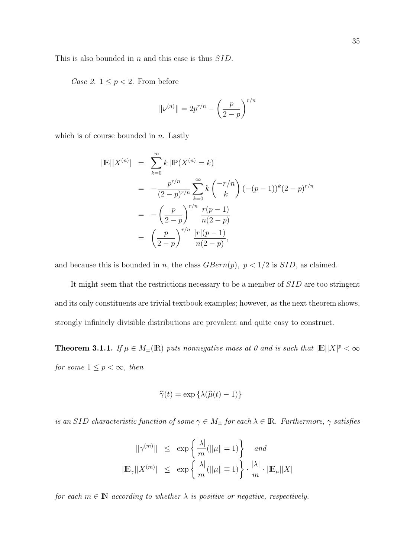This is also bounded in n and this case is thus SID.

Case 2.  $1 \leq p < 2$ . From before

$$
\|\nu^{(n)}\| = 2p^{r/n} - \left(\frac{p}{2-p}\right)^{r/n}
$$

which is of course bounded in  $n$ . Lastly

$$
|\mathbb{E}| |X^{(n)}| = \sum_{k=0}^{\infty} k | \mathbb{P}(X^{(n)} = k) |
$$
  
=  $-\frac{p^{r/n}}{(2-p)^{r/n}} \sum_{k=0}^{\infty} k { -r/n \choose k} (- (p-1))^k (2-p)^{r/n}$   
=  $-\left(\frac{p}{2-p}\right)^{r/n} \frac{r(p-1)}{n(2-p)}$   
=  $\left(\frac{p}{2-p}\right)^{r/n} \frac{|r|(p-1)}{n(2-p)},$ 

and because this is bounded in n, the class  $GBern(p)$ ,  $p < 1/2$  is  $SID$ , as claimed.

It might seem that the restrictions necessary to be a member of SID are too stringent and its only constituents are trivial textbook examples; however, as the next theorem shows, strongly infinitely divisible distributions are prevalent and quite easy to construct.

**Theorem 3.1.1.** If  $\mu \in M_{\pm}(\mathbb{R})$  puts nonnegative mass at 0 and is such that  $|\mathbb{E}| |X|^p < \infty$ for some  $1 \leq p < \infty$ , then

$$
\widehat{\gamma}(t) = \exp\left\{\lambda(\widehat{\mu}(t) - 1)\right\}
$$

is an SID characteristic function of some  $\gamma \in M_{\pm}$  for each  $\lambda \in \mathbb{R}$ . Furthermore,  $\gamma$  satisfies

$$
\begin{array}{rcl}\|\gamma^{(m)}\|&\leq&\exp\left\{\frac{|\lambda|}{m}(\|\mu\|\mp1)\right\}&\text{and}\\\|\mathbb{E}_{\gamma}\|X^{(m)}\|\leq&\exp\left\{\frac{|\lambda|}{m}(\|\mu\|\mp1)\right\}\cdot\frac{|\lambda|}{m}\cdot|\mathbb{E}_{\mu}||X|\\\end{array}
$$

for each  $m \in \mathbb{N}$  according to whether  $\lambda$  is positive or negative, respectively.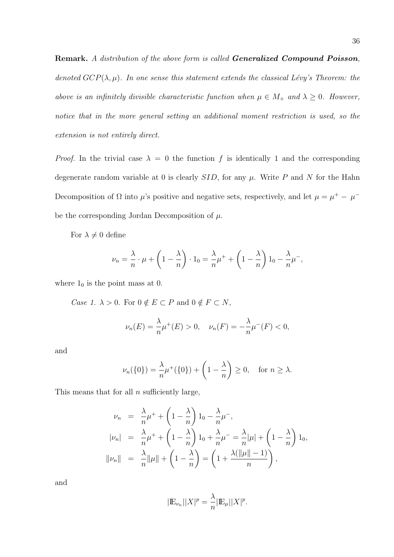Remark. A distribution of the above form is called Generalized Compound Poisson, denoted  $GCP(\lambda, \mu)$ . In one sense this statement extends the classical Lévy's Theorem: the above is an infinitely divisible characteristic function when  $\mu \in M_+$  and  $\lambda \geq 0$ . However, notice that in the more general setting an additional moment restriction is used, so the extension is not entirely direct.

*Proof.* In the trivial case  $\lambda = 0$  the function f is identically 1 and the corresponding degenerate random variable at 0 is clearly  $SID$ , for any  $\mu$ . Write P and N for the Hahn Decomposition of  $\Omega$  into  $\mu$ 's positive and negative sets, respectively, and let  $\mu = \mu^+ - \mu^$ be the corresponding Jordan Decomposition of  $\mu$ .

For  $\lambda \neq 0$  define

$$
\nu_n = \frac{\lambda}{n} \cdot \mu + \left(1 - \frac{\lambda}{n}\right) \cdot 1_0 = \frac{\lambda}{n} \mu^+ + \left(1 - \frac{\lambda}{n}\right) 1_0 - \frac{\lambda}{n} \mu^-,
$$

where  $1_0$  is the point mass at 0.

*Case 1.*  $\lambda > 0$ . For  $0 \notin E \subset P$  and  $0 \notin F \subset N$ ,

$$
\nu_n(E) = \frac{\lambda}{n} \mu^+(E) > 0, \quad \nu_n(F) = -\frac{\lambda}{n} \mu^-(F) < 0,
$$

and

$$
\nu_n(\{0\}) = \frac{\lambda}{n}\mu^+(\{0\}) + \left(1 - \frac{\lambda}{n}\right) \ge 0, \quad \text{for } n \ge \lambda.
$$

This means that for all  $n$  sufficiently large,

$$
\nu_n = \frac{\lambda}{n} \mu^+ + \left(1 - \frac{\lambda}{n}\right) 1_0 - \frac{\lambda}{n} \mu^-,
$$
  
\n
$$
|\nu_n| = \frac{\lambda}{n} \mu^+ + \left(1 - \frac{\lambda}{n}\right) 1_0 + \frac{\lambda}{n} \mu^- = \frac{\lambda}{n} |\mu| + \left(1 - \frac{\lambda}{n}\right) 1_0,
$$
  
\n
$$
||\nu_n|| = \frac{\lambda}{n} ||\mu|| + \left(1 - \frac{\lambda}{n}\right) = \left(1 + \frac{\lambda(||\mu|| - 1)}{n}\right),
$$

and

$$
|\mathbb{E}_{\nu_n}||X|^p = \frac{\lambda}{n} |\mathbb{E}_{\mu}||X|^p.
$$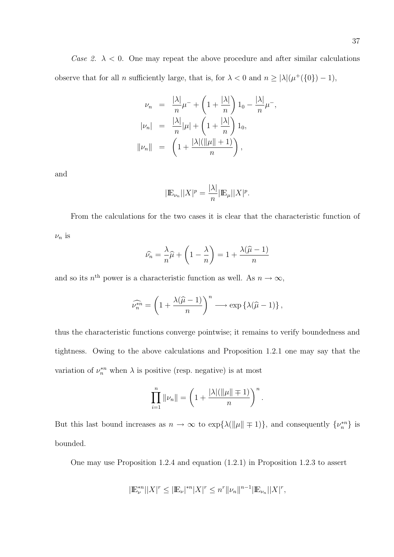$$
\nu_n = \frac{|\lambda|}{n} \mu^{-} + \left(1 + \frac{|\lambda|}{n}\right) 1_0 - \frac{|\lambda|}{n} \mu^{-},
$$
  
\n
$$
|\nu_n| = \frac{|\lambda|}{n} |\mu| + \left(1 + \frac{|\lambda|}{n}\right) 1_0,
$$
  
\n
$$
||\nu_n|| = \left(1 + \frac{|\lambda| (||\mu|| + 1)}{n}\right),
$$

and

$$
|\mathbb{E}_{\nu_n}||X|^p = \frac{|\lambda|}{n} |\mathbb{E}_{\mu}||X|^p.
$$

From the calculations for the two cases it is clear that the characteristic function of  $\nu_n$  is

$$
\widehat{\nu_n} = \frac{\lambda}{n}\widehat{\mu} + \left(1 - \frac{\lambda}{n}\right) = 1 + \frac{\lambda(\widehat{\mu} - 1)}{n}
$$

and so its  $n<sup>th</sup>$  power is a characteristic function as well. As  $n \to \infty$ ,

$$
\widehat{\nu_n^{*n}} = \left(1 + \frac{\lambda(\widehat{\mu} - 1)}{n}\right)^n \longrightarrow \exp\left\{\lambda(\widehat{\mu} - 1)\right\},\,
$$

thus the characteristic functions converge pointwise; it remains to verify boundedness and tightness. Owing to the above calculations and Proposition 1.2.1 one may say that the variation of  $\nu_n^{*n}$  when  $\lambda$  is positive (resp. negative) is at most

$$
\prod_{i=1}^n \|\nu_n\| = \left(1 + \frac{|\lambda|(\|\mu\| \mp 1)}{n}\right)^n.
$$

But this last bound increases as  $n \to \infty$  to  $\exp{\{\lambda(\|\mu\| \pm 1)\}}$ , and consequently  $\{\nu_n^{*n}\}\$ is bounded.

One may use Proposition 1.2.4 and equation (1.2.1) in Proposition 1.2.3 to assert

$$
|\mathbb{E}^{*n}_{\nu}||X|^r \leq |\mathbb{E}_{\nu}|^{*n}|X|^r \leq n^r \|\nu_n\|^{n-1} |\mathbb{E}_{\nu_n}||X|^r,
$$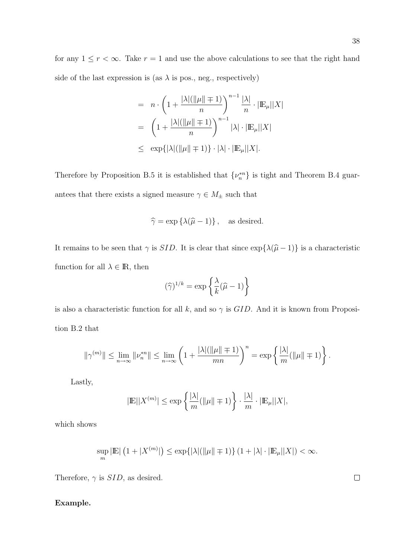for any  $1 \le r < \infty$ . Take  $r = 1$  and use the above calculations to see that the right hand side of the last expression is (as  $\lambda$  is pos., neg., respectively)

$$
= n \cdot \left(1 + \frac{|\lambda|(\|\mu\| \mp 1)}{n}\right)^{n-1} \frac{|\lambda|}{n} \cdot |\mathbb{E}_{\mu}||X|
$$

$$
= \left(1 + \frac{|\lambda|(\|\mu\| \mp 1)}{n}\right)^{n-1} |\lambda| \cdot |\mathbb{E}_{\mu}||X|
$$

$$
\leq \exp\{|\lambda|(\|\mu\| \mp 1)\} \cdot |\lambda| \cdot |\mathbb{E}_{\mu}||X|.
$$

Therefore by Proposition B.5 it is established that  $\{\nu_n^{*n}\}\$ is tight and Theorem B.4 guarantees that there exists a signed measure  $\gamma \in M_\pm$  such that

$$
\widehat{\gamma} = \exp\left\{\lambda(\widehat{\mu} - 1)\right\}, \text{ as desired.}
$$

It remains to be seen that  $\gamma$  is *SID*. It is clear that since  $\exp{\{\lambda(\hat{\mu} - 1)\}}$  is a characteristic function for all  $\lambda \in \mathbb{R}$ , then

$$
(\widehat{\gamma})^{1/k} = \exp\left\{\frac{\lambda}{k}(\widehat{\mu} - 1)\right\}
$$

is also a characteristic function for all k, and so  $\gamma$  is  $GID$ . And it is known from Proposition B.2 that

$$
\|\gamma^{(m)}\|\leq\lim_{n\to\infty}\|\nu_n^{*n}\|\leq\lim_{n\to\infty}\left(1+\frac{|\lambda|(\|\mu\|\mp1)}{mn}\right)^n=\exp\left\{\frac{|\lambda|}{m}(\|\mu\|\mp1)\right\}.
$$

Lastly,

$$
|\mathbb{E}||X^{(m)}| \le \exp\left\{\frac{|\lambda|}{m}(\|\mu\| \mp 1)\right\} \cdot \frac{|\lambda|}{m} \cdot |\mathbb{E}_{\mu}||X|,
$$

which shows

$$
\sup_{m} |\mathbb{E}| (1 + |X^{(m)}|) \le \exp\{|\lambda|(\|\mu\| \mp 1)\} (1 + |\lambda| \cdot |\mathbb{E}_{\mu}||X|) < \infty.
$$

Therefore,  $\gamma$  is  $SID,$  as desired.

### Example.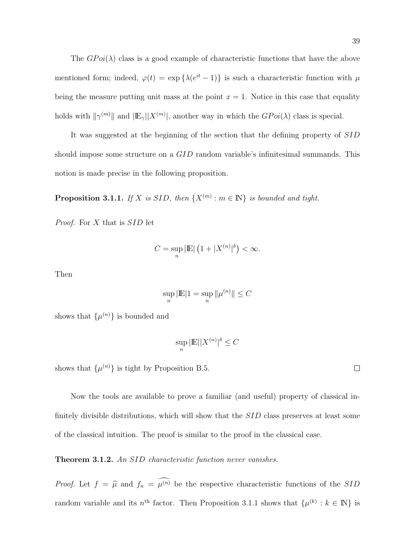The  $GPoi(\lambda)$  class is a good example of characteristic functions that have the above mentioned form; indeed,  $\varphi(t) = \exp\{\lambda(e^{it} - 1)\}\$ is such a characteristic function with  $\mu$ being the measure putting unit mass at the point  $x = 1$ . Notice in this case that equality holds with  $\|\gamma^{(m)}\|$  and  $|\mathbb{E}_{\gamma}||X^{(m)}|$ , another way in which the  $GPoi(\lambda)$  class is special.

It was suggested at the beginning of the section that the defining property of SID should impose some structure on a GID random variable's infinitesimal summands. This notion is made precise in the following proposition.

**Proposition 3.1.1.** If X is SID, then  $\{X^{(m)} : m \in \mathbb{N}\}\$ is bounded and tight.

Proof. For X that is SID let

$$
C = \sup_{n} |\mathbb{E}| \left( 1 + |X^{(n)}|^{b} \right) < \infty.
$$

Then

$$
\sup_n |\mathbb{E}|1 = \sup_n \|\mu^{(n)}\| \le C
$$

shows that  $\{\mu^{(n)}\}\)$  is bounded and

$$
\sup_n |\mathbb{E}| |X^{(n)}|^\delta \le C
$$

shows that  $\{\mu^{(n)}\}$  is tight by Proposition B.5.

Now the tools are available to prove a familiar (and useful) property of classical infinitely divisible distributions, which will show that the SID class preserves at least some of the classical intuition. The proof is similar to the proof in the classical case.

Theorem 3.1.2. An SID characteristic function never vanishes.

*Proof.* Let  $f = \hat{\mu}$  and  $f_n = \hat{\mu}^{(n)}$  be the respective characteristic functions of the SID random variable and its  $n^{\text{th}}$  factor. Then Proposition 3.1.1 shows that  $\{\mu^{(k)}: k \in \mathbb{N}\}\$ is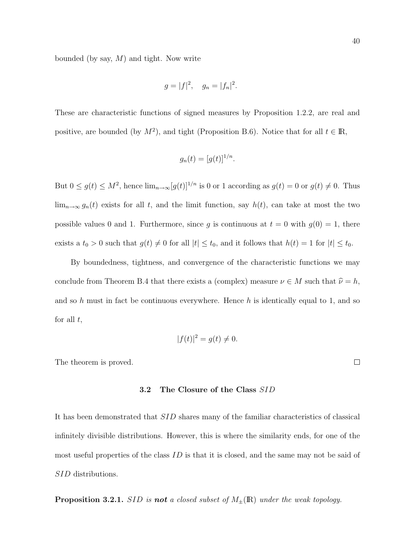bounded (by say,  $M$ ) and tight. Now write

$$
g = |f|^2, \quad g_n = |f_n|^2.
$$

These are characteristic functions of signed measures by Proposition 1.2.2, are real and positive, are bounded (by  $M^2$ ), and tight (Proposition B.6). Notice that for all  $t \in \mathbb{R}$ ,

$$
g_n(t) = [g(t)]^{1/n}.
$$

But  $0 \le g(t) \le M^2$ , hence  $\lim_{n\to\infty} [g(t)]^{1/n}$  is 0 or 1 according as  $g(t) = 0$  or  $g(t) \ne 0$ . Thus  $\lim_{n\to\infty} g_n(t)$  exists for all t, and the limit function, say  $h(t)$ , can take at most the two possible values 0 and 1. Furthermore, since g is continuous at  $t = 0$  with  $g(0) = 1$ , there exists a  $t_0 > 0$  such that  $g(t) \neq 0$  for all  $|t| \leq t_0$ , and it follows that  $h(t) = 1$  for  $|t| \leq t_0$ .

By boundedness, tightness, and convergence of the characteristic functions we may conclude from Theorem B.4 that there exists a (complex) measure  $\nu \in M$  such that  $\hat{\nu} = h$ , and so h must in fact be continuous everywhere. Hence h is identically equal to 1, and so for all  $t$ ,

$$
|f(t)|^2 = g(t) \neq 0.
$$

The theorem is proved.

### 3.2 The Closure of the Class SID

It has been demonstrated that SID shares many of the familiar characteristics of classical infinitely divisible distributions. However, this is where the similarity ends, for one of the most useful properties of the class  $ID$  is that it is closed, and the same may not be said of SID distributions.

**Proposition 3.2.1.** SID is **not** a closed subset of  $M_{\pm}(\mathbb{R})$  under the weak topology.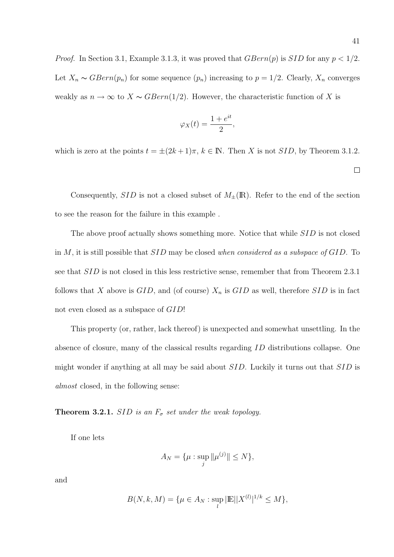$$
\varphi_X(t) = \frac{1 + e^{it}}{2},
$$

which is zero at the points  $t = \pm (2k+1)\pi$ ,  $k \in \mathbb{N}$ . Then X is not SID, by Theorem 3.1.2.

 $\Box$ 

Consequently,  $SID$  is not a closed subset of  $M_{\pm}(\mathbb{R})$ . Refer to the end of the section to see the reason for the failure in this example .

The above proof actually shows something more. Notice that while SID is not closed in M, it is still possible that SID may be closed when considered as a subspace of GID. To see that  $SID$  is not closed in this less restrictive sense, remember that from Theorem 2.3.1 follows that X above is  $GID$ , and (of course)  $X_n$  is  $GID$  as well, therefore  $SID$  is in fact not even closed as a subspace of GID!

This property (or, rather, lack thereof) is unexpected and somewhat unsettling. In the absence of closure, many of the classical results regarding ID distributions collapse. One might wonder if anything at all may be said about SID. Luckily it turns out that SID is almost closed, in the following sense:

**Theorem 3.2.1.** SID is an  $F_{\sigma}$  set under the weak topology.

If one lets

$$
A_N = \{\mu : \sup_j \|\mu^{(j)}\| \le N\},\
$$

and

$$
B(N, k, M) = \{ \mu \in A_N : \sup_l |\mathbb{E}| |X^{(l)}|^{1/k} \le M \},
$$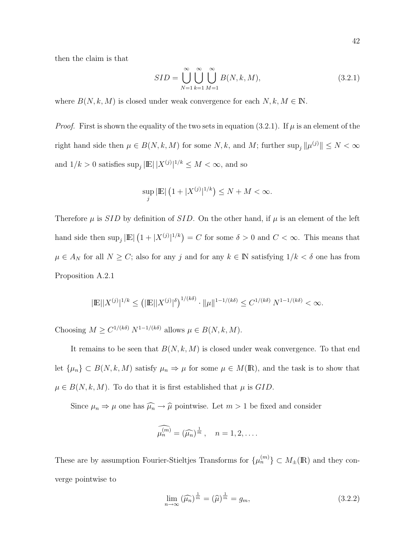then the claim is that

$$
SID = \bigcup_{N=1}^{\infty} \bigcup_{k=1}^{\infty} \bigcup_{M=1}^{\infty} B(N, k, M), \qquad (3.2.1)
$$

where  $B(N, k, M)$  is closed under weak convergence for each  $N, k, M \in \mathbb{N}$ .

*Proof.* First is shown the equality of the two sets in equation (3.2.1). If  $\mu$  is an element of the right hand side then  $\mu \in B(N, k, M)$  for some N, k, and M; further  $\sup_j \|\mu^{(j)}\| \le N < \infty$ and  $1/k > 0$  satisfies  $\sup_j |\mathbb{E}| |X^{(j)}|^{1/k} \leq M < \infty$ , and so

$$
\sup_{j} |\mathbb{E}| (1 + |X^{(j)}|^{1/k}) \le N + M < \infty.
$$

Therefore  $\mu$  is SID by definition of SID. On the other hand, if  $\mu$  is an element of the left hand side then  $\sup_j |E|$ ¡  $1+|X^{(j)}|^{1/k}$  = C for some  $\delta > 0$  and  $C < \infty$ . This means that  $\mu \in A_N$  for all  $N \geq C$ ; also for any j and for any  $k \in \mathbb{N}$  satisfying  $1/k < \delta$  one has from Proposition A.2.1

$$
|\mathbb{E}||X^{(j)}|^{1/k} \leq \left(|\mathbb{E}||X^{(j)}|^{\delta}\right)^{1/(k\delta)} \cdot ||\mu||^{1-1/(k\delta)} \leq C^{1/(k\delta)} N^{1-1/(k\delta)} < \infty.
$$

Choosing  $M \ge C^{1/(k\delta)} N^{1-1/(k\delta)}$  allows  $\mu \in B(N, k, M)$ .

It remains to be seen that  $B(N, k, M)$  is closed under weak convergence. To that end let  $\{\mu_n\} \subset B(N, k, M)$  satisfy  $\mu_n \Rightarrow \mu$  for some  $\mu \in M(\mathbb{R})$ , and the task is to show that  $\mu \in B(N, k, M)$ . To do that it is first established that  $\mu$  is GID.

Since  $\mu_n \Rightarrow \mu$  one has  $\widehat{\mu_n} \rightarrow \widehat{\mu}$  pointwise. Let  $m > 1$  be fixed and consider

$$
\widehat{\mu_n^{(m)}} = (\widehat{\mu_n})^{\frac{1}{m}}, \quad n = 1, 2, \dots
$$

These are by assumption Fourier-Stieltjes Transforms for  $\{\mu_n^{(m)}\} \subset M_{\pm}(\mathbb{R})$  and they converge pointwise to

$$
\lim_{n \to \infty} (\widehat{\mu_n})^{\frac{1}{m}} = (\widehat{\mu})^{\frac{1}{m}} = g_m,
$$
\n(3.2.2)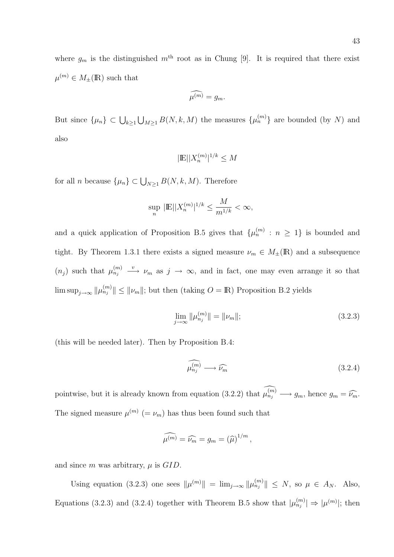where  $g_m$  is the distinguished  $m<sup>th</sup>$  root as in Chung [9]. It is required that there exist  $\mu^{(m)} \in M_{\pm}(\mathbb{R})$  such that

$$
\widehat{\mu^{(m)}} = g_m.
$$

But since  $\{\mu_n\} \subset \bigcup_{k \geq 1}$ S  $_{M\geq 1} B(N, k, M)$  the measures  $\{\mu_n^{(m)}\}$  are bounded (by N) and also

$$
|\mathbb{E}||X_n^{(m)}|^{1/k} \le M
$$

for all *n* because  $\{\mu_n\} \subset \bigcup_{N \geq 1} B(N, k, M)$ . Therefore

$$
\sup_n\,|\mathbb{E}||X_n^{(m)}|^{1/k}\leq \frac{M}{m^{1/k}}<\infty,
$$

and a quick application of Proposition B.5 gives that  $\{\mu_n^{(m)} : n \geq 1\}$  is bounded and tight. By Theorem 1.3.1 there exists a signed measure  $\nu_m \in M_{\pm}(\mathbb{R})$  and a subsequence  $(n_j)$  such that  $\mu_{n_j}^{(m)} \longrightarrow \nu_m$  as  $j \to \infty$ , and in fact, one may even arrange it so that  $\limsup_{j\to\infty} ||\mu_{n_j}^{(m)}|| \le ||\nu_m||$ ; but then (taking  $O = \mathbb{R}$ ) Proposition B.2 yields

$$
\lim_{j \to \infty} \|\mu_{n_j}^{(m)}\| = \|\nu_m\|; \tag{3.2.3}
$$

(this will be needed later). Then by Proposition B.4:

$$
\widehat{\mu_{n_j}^{(m)}} \longrightarrow \widehat{\nu_m} \tag{3.2.4}
$$

pointwise, but it is already known from equation (3.2.2) that  $\widehat{\mu_{n_j}^{(m)}} \longrightarrow g_m$ , hence  $g_m = \widehat{\nu_m}$ . The signed measure  $\mu^{(m)}$  (=  $\nu_m$ ) has thus been found such that

$$
\widehat{\mu^{(m)}} = \widehat{\nu_m} = g_m = \left(\widehat{\mu}\right)^{1/m},
$$

and since m was arbitrary,  $\mu$  is  $GID$ .

Using equation (3.2.3) one sees  $\|\mu^{(m)}\| = \lim_{j\to\infty} \|\mu^{(m)}_{n_j}\| \leq N$ , so  $\mu \in A_N$ . Also, Equations (3.2.3) and (3.2.4) together with Theorem B.5 show that  $|\mu_{n_j}^{(m)}| \Rightarrow |\mu^{(m)}|$ ; then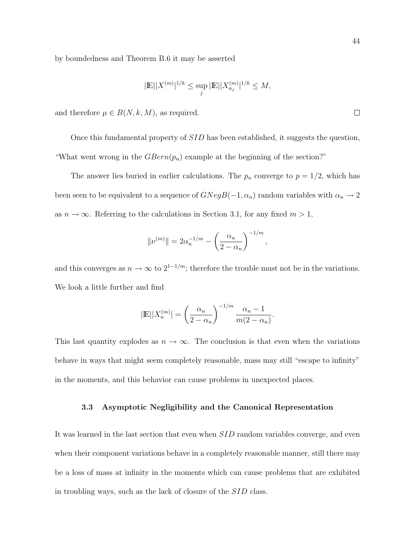by boundedness and Theorem B.6 it may be asserted

$$
|\mathbb{E}| |X^{(m)}|^{1/k} \leq \sup_j |\mathbb{E}| |X_{n_j}^{(m)}|^{1/k} \leq M,
$$

and therefore  $\mu \in B(N, k, M)$ , as required.

Once this fundamental property of SID has been established, it suggests the question, "What went wrong in the  $GBern(p_n)$  example at the beginning of the section?"

The answer lies buried in earlier calculations. The  $p_n$  converge to  $p = 1/2$ , which has been seen to be equivalent to a sequence of  $GNegB(-1, \alpha_n)$  random variables with  $\alpha_n \to 2$ as  $n \to \infty$ . Referring to the calculations in Section 3.1, for any fixed  $m > 1$ ,

$$
\|\nu^{(m)}\| = 2\alpha_n^{-1/m} - \left(\frac{\alpha_n}{2 - \alpha_n}\right)^{-1/m},
$$

and this converges as  $n \to \infty$  to  $2^{1-1/m}$ ; therefore the trouble must not be in the variations. We look a little further and find

$$
|\mathbb{E}| |X_n^{(m)}| = \left(\frac{\alpha_n}{2-\alpha_n}\right)^{-1/m} \frac{\alpha_n - 1}{m(2-\alpha_n)}.
$$

This last quantity explodes as  $n \to \infty$ . The conclusion is that even when the variations behave in ways that might seem completely reasonable, mass may still "escape to infinity" in the moments, and this behavior can cause problems in unexpected places.

### 3.3 Asymptotic Negligibility and the Canonical Representation

It was learned in the last section that even when SID random variables converge, and even when their component variations behave in a completely reasonable manner, still there may be a loss of mass at infinity in the moments which can cause problems that are exhibited in troubling ways, such as the lack of closure of the SID class.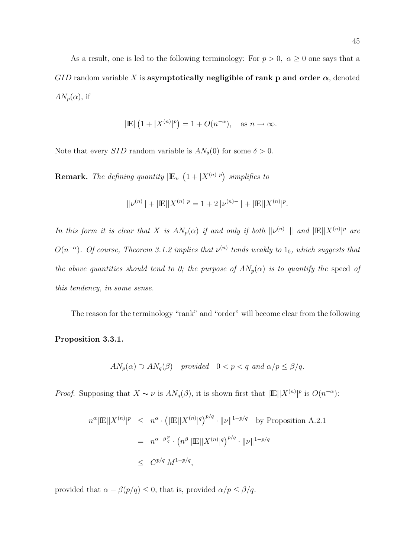As a result, one is led to the following terminology: For  $p > 0$ ,  $\alpha \ge 0$  one says that a GID random variable X is asymptotically negligible of rank p and order  $\alpha$ , denoted  $AN_p(\alpha)$ , if

$$
|\mathbb{E}| (1+|X^{(n)}|^p) = 1 + O(n^{-\alpha}), \text{ as } n \to \infty.
$$

Note that every *SID* random variable is  $AN_{\delta}(0)$  for some  $\delta > 0$ .

**Remark.** The defining quantity  $|E_{\nu}|$ ¡  $1 + |X^{(n)}|^p$ simplifies to

$$
\|\nu^{(n)}\| + |\mathbb{E}||X^{(n)}|^p = 1 + 2\|\nu^{(n)-}\| + |\mathbb{E}||X^{(n)}|^p.
$$

In this form it is clear that X is  $AN_p(\alpha)$  if and only if both  $\|\nu^{(n)}\|$  and  $|\mathbb{E}| |X^{(n)}|^p$  are  $O(n^{-\alpha})$ . Of course, Theorem 3.1.2 implies that  $\nu^{(n)}$  tends weakly to  $1_0$ , which suggests that the above quantities should tend to 0; the purpose of  $AN_p(\alpha)$  is to quantify the speed of this tendency, in some sense.

The reason for the terminology "rank" and "order" will become clear from the following

### Proposition 3.3.1.

$$
AN_p(\alpha) \supset AN_q(\beta)
$$
 provided  $0 < p < q$  and  $\alpha/p \le \beta/q$ .

*Proof.* Supposing that  $X \sim \nu$  is  $AN_q(\beta)$ , it is shown first that  $|\mathbb{E}| |X^{(n)}|^p$  is  $O(n^{-\alpha})$ :

$$
n^{\alpha} |\mathbb{E}| |X^{(n)}|^p \leq n^{\alpha} \cdot (|\mathbb{E}| |X^{(n)}|^q)^{p/q} \cdot ||\nu||^{1-p/q} \text{ by Proposition A.2.1}
$$
  
=  $n^{\alpha-\beta\frac{p}{q}} \cdot (n^{\beta} |\mathbb{E}| |X^{(n)}|^q)^{p/q} \cdot ||\nu||^{1-p/q}$   
 $\leq C^{p/q} M^{1-p/q},$ 

provided that  $\alpha - \beta(p/q) \leq 0$ , that is, provided  $\alpha/p \leq \beta/q$ .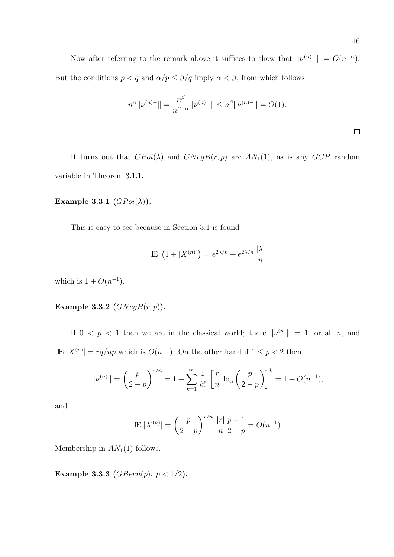Now after referring to the remark above it suffices to show that  $\|\nu^{(n)}\| = O(n^{-\alpha})$ . But the conditions  $p < q$  and  $\alpha/p \le \beta/q$  imply  $\alpha < \beta$ , from which follows

$$
n^{\alpha} \|\nu^{(n)-}\| = \frac{n^{\beta}}{n^{\beta-\alpha}} \|\nu^{(n)-}\| \le n^{\beta} \|\nu^{(n)-}\| = O(1).
$$

It turns out that  $G P o i(\lambda)$  and  $G N e g B(r, p)$  are  $AN_1(1)$ , as is any  $GCP$  random variable in Theorem 3.1.1.

# Example 3.3.1  $(GPoi(\lambda)).$

This is easy to see because in Section 3.1 is found

$$
|\mathbb{E}| (1+|X^{(n)}|) = e^{2\lambda/n} + e^{2\lambda/n} \frac{|\lambda|}{n}
$$

which is  $1 + O(n^{-1})$ .

### Example 3.3.2  $(GNegB(r, p))$ .

If  $0 \leq p \leq 1$  then we are in the classical world; there  $\|\nu^{(n)}\| = 1$  for all n, and  $|\mathbb{E}| |X^{(n)}| = r q / np$  which is  $O(n^{-1})$ . On the other hand if  $1 \leq p < 2$  then

$$
\|\nu^{(n)}\| = \left(\frac{p}{2-p}\right)^{r/n} = 1 + \sum_{k=1}^{\infty} \frac{1}{k!} \left[\frac{r}{n} \log\left(\frac{p}{2-p}\right)\right]^k = 1 + O(n^{-1}),
$$

and

$$
|\mathbb{E}| |X^{(n)}| = \left(\frac{p}{2-p}\right)^{r/n} \frac{|r|}{n} \frac{p-1}{2-p} = O(n^{-1}).
$$

Membership in  $AN<sub>1</sub>(1)$  follows.

Example 3.3.3 ( $GBern(p)$ ,  $p < 1/2$ ).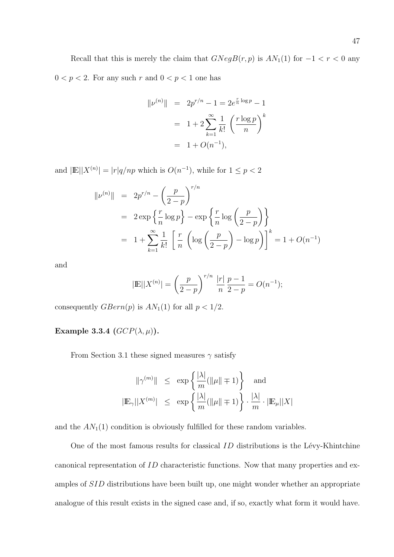Recall that this is merely the claim that  $GNegB(r, p)$  is  $AN_1(1)$  for  $-1 < r < 0$  any  $0 < p < 2.$  For any such  $r$  and  $0 < p < 1$  one has

$$
||\nu^{(n)}|| = 2p^{r/n} - 1 = 2e^{\frac{r}{n}\log p} - 1
$$
  
=  $1 + 2\sum_{k=1}^{\infty} \frac{1}{k!} \left(\frac{r\log p}{n}\right)^k$   
=  $1 + O(n^{-1}),$ 

and  $|\mathbb{E}| |X^{(n)}| = |r| q / np$  which is  $O(n^{-1})$ , while for  $1 \leq p < 2$ 

$$
\| \nu^{(n)} \| = 2p^{r/n} - \left(\frac{p}{2-p}\right)^{r/n}
$$
  
=  $2 \exp\left\{\frac{r}{n} \log p\right\} - \exp\left\{\frac{r}{n} \log\left(\frac{p}{2-p}\right)\right\}$   
=  $1 + \sum_{k=1}^{\infty} \frac{1}{k!} \left[\frac{r}{n} \left(\log\left(\frac{p}{2-p}\right) - \log p\right)\right]^k = 1 + O(n^{-1})$ 

and

$$
|\mathbb{E}| |X^{(n)}| = \left(\frac{p}{2-p}\right)^{r/n} \frac{|r|}{n} \frac{p-1}{2-p} = O(n^{-1});
$$

consequently  $GBern(p)$  is  $AN_1(1)$  for all  $p < 1/2$ .

Example 3.3.4  $(GCP(\lambda, \mu))$ .

From Section 3.1 these signed measures  $\gamma$  satisfy

$$
\begin{array}{rcl}\|\gamma^{(m)}\|&\leq&\exp\left\{\frac{|\lambda|}{m}(\|\mu\|\mp1)\right\}&\mbox{and}\\\ |\mathbb{E}_\gamma||X^{(m)}|&\leq&\exp\left\{\frac{|\lambda|}{m}(\|\mu\|\mp1)\right\}\cdot\frac{|\lambda|}{m}\cdot|\mathbb{E}_\mu||X| \end{array}
$$

and the  $AN_1(1)$  condition is obviously fulfilled for these random variables.

One of the most famous results for classical  $ID$  distributions is the Lévy-Khintchine canonical representation of ID characteristic functions. Now that many properties and examples of SID distributions have been built up, one might wonder whether an appropriate analogue of this result exists in the signed case and, if so, exactly what form it would have.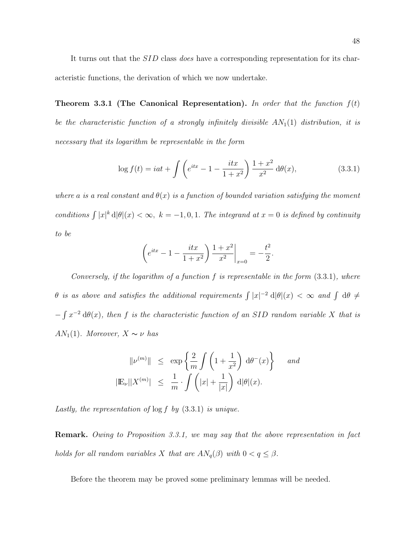It turns out that the *SID* class *does* have a corresponding representation for its characteristic functions, the derivation of which we now undertake.

**Theorem 3.3.1 (The Canonical Representation).** In order that the function  $f(t)$ be the characteristic function of a strongly infinitely divisible  $AN_1(1)$  distribution, it is necessary that its logarithm be representable in the form

$$
\log f(t) = iat + \int \left( e^{itx} - 1 - \frac{itx}{1 + x^2} \right) \frac{1 + x^2}{x^2} d\theta(x), \tag{3.3.1}
$$

where a is a real constant and  $\theta(x)$  is a function of bounded variation satisfying the moment conditions  $\int |x|^k d|\theta|(x) < \infty$ ,  $k = -1, 0, 1$ . The integrand at  $x = 0$  is defined by continuity to be

$$
\left(e^{itx} - 1 - \frac{itx}{1+x^2}\right) \frac{1+x^2}{x^2}\bigg|_{x=0} = -\frac{t^2}{2}.
$$

Conversely, if the logarithm of a function f is representable in the form  $(3.3.1)$ , where θ is as above and satisfies the additional requirements  $\int |x|^{-2} d|\theta|(x) < ∞$  and  $\int d\theta \neq$ − R  $x^{-2} d\theta(x)$ , then f is the characteristic function of an SID random variable X that is AN<sub>1</sub>(1). Moreover,  $X \sim \nu$  has

$$
\|\nu^{(m)}\| \le \exp\left\{\frac{2}{m}\int \left(1+\frac{1}{x^2}\right) d\theta^-(x)\right\} \text{ and}
$$
  

$$
|\mathbb{E}_{\nu}||X^{(m)}| \le \frac{1}{m} \cdot \int \left(|x|+\frac{1}{|x|}\right) d|\theta|(x).
$$

Lastly, the representation of  $\log f$  by  $(3.3.1)$  is unique.

Remark. Owing to Proposition 3.3.1, we may say that the above representation in fact holds for all random variables X that are  $AN_q(\beta)$  with  $0 < q \leq \beta$ .

Before the theorem may be proved some preliminary lemmas will be needed.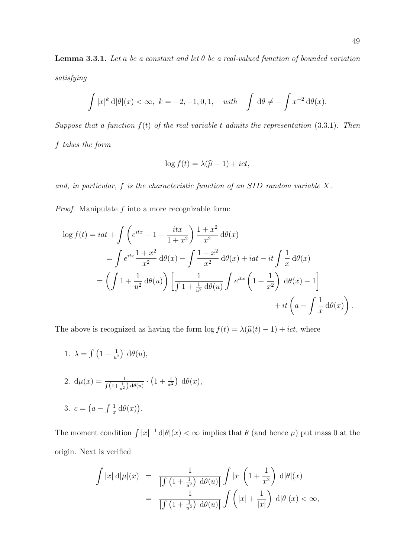**Lemma 3.3.1.** Let a be a constant and let  $\theta$  be a real-valued function of bounded variation satisfying

$$
\int |x|^k \, d|\theta|(x) < \infty, \ k = -2, -1, 0, 1, \quad \text{with} \quad \int d\theta \neq -\int x^{-2} \, d\theta(x).
$$

Suppose that a function  $f(t)$  of the real variable t admits the representation (3.3.1). Then f takes the form

$$
\log f(t) = \lambda(\widehat{\mu} - 1) + ict,
$$

and, in particular, f is the characteristic function of an SID random variable X.

Proof. Manipulate f into a more recognizable form:

$$
\log f(t) = iat + \int \left( e^{itx} - 1 - \frac{itx}{1+x^2} \right) \frac{1+x^2}{x^2} d\theta(x)
$$
  
= 
$$
\int e^{itx} \frac{1+x^2}{x^2} d\theta(x) - \int \frac{1+x^2}{x^2} d\theta(x) + iat - it \int \frac{1}{x} d\theta(x)
$$
  
= 
$$
\left( \int 1 + \frac{1}{u^2} d\theta(u) \right) \left[ \frac{1}{\int 1 + \frac{1}{u^2} d\theta(u)} \int e^{itx} \left( 1 + \frac{1}{x^2} \right) d\theta(x) - 1 \right]
$$
  
+ 
$$
+ it \left( a - \int \frac{1}{x} d\theta(x) \right).
$$

The above is recognized as having the form  $\log f(t) = \lambda(\hat{\mu}(t) - 1) + ict$ , where

- 1.  $\lambda =$  $\overline{R}$  $1 + \frac{1}{u^2}$ ¢  $d\theta(u)$ ,
- 2.  $d\mu(x) = \frac{1}{\int (1 + \frac{1}{u^2}) d\theta(u)}$ . ¡  $1 + \frac{1}{x^2}$ ¢  $d\theta(x),$
- 3.  $c =$ ¡  $a \int_1^1$  $\frac{1}{x} d\theta(x)$ ¢ .

The moment condition  $\int |x|^{-1} d|\theta|(x) < \infty$  implies that  $\theta$  (and hence  $\mu$ ) put mass 0 at the origin. Next is verified

$$
\int |x| d|\mu|(x) = \frac{1}{\left| \int \left(1 + \frac{1}{u^2}\right) d\theta(u) \right|} \int |x| \left(1 + \frac{1}{x^2}\right) d|\theta|(x)
$$

$$
= \frac{1}{\left| \int \left(1 + \frac{1}{u^2}\right) d\theta(u) \right|} \int \left(|x| + \frac{1}{|x|}\right) d|\theta|(x) < \infty,
$$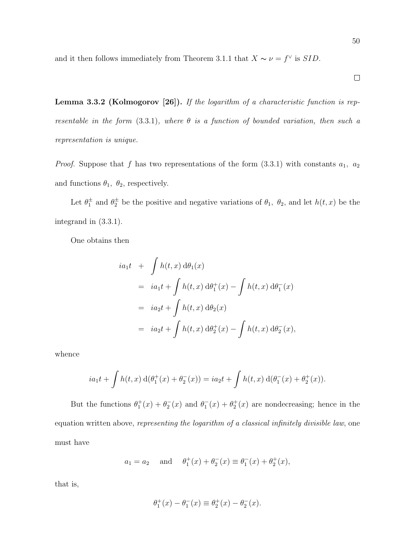and it then follows immediately from Theorem 3.1.1 that  $X \sim \nu = f^{\vee}$  is *SID*.

Lemma 3.3.2 (Kolmogorov [26]). If the logarithm of a characteristic function is representable in the form  $(3.3.1)$ , where  $\theta$  is a function of bounded variation, then such a representation is unique.

*Proof.* Suppose that f has two representations of the form  $(3.3.1)$  with constants  $a_1, a_2$ and functions  $\theta_1$ ,  $\theta_2$ , respectively.

Let  $\theta_1^{\pm}$  and  $\theta_2^{\pm}$  be the positive and negative variations of  $\theta_1$ ,  $\theta_2$ , and let  $h(t, x)$  be the integrand in (3.3.1).

One obtains then

$$
ia_1t + \int h(t, x) d\theta_1(x)
$$
  
=  $ia_1t + \int h(t, x) d\theta_1^+(x) - \int h(t, x) d\theta_1^-(x)$   
=  $ia_2t + \int h(t, x) d\theta_2(x)$   
=  $ia_2t + \int h(t, x) d\theta_2^+(x) - \int h(t, x) d\theta_2^-(x)$ ,

whence

$$
ia_1t + \int h(t,x) \, d(\theta_1^+(x) + \theta_2^-(x)) = ia_2t + \int h(t,x) \, d(\theta_1^-(x) + \theta_2^+(x)).
$$

But the functions  $\theta_1^+(x) + \theta_2^-(x)$  and  $\theta_1^-(x) + \theta_2^+(x)$  are nondecreasing; hence in the equation written above, representing the logarithm of a classical infinitely divisible law, one must have

$$
a_1 = a_2
$$
 and  $\theta_1^+(x) + \theta_2^-(x) \equiv \theta_1^-(x) + \theta_2^+(x)$ ,

that is,

$$
\theta_1^+(x) - \theta_1^-(x) \equiv \theta_2^+(x) - \theta_2^-(x).
$$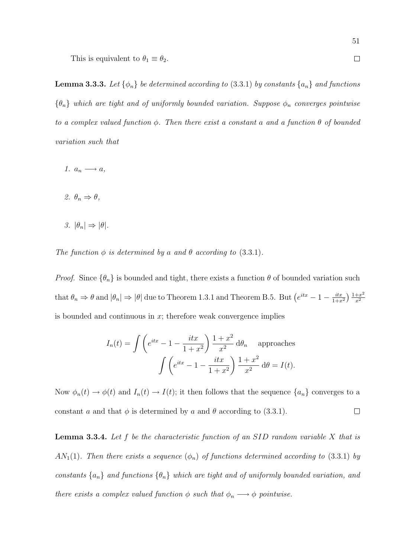This is equivalent to  $\theta_1 \equiv \theta_2$ .

**Lemma 3.3.3.** Let  $\{\phi_n\}$  be determined according to (3.3.1) by constants  $\{a_n\}$  and functions  ${\lbrace \theta_n \rbrace}$  which are tight and of uniformly bounded variation. Suppose  $\phi_n$  converges pointwise to a complex valued function  $\phi$ . Then there exist a constant a and a function  $\theta$  of bounded variation such that

- 1.  $a_n \longrightarrow a$ ,
- 2.  $\theta_n \Rightarrow \theta$ ,
- 3.  $|\theta_n| \Rightarrow |\theta|$ .

The function  $\phi$  is determined by a and  $\theta$  according to (3.3.1).

*Proof.* Since  $\{\theta_n\}$  is bounded and tight, there exists a function  $\theta$  of bounded variation such that  $\theta_n \Rightarrow \theta$  and  $|\theta_n| \Rightarrow |\theta|$  due to Theorem 1.3.1 and Theorem B.5. But  $(e^{itx} - 1 - \frac{itx}{1+r})$  $\frac{1+x^2}{x}$  $\left(1+x^2\right)$  $\overline{x^2}$ is bounded and continuous in  $x$ ; therefore weak convergence implies

$$
I_n(t) = \int \left( e^{itx} - 1 - \frac{itx}{1+x^2} \right) \frac{1+x^2}{x^2} d\theta_n \quad \text{approaches}
$$

$$
\int \left( e^{itx} - 1 - \frac{itx}{1+x^2} \right) \frac{1+x^2}{x^2} d\theta = I(t).
$$

Now  $\phi_n(t) \to \phi(t)$  and  $I_n(t) \to I(t)$ ; it then follows that the sequence  $\{a_n\}$  converges to a  $\Box$ constant a and that  $\phi$  is determined by a and  $\theta$  according to (3.3.1).

**Lemma 3.3.4.** Let  $f$  be the characteristic function of an SID random variable  $X$  that is  $AN_1(1)$ . Then there exists a sequence  $(\phi_n)$  of functions determined according to (3.3.1) by constants  $\{a_n\}$  and functions  $\{\theta_n\}$  which are tight and of uniformly bounded variation, and there exists a complex valued function  $\phi$  such that  $\phi_n \longrightarrow \phi$  pointwise.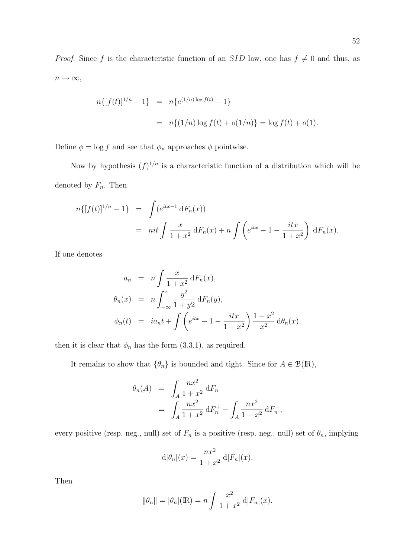*Proof.* Since f is the characteristic function of an SID law, one has  $f \neq 0$  and thus, as  $n \to \infty$ ,

$$
n\{[f(t)]^{1/n} - 1\} = n\{e^{(1/n)\log f(t)} - 1\}
$$
  
= 
$$
n\{(1/n)\log f(t) + o(1/n)\} = \log f(t) + o(1).
$$

Define  $\phi = \log f$  and see that  $\phi_n$  approaches  $\phi$  pointwise.

Now by hypothesis  $(f)^{1/n}$  is a characteristic function of a distribution which will be denoted by  $F_n$ . Then

$$
n\{[f(t)]^{1/n} - 1\} = \int (e^{itx-1} dF_n(x))
$$
  
=  $nit \int \frac{x}{1+x^2} dF_n(x) + n \int \left(e^{itx} - 1 - \frac{itx}{1+x^2}\right) dF_n(x).$ 

If one denotes

$$
a_n = n \int \frac{x}{1+x^2} dF_n(x),
$$
  
\n
$$
\theta_n(x) = n \int_{-\infty}^x \frac{y^2}{1+y^2} dF_n(y),
$$
  
\n
$$
\phi_n(t) = ia_n t + \int \left( e^{itx} - 1 - \frac{itx}{1+x^2} \right) \frac{1+x^2}{x^2} d\theta_n(x),
$$

then it is clear that  $\phi_n$  has the form (3.3.1), as required.

It remains to show that  $\{\theta_n\}$  is bounded and tight. Since for  $A \in \mathcal{B}(\mathbb{R})$ ,

$$
\theta_n(A) = \int_A \frac{nx^2}{1+x^2} dF_n
$$
  
= 
$$
\int_A \frac{nx^2}{1+x^2} dF_n^+ - \int_A \frac{nx^2}{1+x^2} dF_n^-,
$$

every positive (resp. neg., null) set of  $F_n$  is a positive (resp. neg., null) set of  $\theta_n$ , implying

$$
d|\theta_n|(x) = \frac{nx^2}{1+x^2} \, d|F_n|(x).
$$

Then

$$
\|\theta_n\| = |\theta_n|(\mathbb{R}) = n \int \frac{x^2}{1+x^2} \, d|F_n|(x).
$$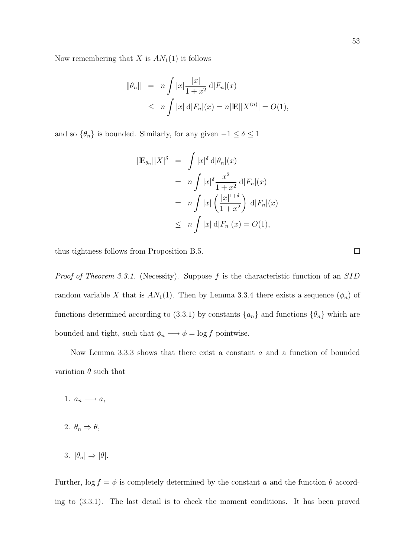Now remembering that X is  $AN_1(1)$  it follows

$$
\|\theta_n\| = n \int |x| \frac{|x|}{1+x^2} d|F_n|(x)
$$
  
\n
$$
\leq n \int |x| d|F_n|(x) = n|\mathbb{E}||X^{(n)}| = O(1),
$$

and so  $\{\theta_n\}$  is bounded. Similarly, for any given  $-1 \le \delta \le 1$ 

$$
|\mathbb{E}_{\theta_n}||X|^{\delta} = \int |x|^{\delta} d|\theta_n|(x)
$$
  
=  $n \int |x|^{\delta} \frac{x^2}{1+x^2} d|F_n|(x)$   
=  $n \int |x| \left(\frac{|x|^{1+\delta}}{1+x^2}\right) d|F_n|(x)$   
 $\leq n \int |x| d|F_n|(x) = O(1),$ 

thus tightness follows from Proposition B.5.

*Proof of Theorem 3.3.1.* (Necessity). Suppose  $f$  is the characteristic function of an  $SID$ random variable X that is  $AN_1(1)$ . Then by Lemma 3.3.4 there exists a sequence  $(\phi_n)$  of functions determined according to (3.3.1) by constants  $\{a_n\}$  and functions  $\{\theta_n\}$  which are bounded and tight, such that  $\phi_n \longrightarrow \phi = \log f$  pointwise.

Now Lemma 3.3.3 shows that there exist a constant a and a function of bounded variation  $\theta$  such that

- 1.  $a_n \longrightarrow a$ ,
- 2.  $\theta_n \Rightarrow \theta$ ,
- 3.  $|\theta_n| \Rightarrow |\theta|$ .

Further,  $\log f = \phi$  is completely determined by the constant a and the function  $\theta$  according to (3.3.1). The last detail is to check the moment conditions. It has been proved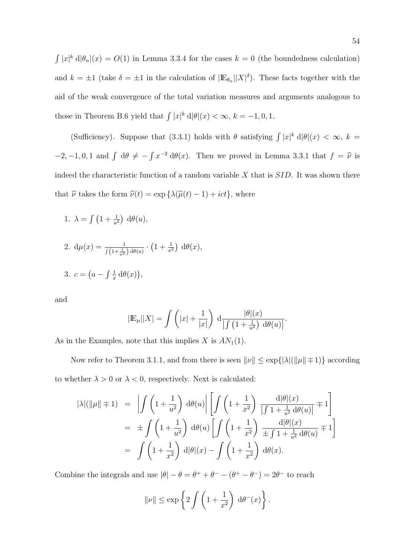R  $|x|^k d|\theta_n|(x) = O(1)$  in Lemma 3.3.4 for the cases  $k = 0$  (the boundedness calculation) and  $k = \pm 1$  (take  $\delta = \pm 1$  in the calculation of  $|\mathbb{E}_{\theta_n}||X|^{\delta}$ ). These facts together with the aid of the weak convergence of the total variation measures and arguments analogous to those in Theorem B.6 yield that  $\int |x|^k d|\theta|(x) < \infty$ ,  $k = -1, 0, 1$ .

(Sufficiency). Suppose that (3.3.1) holds with  $\theta$  satisfying  $\int |x|^k d|\theta|(x) < \infty$ ,  $k =$  $-2, -1, 0, 1$  and  $\int d\theta \neq -$ R  $x^{-2} d\theta(x)$ . Then we proved in Lemma 3.3.1 that  $f = \hat{\nu}$  is indeed the characteristic function of a random variable  $X$  that is  $SID$ . It was shown there that  $\hat{\nu}$  takes the form  $\hat{\nu}(t) = \exp \{ \lambda(\hat{\mu}(t) - 1) + ict \}$ , where

1.  $\lambda =$  $\overline{R}$  $1 + \frac{1}{u^2}$ ¢  $d\theta(u)$ ,

2. 
$$
d\mu(x) = \frac{1}{\int (1 + \frac{1}{u^2}) d\theta(u)} \cdot (1 + \frac{1}{x^2}) d\theta(x),
$$
  
3. 
$$
c = \left(a - \int \frac{1}{x} d\theta(x)\right),
$$

and

$$
|\mathbb{E}_{\mu}||X| = \int \left(|x| + \frac{1}{|x|}\right) d \frac{|\theta|(x)}{\int \left(1 + \frac{1}{u^2}\right) d\theta(u)}.
$$

As in the Examples, note that this implies X is  $AN_1(1)$ .

Now refer to Theorem 3.1.1, and from there is seen  $\|\nu\| \le \exp\{|\lambda|(\|\mu\| \mp 1)\}$  according to whether  $\lambda > 0$  or  $\lambda < 0$ , respectively. Next is calculated:

$$
|\lambda|(\|\mu\| \mp 1) = \left| \int \left(1 + \frac{1}{u^2}\right) d\theta(u) \right| \left[ \int \left(1 + \frac{1}{x^2}\right) \frac{d|\theta|(x)}{| \int 1 + \frac{1}{u^2} d\theta(u) |} \mp 1 \right]
$$
  
= 
$$
\pm \int \left(1 + \frac{1}{u^2}\right) d\theta(u) \left[ \int \left(1 + \frac{1}{x^2}\right) \frac{d|\theta|(x)}{\pm \int 1 + \frac{1}{u^2} d\theta(u)} \mp 1 \right]
$$
  
= 
$$
\int \left(1 + \frac{1}{x^2}\right) d|\theta|(x) - \int \left(1 + \frac{1}{x^2}\right) d\theta(x).
$$

Combine the integrals and use  $|\theta| - \theta = \theta^+ + \theta^- - (\theta^+ - \theta^-) = 2\theta^-$  to reach

$$
\|\nu\| \le \exp\left\{2\int \left(1+\frac{1}{x^2}\right) d\theta^-(x)\right\}.
$$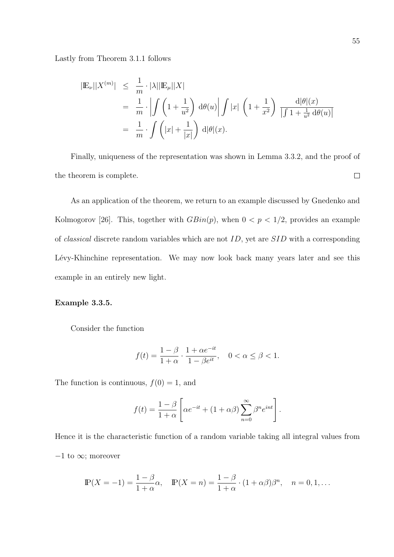Lastly from Theorem 3.1.1 follows

$$
\begin{aligned}\n|\mathbb{E}_{\nu}||X^{(m)}| &\leq \frac{1}{m} \cdot |\lambda| |\mathbb{E}_{\mu}||X| \\
&= \frac{1}{m} \cdot \left| \int \left(1 + \frac{1}{u^2}\right) d\theta(u) \right| \int |x| \left(1 + \frac{1}{x^2}\right) \frac{d|\theta|(x)}{\left|\int 1 + \frac{1}{u^2} d\theta(u)\right|} \\
&= \frac{1}{m} \cdot \int \left(|x| + \frac{1}{|x|}\right) d|\theta|(x).\n\end{aligned}
$$

Finally, uniqueness of the representation was shown in Lemma 3.3.2, and the proof of the theorem is complete.  $\Box$ 

As an application of the theorem, we return to an example discussed by Gnedenko and Kolmogorov [26]. This, together with  $GBin(p)$ , when  $0 < p < 1/2$ , provides an example of *classical* discrete random variables which are not  $ID$ , yet are  $SID$  with a corresponding Lévy-Khinchine representation. We may now look back many years later and see this example in an entirely new light.

### Example 3.3.5.

Consider the function

$$
f(t) = \frac{1 - \beta}{1 + \alpha} \cdot \frac{1 + \alpha e^{-it}}{1 - \beta e^{it}}, \quad 0 < \alpha \le \beta < 1.
$$

The function is continuous,  $f(0) = 1$ , and

$$
f(t) = \frac{1-\beta}{1+\alpha} \left[ \alpha e^{-it} + (1+\alpha\beta) \sum_{n=0}^{\infty} \beta^n e^{int} \right].
$$

Hence it is the characteristic function of a random variable taking all integral values from  $-1$  to  $\infty$ ; moreover

$$
\mathbb{P}(X=-1) = \frac{1-\beta}{1+\alpha}\alpha, \quad \mathbb{P}(X=n) = \frac{1-\beta}{1+\alpha} \cdot (1+\alpha\beta)\beta^n, \quad n = 0, 1, \dots
$$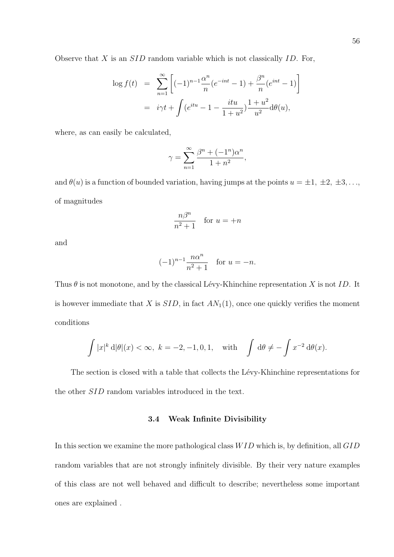$$
\log f(t) = \sum_{n=1}^{\infty} \left[ (-1)^{n-1} \frac{\alpha^n}{n} (e^{-int} - 1) + \frac{\beta^n}{n} (e^{int} - 1) \right]
$$
  
=  $i\gamma t + \int (e^{itu} - 1 - \frac{itu}{1 + u^2}) \frac{1 + u^2}{u^2} d\theta(u),$ 

where, as can easily be calculated,

$$
\gamma = \sum_{n=1}^{\infty} \frac{\beta^n + (-1)^n \alpha^n}{1 + n^2},
$$

and  $\theta(u)$  is a function of bounded variation, having jumps at the points  $u = \pm 1, \pm 2, \pm 3, \ldots$ of magnitudes

$$
\frac{n\beta^n}{n^2+1} \quad \text{for } u = +n
$$

and

$$
(-1)^{n-1} \frac{n\alpha^n}{n^2+1} \quad \text{for } u = -n.
$$

Thus  $\theta$  is not monotone, and by the classical Lévy-Khinchine representation X is not ID. It is however immediate that  $X$  is  $SID$ , in fact  $AN_1(1)$ , once one quickly verifies the moment conditions

$$
\int |x|^k d|\theta|(x) < \infty, \ k = -2, -1, 0, 1, \quad \text{with} \quad \int d\theta \neq -\int x^{-2} d\theta(x).
$$

The section is closed with a table that collects the Lévy-Khinchine representations for the other SID random variables introduced in the text.

#### 3.4 Weak Infinite Divisibility

In this section we examine the more pathological class  $WID$  which is, by definition, all  $GID$ random variables that are not strongly infinitely divisible. By their very nature examples of this class are not well behaved and difficult to describe; nevertheless some important ones are explained .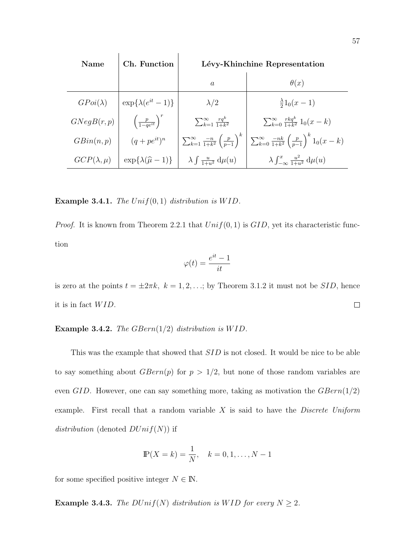| <b>Name</b>        | Ch. Function                         | Lévy-Khinchine Representation                                       |                                                                               |
|--------------------|--------------------------------------|---------------------------------------------------------------------|-------------------------------------------------------------------------------|
|                    |                                      | $\mathfrak{a}$                                                      | $\theta(x)$                                                                   |
| $GPoi(\lambda)$    | $\exp{\lambda(e^{it}-1)}$            | $\lambda/2$                                                         | $\frac{\lambda}{2}1_0(x-1)$                                                   |
| GNegB(r,p)         | $\left(\frac{p}{1-qe^{it}}\right)^r$ | $\sum_{k=1}^{\infty} \frac{rq^k}{1+k^2}$                            | $\sum_{k=0}^{\infty} \frac{rkq^k}{1+k^2} 1_0(x-k)$                            |
| GBin(n,p)          | $(q + pe^{it})^n$                    | $\sum_{k=1}^{\infty} \frac{-n}{1+k^2} \left(\frac{p}{p-1}\right)^k$ | $\sum_{k=0}^{\infty} \frac{-nk}{1+k^2} \left(\frac{p}{p-1}\right)^k 1_0(x-k)$ |
| $GCP(\lambda,\mu)$ | $\exp{\{\lambda(\hat{\mu}-1)\}}$     | $\lambda \int \frac{u}{1+u^2} d\mu(u)$                              | $\lambda \int_{-\infty}^{x} \frac{u^2}{1+u^2} d\mu(u)$                        |

Example 3.4.1. The  $Unif(0,1)$  distribution is  $WID$ .

*Proof.* It is known from Theorem 2.2.1 that  $Unif(0, 1)$  is  $GID$ , yet its characteristic function

$$
\varphi(t)=\frac{e^{it}-1}{it}
$$

is zero at the points  $t = \pm 2\pi k$ ,  $k = 1, 2, \ldots$ ; by Theorem 3.1.2 it must not be SID, hence it is in fact  $WID$ .  $\Box$ 

**Example 3.4.2.** The GBern $(1/2)$  distribution is WID.

This was the example that showed that SID is not closed. It would be nice to be able to say something about  $GBern(p)$  for  $p > 1/2$ , but none of those random variables are even GID. However, one can say something more, taking as motivation the  $GBern(1/2)$ example. First recall that a random variable  $X$  is said to have the *Discrete Uniform* distribution (denoted  $DUnif(N)$ ) if

$$
\mathbb{P}(X = k) = \frac{1}{N}, \quad k = 0, 1, \dots, N - 1
$$

for some specified positive integer  $N \in \mathbb{N}$ .

**Example 3.4.3.** The  $DUnif(N)$  distribution is WID for every  $N \geq 2$ .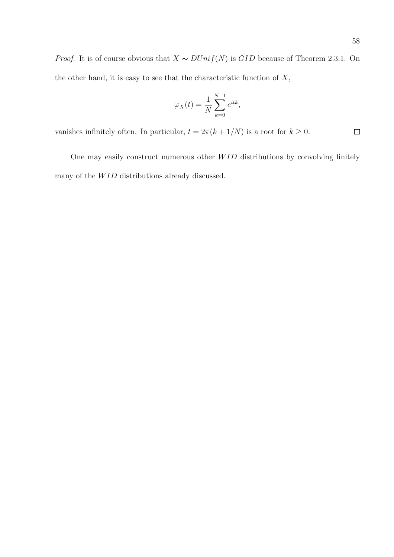*Proof.* It is of course obvious that  $X \sim \text{DUnif}(N)$  is GID because of Theorem 2.3.1. On the other hand, it is easy to see that the characteristic function of  $X$ ,

$$
\varphi_X(t) = \frac{1}{N} \sum_{k=0}^{N-1} e^{itk},
$$

vanishes infinitely often. In particular,  $t = 2\pi (k + 1/N)$  is a root for  $k \ge 0$ .  $\Box$ 

One may easily construct numerous other  $WID$  distributions by convolving finitely many of the  $WID$  distributions already discussed.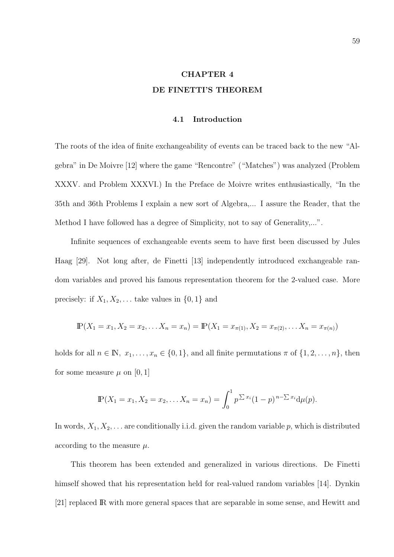# CHAPTER 4 DE FINETTI'S THEOREM

#### 4.1 Introduction

The roots of the idea of finite exchangeability of events can be traced back to the new "Algebra" in De Moivre [12] where the game "Rencontre" ("Matches") was analyzed (Problem XXXV. and Problem XXXVI.) In the Preface de Moivre writes enthusiastically, "In the 35th and 36th Problems I explain a new sort of Algebra,... I assure the Reader, that the Method I have followed has a degree of Simplicity, not to say of Generality,...".

Infinite sequences of exchangeable events seem to have first been discussed by Jules Haag [29]. Not long after, de Finetti [13] independently introduced exchangeable random variables and proved his famous representation theorem for the 2-valued case. More precisely: if  $X_1, X_2, \ldots$  take values in  $\{0, 1\}$  and

$$
\mathbb{P}(X_1 = x_1, X_2 = x_2, \dots X_n = x_n) = \mathbb{P}(X_1 = x_{\pi(1)}, X_2 = x_{\pi(2)}, \dots X_n = x_{\pi(n)})
$$

holds for all  $n \in \mathbb{N}$ ,  $x_1, \ldots, x_n \in \{0, 1\}$ , and all finite permutations  $\pi$  of  $\{1, 2, \ldots, n\}$ , then for some measure  $\mu$  on [0, 1]

$$
\mathbb{P}(X_1 = x_1, X_2 = x_2, \dots X_n = x_n) = \int_0^1 p^{\sum x_i} (1-p)^{n-\sum x_i} d\mu(p).
$$

In words,  $X_1, X_2, \ldots$  are conditionally i.i.d. given the random variable p, which is distributed according to the measure  $\mu$ .

This theorem has been extended and generalized in various directions. De Finetti himself showed that his representation held for real-valued random variables [14]. Dynkin [21] replaced IR with more general spaces that are separable in some sense, and Hewitt and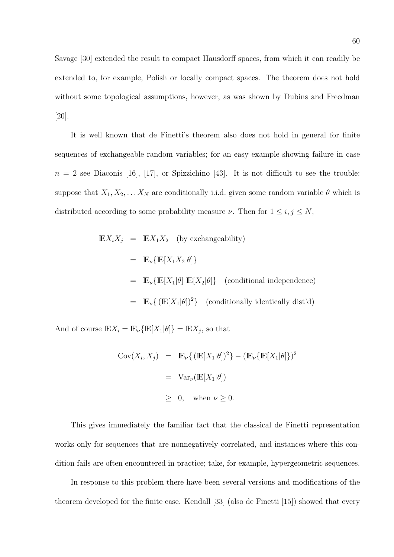Savage [30] extended the result to compact Hausdorff spaces, from which it can readily be extended to, for example, Polish or locally compact spaces. The theorem does not hold without some topological assumptions, however, as was shown by Dubins and Freedman [20].

It is well known that de Finetti's theorem also does not hold in general for finite sequences of exchangeable random variables; for an easy example showing failure in case  $n = 2$  see Diaconis [16], [17], or Spizzichino [43]. It is not difficult to see the trouble: suppose that  $X_1, X_2, \ldots X_N$  are conditionally i.i.d. given some random variable  $\theta$  which is distributed according to some probability measure  $\nu$ . Then for  $1 \le i, j \le N$ ,

$$
\mathbb{E}X_i X_j = \mathbb{E}X_1 X_2 \text{ (by exchangeability)}
$$
  
=  $\mathbb{E}_{\nu} {\mathbb{E}[X_1 X_2 | \theta]}$   
=  $\mathbb{E}_{\nu} {\mathbb{E}[X_1 | \theta] \mathbb{E}[X_2 | \theta]}$  (conditional independence)  
=  $\mathbb{E}_{\nu} {\mathbb{E}[X_1 | \theta]}^2$  (conditionally identically dist'd)

And of course  $\mathbb{E}X_i = \mathbb{E}_{\nu} {\{\mathbb{E}[X_1|\theta]\}} = \mathbb{E}X_j$ , so that

$$
Cov(X_i, X_j) = \mathbb{E}_{\nu} \{ (\mathbb{E}[X_1 | \theta])^2 \} - (\mathbb{E}_{\nu} \{ \mathbb{E}[X_1 | \theta] \})^2
$$

$$
= \text{Var}_{\nu} (\mathbb{E}[X_1 | \theta])
$$

$$
\geq 0, \text{ when } \nu \geq 0.
$$

This gives immediately the familiar fact that the classical de Finetti representation works only for sequences that are nonnegatively correlated, and instances where this condition fails are often encountered in practice; take, for example, hypergeometric sequences.

In response to this problem there have been several versions and modifications of the theorem developed for the finite case. Kendall [33] (also de Finetti [15]) showed that every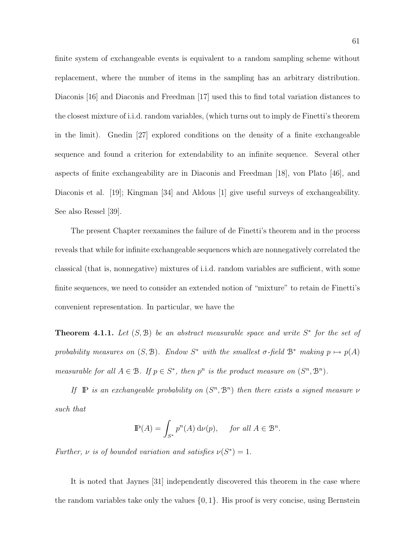finite system of exchangeable events is equivalent to a random sampling scheme without replacement, where the number of items in the sampling has an arbitrary distribution. Diaconis [16] and Diaconis and Freedman [17] used this to find total variation distances to the closest mixture of i.i.d. random variables, (which turns out to imply de Finetti's theorem in the limit). Gnedin [27] explored conditions on the density of a finite exchangeable sequence and found a criterion for extendability to an infinite sequence. Several other aspects of finite exchangeability are in Diaconis and Freedman [18], von Plato [46], and Diaconis et al. [19]; Kingman [34] and Aldous [1] give useful surveys of exchangeability. See also Ressel [39].

The present Chapter reexamines the failure of de Finetti's theorem and in the process reveals that while for infinite exchangeable sequences which are nonnegatively correlated the classical (that is, nonnegative) mixtures of i.i.d. random variables are sufficient, with some finite sequences, we need to consider an extended notion of "mixture" to retain de Finetti's convenient representation. In particular, we have the

**Theorem 4.1.1.** Let  $(S, \mathcal{B})$  be an abstract measurable space and write  $S^*$  for the set of probability measures on  $(S, \mathcal{B})$ . Endow  $S^*$  with the smallest  $\sigma$ -field  $\mathcal{B}^*$  making  $p \mapsto p(A)$ measurable for all  $A \in \mathcal{B}$ . If  $p \in S^*$ , then  $p^n$  is the product measure on  $(S^n, \mathcal{B}^n)$ .

If  $\mathbb{P}$  is an exchangeable probability on  $(S^n, \mathcal{B}^n)$  then there exists a signed measure  $\nu$ such that

$$
\mathbb{P}(A) = \int_{S^*} p^n(A) \, \mathrm{d}\nu(p), \quad \text{ for all } A \in \mathcal{B}^n.
$$

Further,  $\nu$  is of bounded variation and satisfies  $\nu(S^*) = 1$ .

It is noted that Jaynes [31] independently discovered this theorem in the case where the random variables take only the values  $\{0, 1\}$ . His proof is very concise, using Bernstein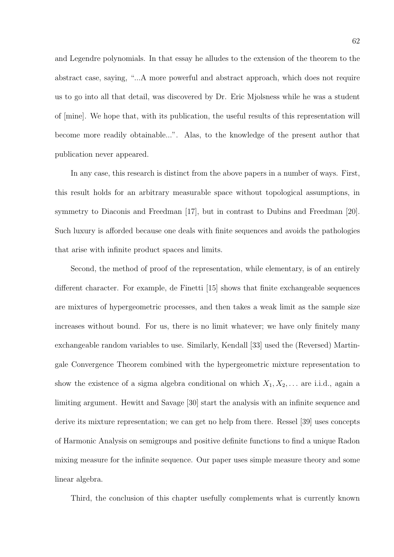and Legendre polynomials. In that essay he alludes to the extension of the theorem to the abstract case, saying, "...A more powerful and abstract approach, which does not require us to go into all that detail, was discovered by Dr. Eric Mjolsness while he was a student of [mine]. We hope that, with its publication, the useful results of this representation will become more readily obtainable...". Alas, to the knowledge of the present author that publication never appeared.

In any case, this research is distinct from the above papers in a number of ways. First, this result holds for an arbitrary measurable space without topological assumptions, in symmetry to Diaconis and Freedman [17], but in contrast to Dubins and Freedman [20]. Such luxury is afforded because one deals with finite sequences and avoids the pathologies that arise with infinite product spaces and limits.

Second, the method of proof of the representation, while elementary, is of an entirely different character. For example, de Finetti [15] shows that finite exchangeable sequences are mixtures of hypergeometric processes, and then takes a weak limit as the sample size increases without bound. For us, there is no limit whatever; we have only finitely many exchangeable random variables to use. Similarly, Kendall [33] used the (Reversed) Martingale Convergence Theorem combined with the hypergeometric mixture representation to show the existence of a sigma algebra conditional on which  $X_1, X_2, \ldots$  are i.i.d., again a limiting argument. Hewitt and Savage [30] start the analysis with an infinite sequence and derive its mixture representation; we can get no help from there. Ressel [39] uses concepts of Harmonic Analysis on semigroups and positive definite functions to find a unique Radon mixing measure for the infinite sequence. Our paper uses simple measure theory and some linear algebra.

Third, the conclusion of this chapter usefully complements what is currently known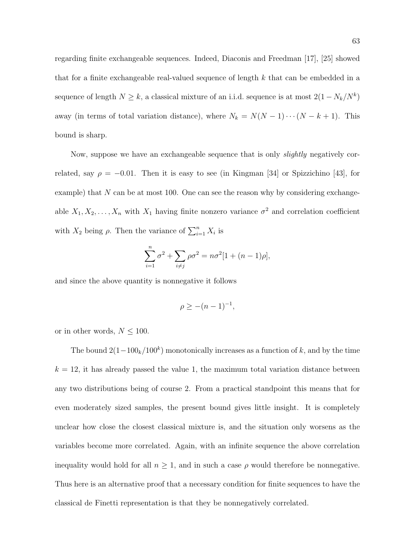regarding finite exchangeable sequences. Indeed, Diaconis and Freedman [17], [25] showed that for a finite exchangeable real-valued sequence of length  $k$  that can be embedded in a sequence of length  $N \geq k$ , a classical mixture of an i.i.d. sequence is at most  $2(1 - N_k/N^k)$ away (in terms of total variation distance), where  $N_k = N(N-1)\cdots(N-k+1)$ . This bound is sharp.

Now, suppose we have an exchangeable sequence that is only slightly negatively correlated, say  $\rho = -0.01$ . Then it is easy to see (in Kingman [34] or Spizzichino [43], for example) that N can be at most 100. One can see the reason why by considering exchangeable  $X_1, X_2, \ldots, X_n$  with  $X_1$  having finite nonzero variance  $\sigma^2$  and correlation coefficient with  $X_2$  being  $\rho$ . Then the variance of  $\sum_{i=1}^{n} X_i$  is

$$
\sum_{i=1}^{n} \sigma^{2} + \sum_{i \neq j} \rho \sigma^{2} = n \sigma^{2} [1 + (n-1)\rho],
$$

and since the above quantity is nonnegative it follows

$$
\rho \ge -(n-1)^{-1},
$$

or in other words,  $N \leq 100$ .

The bound  $2(1-100<sub>k</sub>/100<sup>k</sup>)$  monotonically increases as a function of k, and by the time  $k = 12$ , it has already passed the value 1, the maximum total variation distance between any two distributions being of course 2. From a practical standpoint this means that for even moderately sized samples, the present bound gives little insight. It is completely unclear how close the closest classical mixture is, and the situation only worsens as the variables become more correlated. Again, with an infinite sequence the above correlation inequality would hold for all  $n \geq 1$ , and in such a case  $\rho$  would therefore be nonnegative. Thus here is an alternative proof that a necessary condition for finite sequences to have the classical de Finetti representation is that they be nonnegatively correlated.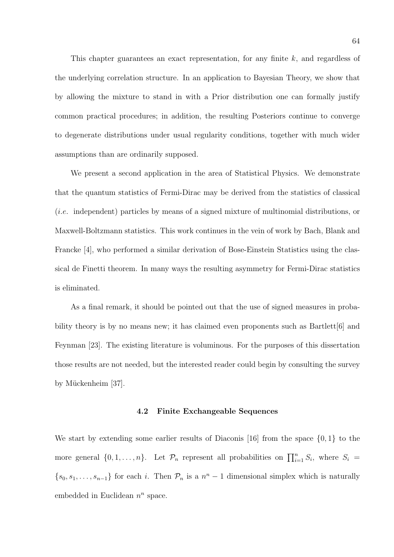This chapter guarantees an exact representation, for any finite k, and regardless of the underlying correlation structure. In an application to Bayesian Theory, we show that by allowing the mixture to stand in with a Prior distribution one can formally justify common practical procedures; in addition, the resulting Posteriors continue to converge to degenerate distributions under usual regularity conditions, together with much wider assumptions than are ordinarily supposed.

We present a second application in the area of Statistical Physics. We demonstrate that the quantum statistics of Fermi-Dirac may be derived from the statistics of classical (i.e. independent) particles by means of a signed mixture of multinomial distributions, or Maxwell-Boltzmann statistics. This work continues in the vein of work by Bach, Blank and Francke [4], who performed a similar derivation of Bose-Einstein Statistics using the classical de Finetti theorem. In many ways the resulting asymmetry for Fermi-Dirac statistics is eliminated.

As a final remark, it should be pointed out that the use of signed measures in probability theory is by no means new; it has claimed even proponents such as  $Bartlett[6]$  and Feynman [23]. The existing literature is voluminous. For the purposes of this dissertation those results are not needed, but the interested reader could begin by consulting the survey by Mückenheim [37].

#### 4.2 Finite Exchangeable Sequences

We start by extending some earlier results of Diaconis [16] from the space  $\{0,1\}$  to the more general  $\{0, 1, \ldots, n\}$ . Let  $\mathcal{P}_n$  represent all probabilities on  $\prod_{i=1}^n S_i$ , where  $S_i$  $\{s_0, s_1, \ldots, s_{n-1}\}\$  for each i. Then  $\mathcal{P}_n$  is a  $n^n - 1$  dimensional simplex which is naturally embedded in Euclidean  $n^n$  space.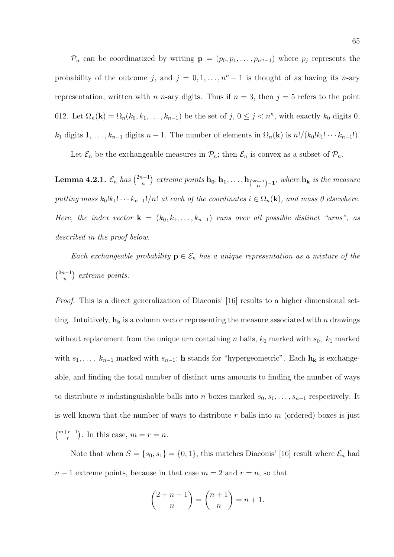$\mathcal{P}_n$  can be coordinatized by writing  $\mathbf{p} = (p_0, p_1, \ldots, p_{n^n-1})$  where  $p_j$  represents the probability of the outcome j, and  $j = 0, 1, \ldots, n<sup>n</sup> - 1$  is thought of as having its n-ary representation, written with n n-ary digits. Thus if  $n = 3$ , then  $j = 5$  refers to the point 012. Let  $\Omega_n(\mathbf{k}) = \Omega_n(k_0, k_1, \ldots, k_{n-1})$  be the set of  $j, 0 \le j < n^n$ , with exactly  $k_0$  digits 0,  $k_1$  digits  $1, \ldots, k_{n-1}$  digits  $n-1$ . The number of elements in  $\Omega_n(\mathbf{k})$  is  $n!/(k_0!k_1!\cdots k_{n-1}!)$ .

Let  $\mathcal{E}_n$  be the exchangeable measures in  $\mathcal{P}_n$ ; then  $\mathcal{E}_n$  is convex as a subset of  $\mathcal{P}_n$ .

Lemma 4.2.1.  $\mathcal{E}_n$  has  $\binom{2n-1}{n}$ n ¢ extreme points  $\mathbf{h_0}, \mathbf{h_1}, \ldots, \mathbf{h_{\binom{2n-1}{n}-1}},$  where  $\mathbf{h_k}$  is the measure putting mass  $k_0!k_1! \cdots k_{n-1}/n!$  at each of the coordinates  $i \in \Omega_n(\mathbf{k})$ , and mass 0 elsewhere. Here, the index vector  $\mathbf{k} = (k_0, k_1, \ldots, k_{n-1})$  runs over all possible distinct "urns", as described in the proof below.

Each exchangeable probability  $p \in \mathcal{E}_n$  has a unique representation as a mixture of the  $(2n-1)$ n ¢ extreme points.

Proof. This is a direct generalization of Diaconis' [16] results to a higher dimensional setting. Intuitively,  $h_k$  is a column vector representing the measure associated with n drawings without replacement from the unique urn containing n balls,  $k_0$  marked with  $s_0$ ,  $k_1$  marked with  $s_1, \ldots, k_{n-1}$  marked with  $s_{n-1}$ ; h stands for "hypergeometric". Each  $h_k$  is exchangeable, and finding the total number of distinct urns amounts to finding the number of ways to distribute *n* indistinguishable balls into *n* boxes marked  $s_0, s_1, \ldots, s_{n-1}$  respectively. It is well known that the number of ways to distribute r balls into  $m$  (ordered) boxes is just  $(m+r-1)$ r ¢ . In this case,  $m = r = n$ .

Note that when  $S = \{s_0, s_1\} = \{0, 1\}$ , this matches Diaconis' [16] result where  $\mathcal{E}_n$  had  $n + 1$  extreme points, because in that case  $m = 2$  and  $r = n$ , so that

$$
\binom{2+n-1}{n} = \binom{n+1}{n} = n+1.
$$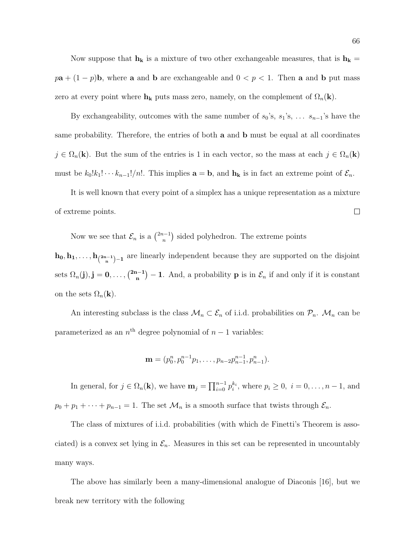Now suppose that  $\mathbf{h}_{\mathbf{k}}$  is a mixture of two other exchangeable measures, that is  $\mathbf{h}_{\mathbf{k}}$  =  $p\mathbf{a} + (1-p)\mathbf{b}$ , where **a** and **b** are exchangeable and  $0 < p < 1$ . Then **a** and **b** put mass zero at every point where  $h_k$  puts mass zero, namely, on the complement of  $\Omega_n(k)$ .

By exchangeability, outcomes with the same number of  $s_0$ 's,  $s_1$ 's, ...  $s_{n-1}$ 's have the same probability. Therefore, the entries of both a and b must be equal at all coordinates  $j \in \Omega_n(\mathbf{k})$ . But the sum of the entries is 1 in each vector, so the mass at each  $j \in \Omega_n(\mathbf{k})$ must be  $k_0!k_1!\cdots k_{n-1}!/n!$ . This implies  $\mathbf{a} = \mathbf{b}$ , and  $\mathbf{h}_{\mathbf{k}}$  is in fact an extreme point of  $\mathcal{E}_n$ .

It is well known that every point of a simplex has a unique representation as a mixture of extreme points.  $\Box$ 

Now we see that  $\mathcal{E}_n$  is a  $\binom{2n-1}{n}$ n ¢ sided polyhedron. The extreme points

 $h_0, h_1, \ldots, h_{2n-1}$  are linearly independent because they are supported on the disjoint sets  $\Omega_n(\mathbf{j}), \mathbf{j} = 0, \ldots, \binom{2n-1}{n}$ n ¢  $-1$ . And, a probability **p** is in  $\mathcal{E}_n$  if and only if it is constant on the sets  $\Omega_n(\mathbf{k})$ .

An interesting subclass is the class  $\mathcal{M}_n \subset \mathcal{E}_n$  of i.i.d. probabilities on  $\mathcal{P}_n$ .  $\mathcal{M}_n$  can be parameterized as an  $n^{\text{th}}$  degree polynomial of  $n-1$  variables:

$$
\mathbf{m} = (p_0^n, p_0^{n-1}p_1, \ldots, p_{n-2}p_{n-1}^{n-1}, p_{n-1}^n).
$$

In general, for  $j \in \Omega_n(\mathbf{k})$ , we have  $\mathbf{m}_j = \prod_{i=0}^{n-1}$  $\sum_{i=0}^{n-1} p_i^{k_i}$ , where  $p_i \ge 0$ ,  $i = 0, \ldots, n-1$ , and  $p_0 + p_1 + \cdots + p_{n-1} = 1$ . The set  $\mathcal{M}_n$  is a smooth surface that twists through  $\mathcal{E}_n$ .

The class of mixtures of i.i.d. probabilities (with which de Finetti's Theorem is associated) is a convex set lying in  $\mathcal{E}_n$ . Measures in this set can be represented in uncountably many ways.

The above has similarly been a many-dimensional analogue of Diaconis [16], but we break new territory with the following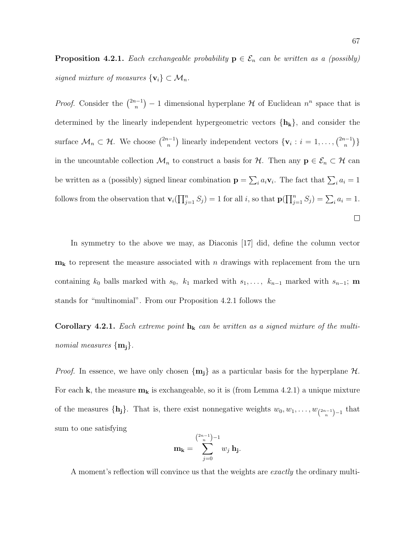**Proposition 4.2.1.** Each exchangeable probability  $p \in \mathcal{E}_n$  can be written as a (possibly) signed mixture of measures  $\{v_i\} \subset \mathcal{M}_n$ .

*Proof.* Consider the  $\binom{2n-1}{n}$ ¢  $-1$  dimensional hyperplane  $\mathcal H$  of Euclidean  $n^n$  space that is n determined by the linearly independent hypergeometric vectors  $\{h_k\}$ , and consider the surface  $\mathcal{M}_n \subset \mathcal{H}$ . We choose  $\binom{2n-1}{n}$ ¢ linearly independent vectors  $\{v_i : i = 1, ..., \binom{2n-1}{n}\}$ ¢ } n n in the uncountable collection  $\mathcal{M}_n$  to construct a basis for  $\mathcal{H}$ . Then any  $p \in \mathcal{E}_n \subset \mathcal{H}$  can  $\overline{ }$  $i_a a_i \mathbf{v}_i$ . The fact that  $\sum_i a_i = 1$ be written as a (possibly) signed linear combination  $\mathbf{p} =$ follows from the observation that  $\mathbf{v}_i(\prod_{i=1}^n V_i)$  $\prod_{j=1}^{n} S_j = \sum_i a_i = 1.$  $j=1 \choose j=1$  for all i, so that  $\mathbf{p}(j)$  $\Box$ 

In symmetry to the above we may, as Diaconis [17] did, define the column vector  $m_k$  to represent the measure associated with n drawings with replacement from the urn containing  $k_0$  balls marked with  $s_0$ ,  $k_1$  marked with  $s_1, \ldots, k_{n-1}$  marked with  $s_{n-1}$ ; **m** stands for "multinomial". From our Proposition 4.2.1 follows the

Corollary 4.2.1. Each extreme point  $h_k$  can be written as a signed mixture of the multinomial measures  $\{m_i\}$ .

*Proof.* In essence, we have only chosen  $\{m_j\}$  as a particular basis for the hyperplane  $H$ . For each **k**, the measure  $m_k$  is exchangeable, so it is (from Lemma 4.2.1) a unique mixture of the measures  $\{\mathbf{h_j}\}\$ . That is, there exist nonnegative weights  $w_0, w_1, \ldots, w_{\binom{2n-1}{n}-1}$  that sum to one satisfying

$$
\mathbf{m}_{\mathbf{k}} = \sum_{j=0}^{\binom{2n-1}{n}-1} w_j \, \mathbf{h}_{\mathbf{j}}.
$$

A moment's reflection will convince us that the weights are *exactly* the ordinary multi-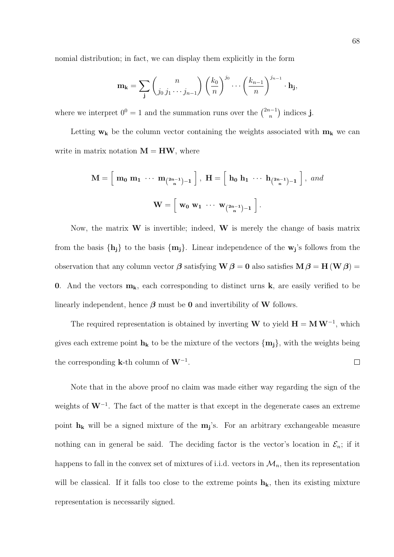nomial distribution; in fact, we can display them explicitly in the form

$$
\mathbf{m}_{\mathbf{k}} = \sum_{\mathbf{j}} \binom{n}{j_0 \, j_1 \cdots j_{n-1}} \left(\frac{k_0}{n}\right)^{j_0} \cdots \left(\frac{k_{n-1}}{n}\right)^{j_{n-1}} \cdot \mathbf{h}_{\mathbf{j}},
$$

where we interpret  $0^0 = 1$  and the summation runs over the  $\binom{2n-1}{n}$ n ¢ indices j.

Letting  $w_k$  be the column vector containing the weights associated with  $m_k$  we can write in matrix notation  $M = HW$ , where

$$
\mathbf{M} = \left[ \begin{array}{ccc} \mathbf{m}_0 & \mathbf{m}_1 & \cdots & \mathbf{m}_{\binom{2n-1}{n}-1} \end{array} \right], \ \mathbf{H} = \left[ \begin{array}{ccc} \mathbf{h}_0 & \mathbf{h}_1 & \cdots & \mathbf{h}_{\binom{2n-1}{n}-1} \end{array} \right], \ and \\ \mathbf{W} = \left[ \begin{array}{ccc} \mathbf{w}_0 & \mathbf{w}_1 & \cdots & \mathbf{w}_{\binom{2n-1}{n}-1} \end{array} \right].
$$

Now, the matrix  $W$  is invertible; indeed,  $W$  is merely the change of basis matrix from the basis  $\{h_j\}$  to the basis  $\{m_j\}$ . Linear independence of the  $w_j$ 's follows from the observation that any column vector  $\beta$  satisfying  $W\beta = 0$  also satisfies  $M\beta = H(W\beta) =$ 0. And the vectors  $m_k$ , each corresponding to distinct urns k, are easily verified to be linearly independent, hence  $\beta$  must be 0 and invertibility of W follows.

The required representation is obtained by inverting W to yield  $H = MW^{-1}$ , which gives each extreme point  $h_k$  to be the mixture of the vectors  $\{m_j\}$ , with the weights being the corresponding **k**-th column of  $W^{-1}$ .  $\Box$ 

Note that in the above proof no claim was made either way regarding the sign of the weights of  $W^{-1}$ . The fact of the matter is that except in the degenerate cases an extreme point  $h_k$  will be a signed mixture of the  $m_j$ 's. For an arbitrary exchangeable measure nothing can in general be said. The deciding factor is the vector's location in  $\mathcal{E}_n$ ; if it happens to fall in the convex set of mixtures of i.i.d. vectors in  $\mathcal{M}_n$ , then its representation will be classical. If it falls too close to the extreme points  $h_k$ , then its existing mixture representation is necessarily signed.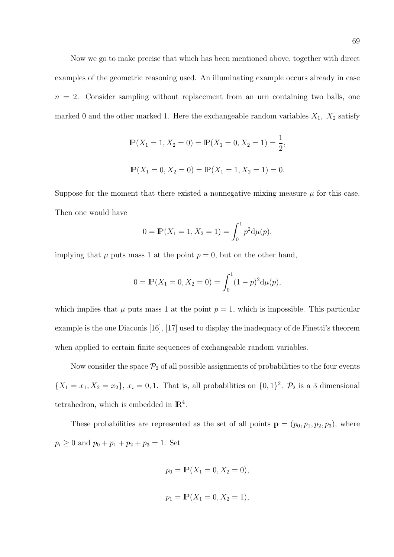Now we go to make precise that which has been mentioned above, together with direct examples of the geometric reasoning used. An illuminating example occurs already in case  $n = 2$ . Consider sampling without replacement from an urn containing two balls, one marked 0 and the other marked 1. Here the exchangeable random variables  $X_1$ ,  $X_2$  satisfy

$$
\mathbb{P}(X_1 = 1, X_2 = 0) = \mathbb{P}(X_1 = 0, X_2 = 1) = \frac{1}{2},
$$
  

$$
\mathbb{P}(X_1 = 0, X_2 = 0) = \mathbb{P}(X_1 = 1, X_2 = 1) = 0.
$$

Suppose for the moment that there existed a nonnegative mixing measure  $\mu$  for this case. Then one would have

$$
0 = \mathbb{P}(X_1 = 1, X_2 = 1) = \int_0^1 p^2 d\mu(p),
$$

implying that  $\mu$  puts mass 1 at the point  $p = 0$ , but on the other hand,

$$
0 = \mathbb{P}(X_1 = 0, X_2 = 0) = \int_0^1 (1 - p)^2 d\mu(p),
$$

which implies that  $\mu$  puts mass 1 at the point  $p = 1$ , which is impossible. This particular example is the one Diaconis [16], [17] used to display the inadequacy of de Finetti's theorem when applied to certain finite sequences of exchangeable random variables.

Now consider the space  $\mathcal{P}_2$  of all possible assignments of probabilities to the four events  $\{X_1 = x_1, X_2 = x_2\},\ x_i = 0, 1.$  That is, all probabilities on  $\{0, 1\}^2$ .  $\mathcal{P}_2$  is a 3 dimensional tetrahedron, which is embedded in  $\mathbb{R}^4$ .

These probabilities are represented as the set of all points  $\mathbf{p} = (p_0, p_1, p_2, p_3)$ , where  $p_i \ge 0$  and  $p_0 + p_1 + p_2 + p_3 = 1$ . Set

$$
p_0 = \mathbb{P}(X_1 = 0, X_2 = 0),
$$

$$
p_1 = \mathbb{P}(X_1 = 0, X_2 = 1),
$$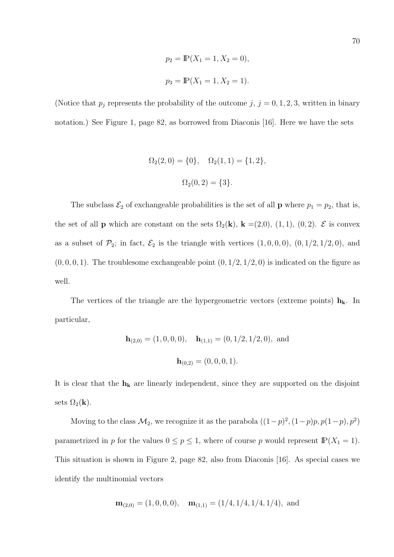$$
p_2 = \mathbb{P}(X_1 = 1, X_2 = 0),
$$
  

$$
p_3 = \mathbb{P}(X_1 = 1, X_2 = 1).
$$

(Notice that  $p_j$  represents the probability of the outcome  $j, j = 0, 1, 2, 3$ , written in binary notation.) See Figure 1, page 82, as borrowed from Diaconis [16]. Here we have the sets

$$
\Omega_2(2,0) = \{0\}, \quad \Omega_2(1,1) = \{1,2\},
$$

$$
\Omega_2(0,2) = \{3\}.
$$

The subclass  $\mathcal{E}_2$  of exchangeable probabilities is the set of all **p** where  $p_1 = p_2$ , that is, the set of all **p** which are constant on the sets  $\Omega_2(\mathbf{k})$ ,  $\mathbf{k} = (2,0), (1,1), (0,2)$ .  $\mathcal{E}$  is convex as a subset of  $\mathcal{P}_2$ ; in fact,  $\mathcal{E}_2$  is the triangle with vertices  $(1, 0, 0, 0)$ ,  $(0, 1/2, 1/2, 0)$ , and  $(0, 0, 0, 1)$ . The troublesome exchangeable point  $(0, 1/2, 1/2, 0)$  is indicated on the figure as well.

The vertices of the triangle are the hypergeometric vectors (extreme points)  $h_k$ . In particular,

$$
\mathbf{h}_{(2,0)} = (1,0,0,0), \quad \mathbf{h}_{(1,1)} = (0,1/2,1/2,0), \text{ and}
$$

$$
\mathbf{h}_{(0,2)} = (0,0,0,1).
$$

It is clear that the  $h_k$  are linearly independent, since they are supported on the disjoint sets  $\Omega_2(\mathbf{k})$ .

Moving to the class  $\mathcal{M}_2$ , we recognize it as the parabola  $((1-p)^2, (1-p)p, p(1-p), p^2)$ parametrized in p for the values  $0 \le p \le 1$ , where of course p would represent  $\mathbb{P}(X_1 = 1)$ . This situation is shown in Figure 2, page 82, also from Diaconis [16]. As special cases we identify the multinomial vectors

$$
\mathbf{m}_{(2,0)} = (1,0,0,0), \quad \mathbf{m}_{(1,1)} = (1/4,1/4,1/4,1/4), \text{ and}
$$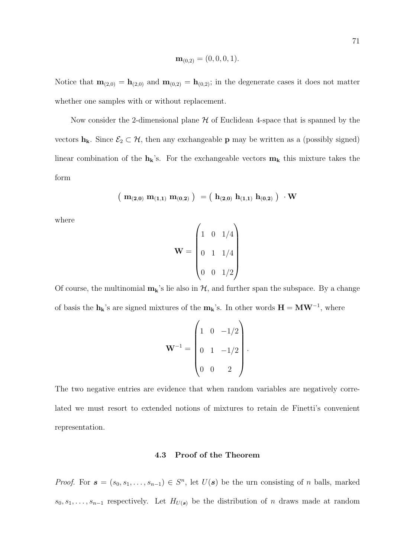$$
\mathbf{m}_{(0,2)} = (0,0,0,1).
$$

Notice that  $\mathbf{m}_{(2,0)} = \mathbf{h}_{(2,0)}$  and  $\mathbf{m}_{(0,2)} = \mathbf{h}_{(0,2)}$ ; in the degenerate cases it does not matter whether one samples with or without replacement.

Now consider the 2-dimensional plane  $H$  of Euclidean 4-space that is spanned by the vectors  $h_k$ . Since  $\mathcal{E}_2 \subset \mathcal{H}$ , then any exchangeable **p** may be written as a (possibly signed) linear combination of the  $h_k$ 's. For the exchangeable vectors  $m_k$  this mixture takes the form

$$
\left(\begin{array}{c} m_{(2,0)}\text{ }m_{(1,1)}\text{ }m_{(0,2)}\end{array}\right)\ = \left(\begin{array}{c} h_{(2,0)}\text{ }h_{(1,1)}\text{ }h_{(0,2)}\end{array}\right)\ \cdot W
$$

where

$$
\mathbf{W} = \begin{pmatrix} 1 & 0 & 1/4 \\ 0 & 1 & 1/4 \\ 0 & 0 & 1/2 \end{pmatrix}
$$

Of course, the multinomial  $m_k$ 's lie also in  $H$ , and further span the subspace. By a change of basis the  $h_k$ 's are signed mixtures of the  $m_k$ 's. In other words  $H = MW^{-1}$ , where

$$
\mathbf{W}^{-1} = \begin{pmatrix} 1 & 0 & -1/2 \\ 0 & 1 & -1/2 \\ 0 & 0 & 2 \end{pmatrix}.
$$

The two negative entries are evidence that when random variables are negatively correlated we must resort to extended notions of mixtures to retain de Finetti's convenient representation.

# 4.3 Proof of the Theorem

*Proof.* For  $s = (s_0, s_1, \ldots, s_{n-1}) \in S^n$ , let  $U(s)$  be the urn consisting of n balls, marked  $s_0, s_1, \ldots, s_{n-1}$  respectively. Let  $H_{U(s)}$  be the distribution of n draws made at random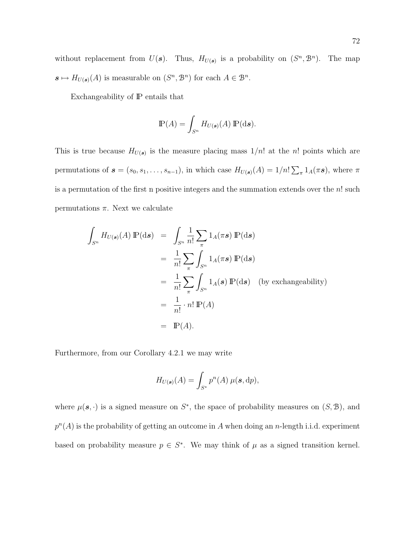without replacement from  $U(s)$ . Thus,  $H_{U(s)}$  is a probability on  $(S^n, \mathcal{B}^n)$ . The map  $s \mapsto H_{U(s)}(A)$  is measurable on  $(S<sup>n</sup>, \mathcal{B}<sup>n</sup>)$  for each  $A \in \mathcal{B}<sup>n</sup>$ .

Exchangeability of IP entails that

$$
\mathbb{P}(A) = \int_{S^n} H_{U(\mathbf{s})}(A) \mathbb{P}(\mathrm{d}\mathbf{s}).
$$

This is true because  $H_{U(s)}$  is the measure placing mass  $1/n!$  at the n! points which are permutations of  $s = (s_0, s_1, \ldots, s_{n-1})$ , in which case  $H_{U(s)}(A) = 1/n!$  $\overline{ }$  $_{\pi} 1_{A}(\pi s)$ , where  $\pi$ is a permutation of the first n positive integers and the summation extends over the  $n!$  such permutations  $\pi$ . Next we calculate

$$
\int_{S^n} H_{U(s)}(A) \mathbb{P}(\mathrm{d}s) = \int_{S^n} \frac{1}{n!} \sum_{\pi} 1_A(\pi s) \mathbb{P}(\mathrm{d}s)
$$
\n
$$
= \frac{1}{n!} \sum_{\pi} \int_{S^n} 1_A(\pi s) \mathbb{P}(\mathrm{d}s)
$$
\n
$$
= \frac{1}{n!} \sum_{\pi} \int_{S^n} 1_A(s) \mathbb{P}(\mathrm{d}s) \quad \text{(by exchangeability)}
$$
\n
$$
= \frac{1}{n!} \cdot n! \mathbb{P}(A)
$$
\n
$$
= \mathbb{P}(A).
$$

Furthermore, from our Corollary 4.2.1 we may write

$$
H_{U(\mathbf{s})}(A) = \int_{S^*} p^n(A) \,\mu(\mathbf{s},\mathrm{d}p),
$$

where  $\mu(\mathbf{s},\cdot)$  is a signed measure on  $S^*$ , the space of probability measures on  $(S,\mathcal{B})$ , and  $p^{n}(A)$  is the probability of getting an outcome in A when doing an n-length i.i.d. experiment based on probability measure  $p \in S^*$ . We may think of  $\mu$  as a signed transition kernel.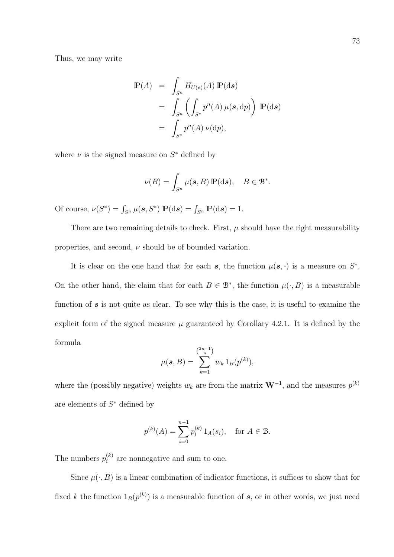Thus, we may write

$$
\mathbb{P}(A) = \int_{S^n} H_{U(\mathbf{s})}(A) \mathbb{P}(\mathrm{d}\mathbf{s})
$$
  
= 
$$
\int_{S^n} \left( \int_{S^*} p^n(A) \mu(\mathbf{s}, \mathrm{d}p) \right) \mathbb{P}(\mathrm{d}\mathbf{s})
$$
  
= 
$$
\int_{S^*} p^n(A) \nu(\mathrm{d}p),
$$

where  $\nu$  is the signed measure on  $S^*$  defined by

$$
\nu(B) = \int_{S^n} \mu(s, B) \, \mathbb{P}(\mathrm{d}s), \quad B \in \mathcal{B}^*.
$$

Of course,  $\nu(S^*) = \int_{S^n} \mu(\mathbf{s}, S^*) \mathbb{P}(\mathrm{d}\mathbf{s}) = \int_{S^n} \mathbb{P}(\mathrm{d}\mathbf{s}) = 1.$ 

There are two remaining details to check. First,  $\mu$  should have the right measurability properties, and second,  $\nu$  should be of bounded variation.

It is clear on the one hand that for each s, the function  $\mu(\mathbf{s},\cdot)$  is a measure on  $S^*$ . On the other hand, the claim that for each  $B \in \mathcal{B}^*$ , the function  $\mu(\cdot, B)$  is a measurable function of  $s$  is not quite as clear. To see why this is the case, it is useful to examine the explicit form of the signed measure  $\mu$  guaranteed by Corollary 4.2.1. It is defined by the formula

$$
\mu(\mathbf{s},B) = \sum_{k=1}^{\binom{2n-1}{n}} w_k \, 1_B(p^{(k)}),
$$

where the (possibly negative) weights  $w_k$  are from the matrix  $W^{-1}$ , and the measures  $p^{(k)}$ are elements of  $S^*$  defined by

$$
p^{(k)}(A) = \sum_{i=0}^{n-1} p_i^{(k)} 1_A(s_i), \text{ for } A \in \mathcal{B}.
$$

The numbers  $p_i^{(k)}$  $i^{(k)}$  are nonnegative and sum to one.

Since  $\mu(\cdot, B)$  is a linear combination of indicator functions, it suffices to show that for fixed k the function  $1_B(p^{(k)})$  is a measurable function of s, or in other words, we just need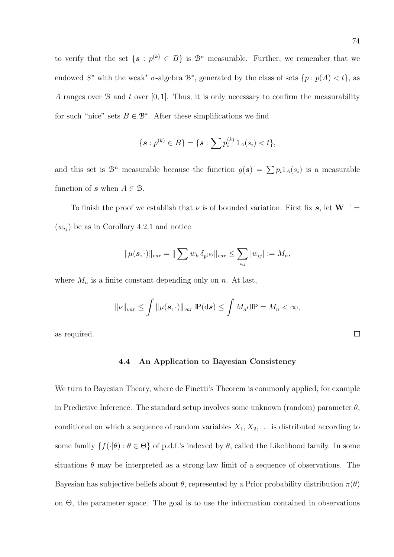to verify that the set  $\{s : p^{(k)} \in B\}$  is  $\mathcal{B}^n$  measurable. Further, we remember that we endowed  $S^*$  with the weak<sup>\*</sup>  $\sigma$ -algebra  $\mathcal{B}^*$ , generated by the class of sets  $\{p : p(A) < t\}$ , as A ranges over  $\mathcal{B}$  and t over [0, 1]. Thus, it is only necessary to confirm the measurability for such "nice" sets  $B \in \mathcal{B}^*$ . After these simplifications we find

$$
\{s: p^{(k)} \in B\} = \{s: \sum p_i^{(k)} 1_A(s_i) < t\},
$$

and this set is  $\mathcal{B}^n$  measurable because the function  $g(s) = \sum p_i 1_A(s_i)$  is a measurable function of s when  $A \in \mathcal{B}$ .

To finish the proof we establish that  $\nu$  is of bounded variation. First fix s, let  $W^{-1} =$  $(w_{ij})$  be as in Corollary 4.2.1 and notice

$$
\|\mu(\mathbf{s},\cdot)\|_{var} = \|\sum w_k \,\delta_{p^{(k)}}\|_{var} \le \sum_{i,j} |w_{ij}| := M_n,
$$

where  $M_n$  is a finite constant depending only on n. At last,

$$
\|\nu\|_{var} \leq \int \|\mu(\mathbf{s},\cdot)\|_{var} \,\mathbb{P}(\mathrm{d}\mathbf{s}) \leq \int M_n \mathrm{d}\mathbb{P} = M_n < \infty,
$$

as required.

### 4.4 An Application to Bayesian Consistency

We turn to Bayesian Theory, where de Finetti's Theorem is commonly applied, for example in Predictive Inference. The standard setup involves some unknown (random) parameter  $\theta$ , conditional on which a sequence of random variables  $X_1, X_2, \ldots$  is distributed according to some family  $\{f(\cdot|\theta): \theta \in \Theta\}$  of p.d.f.'s indexed by  $\theta$ , called the Likelihood family. In some situations  $\theta$  may be interpreted as a strong law limit of a sequence of observations. The Bayesian has subjective beliefs about  $\theta$ , represented by a Prior probability distribution  $\pi(\theta)$ on Θ, the parameter space. The goal is to use the information contained in observations

 $\Box$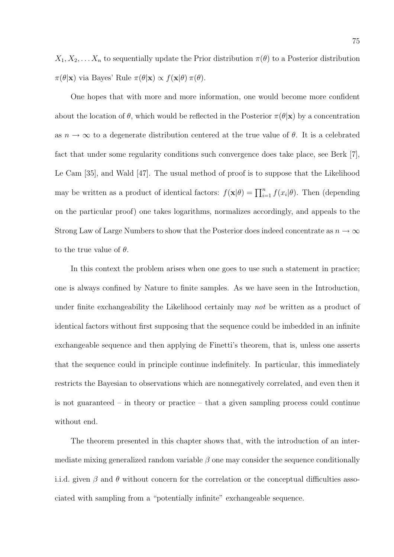$X_1, X_2, \ldots X_n$  to sequentially update the Prior distribution  $\pi(\theta)$  to a Posterior distribution  $\pi(\theta|\mathbf{x})$  via Bayes' Rule  $\pi(\theta|\mathbf{x}) \propto f(\mathbf{x}|\theta) \pi(\theta)$ .

One hopes that with more and more information, one would become more confident about the location of  $\theta$ , which would be reflected in the Posterior  $\pi(\theta|\mathbf{x})$  by a concentration as  $n \to \infty$  to a degenerate distribution centered at the true value of  $\theta$ . It is a celebrated fact that under some regularity conditions such convergence does take place, see Berk [7], Le Cam [35], and Wald [47]. The usual method of proof is to suppose that the Likelihood may be written as a product of identical factors:  $f(\mathbf{x}|\theta) = \prod_{i=1}^{n} f(x_i|\theta)$ . Then (depending on the particular proof) one takes logarithms, normalizes accordingly, and appeals to the Strong Law of Large Numbers to show that the Posterior does indeed concentrate as  $n \to \infty$ to the true value of  $\theta$ .

In this context the problem arises when one goes to use such a statement in practice; one is always confined by Nature to finite samples. As we have seen in the Introduction, under finite exchangeability the Likelihood certainly may not be written as a product of identical factors without first supposing that the sequence could be imbedded in an infinite exchangeable sequence and then applying de Finetti's theorem, that is, unless one asserts that the sequence could in principle continue indefinitely. In particular, this immediately restricts the Bayesian to observations which are nonnegatively correlated, and even then it is not guaranteed – in theory or practice – that a given sampling process could continue without end.

The theorem presented in this chapter shows that, with the introduction of an intermediate mixing generalized random variable  $\beta$  one may consider the sequence conditionally i.i.d. given  $\beta$  and  $\theta$  without concern for the correlation or the conceptual difficulties associated with sampling from a "potentially infinite" exchangeable sequence.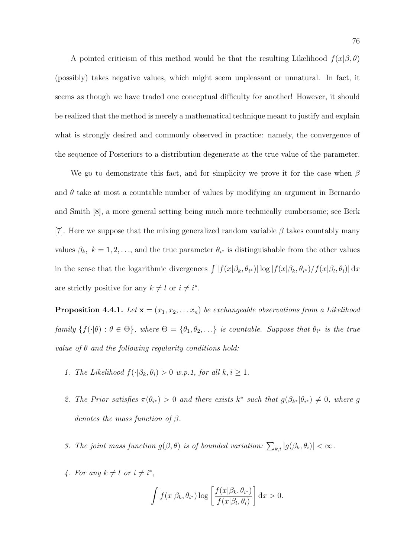A pointed criticism of this method would be that the resulting Likelihood  $f(x|\beta, \theta)$ (possibly) takes negative values, which might seem unpleasant or unnatural. In fact, it seems as though we have traded one conceptual difficulty for another! However, it should be realized that the method is merely a mathematical technique meant to justify and explain what is strongly desired and commonly observed in practice: namely, the convergence of the sequence of Posteriors to a distribution degenerate at the true value of the parameter.

We go to demonstrate this fact, and for simplicity we prove it for the case when  $\beta$ and  $\theta$  take at most a countable number of values by modifying an argument in Bernardo and Smith [8], a more general setting being much more technically cumbersome; see Berk [7]. Here we suppose that the mixing generalized random variable  $\beta$  takes countably many values  $\beta_k$ ,  $k = 1, 2, \ldots$ , and the true parameter  $\theta_{i^*}$  is distinguishable from the other values in the sense that the logarithmic divergences  $\int |f(x|\beta_k, \theta_{i^*})| \log |f(x|\beta_k, \theta_{i^*})/f(x|\beta_l, \theta_i)| dx$ are strictly positive for any  $k \neq l$  or  $i \neq i^*$ .

**Proposition 4.4.1.** Let  $\mathbf{x} = (x_1, x_2, \dots, x_n)$  be exchangeable observations from a Likelihood family  $\{f(\cdot|\theta): \theta \in \Theta\}$ , where  $\Theta = \{\theta_1, \theta_2, \ldots\}$  is countable. Suppose that  $\theta_{i^*}$  is the true value of  $\theta$  and the following regularity conditions hold:

- 1. The Likelihood  $f(\cdot|\beta_k, \theta_i) > 0$  w.p.1, for all  $k, i \geq 1$ .
- 2. The Prior satisfies  $\pi(\theta_{i^*}) > 0$  and there exists  $k^*$  such that  $g(\beta_{k^*}|\theta_{i^*}) \neq 0$ , where g denotes the mass function of  $\beta$ .
- 3. The joint mass function  $g(\beta, \theta)$  is of bounded variation:  $\sum_{k,i} |g(\beta_k, \theta_i)| < \infty$ .
- 4. For any  $k \neq l$  or  $i \neq i^*$ ,

$$
\int f(x|\beta_k, \theta_{i^*}) \log \left[ \frac{f(x|\beta_k, \theta_{i^*})}{f(x|\beta_l, \theta_i)} \right] dx > 0.
$$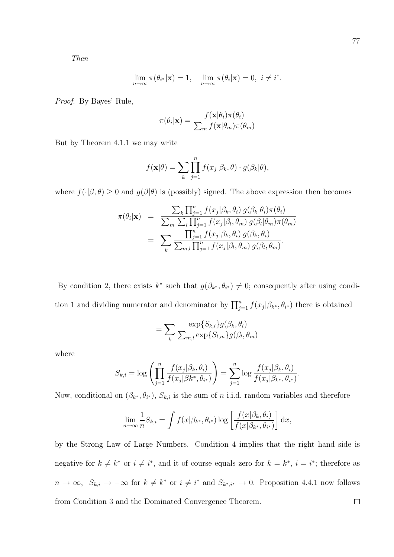Then

$$
\lim_{n \to \infty} \pi(\theta_{i^*}|\mathbf{x}) = 1, \quad \lim_{n \to \infty} \pi(\theta_i|\mathbf{x}) = 0, \ i \neq i^*.
$$

Proof. By Bayes' Rule,

$$
\pi(\theta_i|\mathbf{x}) = \frac{f(\mathbf{x}|\theta_i)\pi(\theta_i)}{\sum_m f(\mathbf{x}|\theta_m)\pi(\theta_m)}
$$

But by Theorem 4.1.1 we may write

$$
f(\mathbf{x}|\theta) = \sum_{k} \prod_{j=1}^{n} f(x_j|\beta_k, \theta) \cdot g(\beta_k|\theta),
$$

where  $f(\cdot|\beta, \theta) \ge 0$  and  $g(\beta|\theta)$  is (possibly) signed. The above expression then becomes

$$
\pi(\theta_i|\mathbf{x}) = \frac{\sum_k \prod_{j=1}^n f(x_j|\beta_k, \theta_i) g(\beta_k|\theta_i) \pi(\theta_i)}{\sum_m \sum_l \prod_{j=1}^n f(x_j|\beta_l, \theta_m) g(\beta_l|\theta_m) \pi(\theta_m)}
$$
  
= 
$$
\sum_k \frac{\prod_{j=1}^n f(x_j|\beta_k, \theta_i) g(\beta_k, \theta_i)}{\sum_{m,l} \prod_{j=1}^n f(x_j|\beta_l, \theta_m) g(\beta_l, \theta_m)}.
$$

By condition 2, there exists  $k^*$  such that  $g(\beta_{k^*}, \theta_{i^*}) \neq 0$ ; consequently after using condition 1 and dividing numerator and denominator by  $\prod_{j=1}^{n} f(x_j | \beta_{k^*}, \theta_{i^*})$  there is obtained

$$
= \sum_{k} \frac{\exp\{S_{k,i}\} g(\beta_k, \theta_i)}{\sum_{m,l} \exp\{S_{l,m}\} g(\beta_l, \theta_m)}
$$

where

$$
S_{k,i} = \log \left( \prod_{j=1}^n \frac{f(x_j | \beta_k, \theta_i)}{f(x_j | \beta k^*, \theta_{i^*})} \right) = \sum_{j=1}^n \log \frac{f(x_j | \beta_k, \theta_i)}{f(x_j | \beta_{k^*}, \theta_{i^*})}.
$$

Now, conditional on  $(\beta_{k^*}, \theta_{i^*}), S_{k,i}$  is the sum of n i.i.d. random variables and therefore

$$
\lim_{n \to \infty} \frac{1}{n} S_{k,i} = \int f(x|\beta_{k^*}, \theta_{i^*}) \log \left[ \frac{f(x|\beta_k, \theta_i)}{f(x|\beta_{k^*}, \theta_{i^*})} \right] dx,
$$

by the Strong Law of Large Numbers. Condition 4 implies that the right hand side is negative for  $k \neq k^*$  or  $i \neq i^*$ , and it of course equals zero for  $k = k^*, i = i^*$ ; therefore as  $n \to \infty$ ,  $S_{k,i} \to -\infty$  for  $k \neq k^*$  or  $i \neq i^*$  and  $S_{k^*,i^*} \to 0$ . Proposition 4.4.1 now follows  $\Box$ from Condition 3 and the Dominated Convergence Theorem.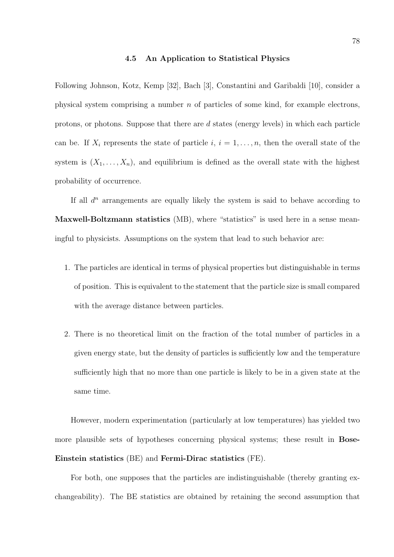#### 4.5 An Application to Statistical Physics

Following Johnson, Kotz, Kemp [32], Bach [3], Constantini and Garibaldi [10], consider a physical system comprising a number  $n$  of particles of some kind, for example electrons, protons, or photons. Suppose that there are d states (energy levels) in which each particle can be. If  $X_i$  represents the state of particle  $i, i = 1, \ldots, n$ , then the overall state of the system is  $(X_1, \ldots, X_n)$ , and equilibrium is defined as the overall state with the highest probability of occurrence.

If all  $d^n$  arrangements are equally likely the system is said to behave according to Maxwell-Boltzmann statistics (MB), where "statistics" is used here in a sense meaningful to physicists. Assumptions on the system that lead to such behavior are:

- 1. The particles are identical in terms of physical properties but distinguishable in terms of position. This is equivalent to the statement that the particle size is small compared with the average distance between particles.
- 2. There is no theoretical limit on the fraction of the total number of particles in a given energy state, but the density of particles is sufficiently low and the temperature sufficiently high that no more than one particle is likely to be in a given state at the same time.

However, modern experimentation (particularly at low temperatures) has yielded two more plausible sets of hypotheses concerning physical systems; these result in **Bose-**Einstein statistics (BE) and Fermi-Dirac statistics (FE).

For both, one supposes that the particles are indistinguishable (thereby granting exchangeability). The BE statistics are obtained by retaining the second assumption that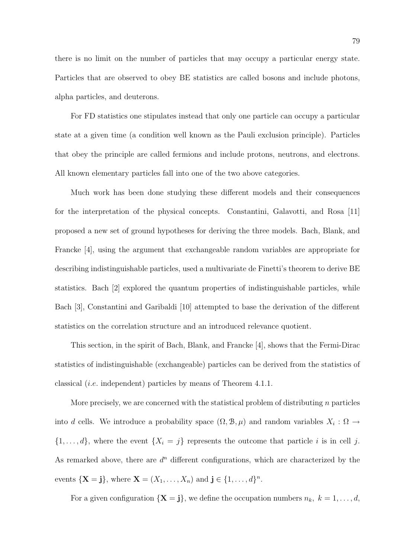there is no limit on the number of particles that may occupy a particular energy state. Particles that are observed to obey BE statistics are called bosons and include photons, alpha particles, and deuterons.

For FD statistics one stipulates instead that only one particle can occupy a particular state at a given time (a condition well known as the Pauli exclusion principle). Particles that obey the principle are called fermions and include protons, neutrons, and electrons. All known elementary particles fall into one of the two above categories.

Much work has been done studying these different models and their consequences for the interpretation of the physical concepts. Constantini, Galavotti, and Rosa [11] proposed a new set of ground hypotheses for deriving the three models. Bach, Blank, and Francke [4], using the argument that exchangeable random variables are appropriate for describing indistinguishable particles, used a multivariate de Finetti's theorem to derive BE statistics. Bach [2] explored the quantum properties of indistinguishable particles, while Bach [3], Constantini and Garibaldi [10] attempted to base the derivation of the different statistics on the correlation structure and an introduced relevance quotient.

This section, in the spirit of Bach, Blank, and Francke [4], shows that the Fermi-Dirac statistics of indistinguishable (exchangeable) particles can be derived from the statistics of classical (i.e. independent) particles by means of Theorem 4.1.1.

More precisely, we are concerned with the statistical problem of distributing  $n$  particles into d cells. We introduce a probability space  $(\Omega, \mathcal{B}, \mu)$  and random variables  $X_i : \Omega \to$  $\{1, \ldots, d\}$ , where the event  $\{X_i = j\}$  represents the outcome that particle i is in cell j. As remarked above, there are  $d^n$  different configurations, which are characterized by the events  $\{X = j\}$ , where  $X = (X_1, \ldots, X_n)$  and  $j \in \{1, \ldots, d\}^n$ .

For a given configuration  $\{X = j\}$ , we define the occupation numbers  $n_k, k = 1, ..., d$ ,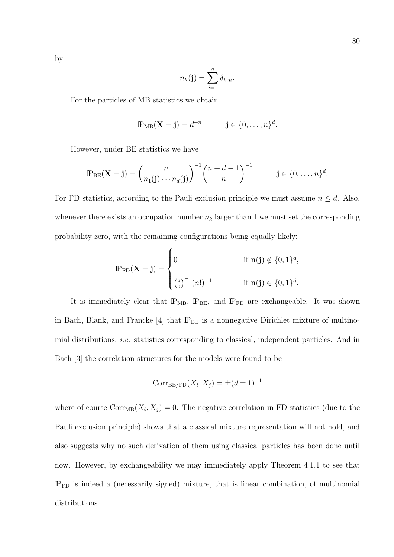by

$$
n_k(\mathbf{j}) = \sum_{i=1}^n \delta_{k,j_i}.
$$

For the particles of MB statistics we obtain

$$
\mathbb{P}_{\text{MB}}(\mathbf{X}=\mathbf{j})=d^{-n}\qquad \qquad \mathbf{j}\in\{0,\ldots,n\}^d.
$$

However, under BE statistics we have

$$
\mathbb{P}_{\text{BE}}(\mathbf{X}=\mathbf{j}) = {n \choose n_1(\mathbf{j}) \cdots n_d(\mathbf{j})}^{-1} {n+d-1 \choose n}^{-1} \qquad \mathbf{j} \in \{0, \ldots, n\}^d.
$$

For FD statistics, according to the Pauli exclusion principle we must assume  $n \leq d$ . Also, whenever there exists an occupation number  $n_k$  larger than 1 we must set the corresponding probability zero, with the remaining configurations being equally likely:  $\overline{a}$ 

$$
\mathbb{P}_{\text{FD}}(\mathbf{X} = \mathbf{j}) = \begin{cases} 0 & \text{if } \mathbf{n}(\mathbf{j}) \notin \{0, 1\}^d, \\ \binom{d}{n}^{-1} (n!)^{-1} & \text{if } \mathbf{n}(\mathbf{j}) \in \{0, 1\}^d. \end{cases}
$$

It is immediately clear that  $\mathbb{P}_{MB}$ ,  $\mathbb{P}_{BE}$ , and  $\mathbb{P}_{FD}$  are exchangeable. It was shown in Bach, Blank, and Francke  $[4]$  that  $\mathbb{P}_{\text{BE}}$  is a nonnegative Dirichlet mixture of multinomial distributions, i.e. statistics corresponding to classical, independent particles. And in Bach [3] the correlation structures for the models were found to be

$$
Corr_{BE/FD}(X_i, X_j) = \pm (d \pm 1)^{-1}
$$

where of course  $Corr_{MB}(X_i, X_j) = 0$ . The negative correlation in FD statistics (due to the Pauli exclusion principle) shows that a classical mixture representation will not hold, and also suggests why no such derivation of them using classical particles has been done until now. However, by exchangeability we may immediately apply Theorem 4.1.1 to see that  $IP<sub>FD</sub>$  is indeed a (necessarily signed) mixture, that is linear combination, of multinomial distributions.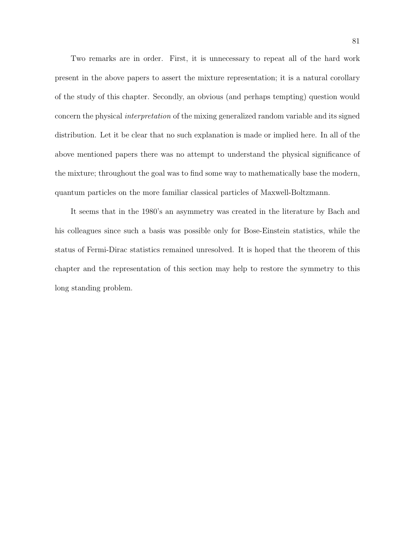Two remarks are in order. First, it is unnecessary to repeat all of the hard work present in the above papers to assert the mixture representation; it is a natural corollary of the study of this chapter. Secondly, an obvious (and perhaps tempting) question would concern the physical interpretation of the mixing generalized random variable and its signed distribution. Let it be clear that no such explanation is made or implied here. In all of the above mentioned papers there was no attempt to understand the physical significance of the mixture; throughout the goal was to find some way to mathematically base the modern, quantum particles on the more familiar classical particles of Maxwell-Boltzmann.

It seems that in the 1980's an asymmetry was created in the literature by Bach and his colleagues since such a basis was possible only for Bose-Einstein statistics, while the status of Fermi-Dirac statistics remained unresolved. It is hoped that the theorem of this chapter and the representation of this section may help to restore the symmetry to this long standing problem.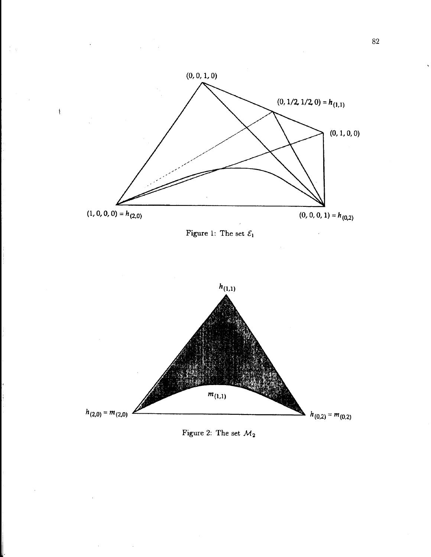

 $\cdot$ 

 $\sim$ 





 $\sim$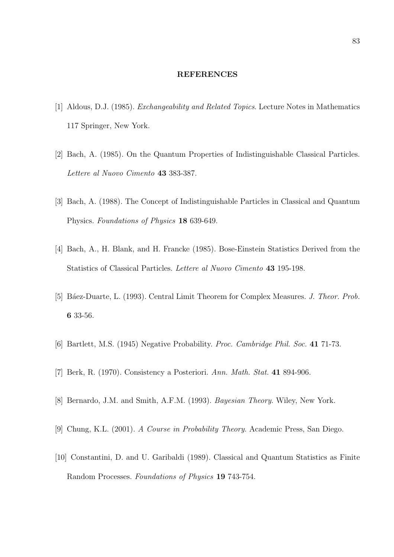#### REFERENCES

- [1] Aldous, D.J. (1985). Exchangeability and Related Topics. Lecture Notes in Mathematics 117 Springer, New York.
- [2] Bach, A. (1985). On the Quantum Properties of Indistinguishable Classical Particles. Lettere al Nuovo Cimento 43 383-387.
- [3] Bach, A. (1988). The Concept of Indistinguishable Particles in Classical and Quantum Physics. Foundations of Physics 18 639-649.
- [4] Bach, A., H. Blank, and H. Francke (1985). Bose-Einstein Statistics Derived from the Statistics of Classical Particles. Lettere al Nuovo Cimento 43 195-198.
- [5] Báez-Duarte, L. (1993). Central Limit Theorem for Complex Measures. J. Theor. Prob. 6 33-56.
- [6] Bartlett, M.S. (1945) Negative Probability. Proc. Cambridge Phil. Soc. 41 71-73.
- [7] Berk, R. (1970). Consistency a Posteriori. Ann. Math. Stat. 41 894-906.
- [8] Bernardo, J.M. and Smith, A.F.M. (1993). Bayesian Theory. Wiley, New York.
- [9] Chung, K.L. (2001). A Course in Probability Theory. Academic Press, San Diego.
- [10] Constantini, D. and U. Garibaldi (1989). Classical and Quantum Statistics as Finite Random Processes. Foundations of Physics 19 743-754.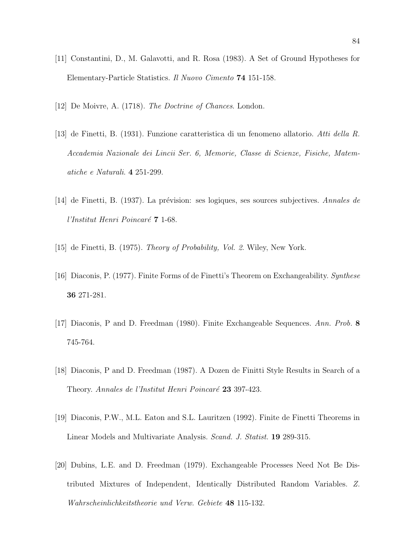- [11] Constantini, D., M. Galavotti, and R. Rosa (1983). A Set of Ground Hypotheses for Elementary-Particle Statistics. Il Nuovo Cimento 74 151-158.
- [12] De Moivre, A. (1718). The Doctrine of Chances. London.
- [13] de Finetti, B. (1931). Funzione caratteristica di un fenomeno allatorio. Atti della R. Accademia Nazionale dei Lincii Ser. 6, Memorie, Classe di Scienze, Fisiche, Matematiche e Naturali. 4 251-299.
- [14] de Finetti, B. (1937). La prévision: ses logiques, ses sources subjectives. Annales de l'Institut Henri Poincaré 7 1-68.
- [15] de Finetti, B. (1975). Theory of Probability, Vol. 2. Wiley, New York.
- [16] Diaconis, P. (1977). Finite Forms of de Finetti's Theorem on Exchangeability. Synthese 36 271-281.
- [17] Diaconis, P and D. Freedman (1980). Finite Exchangeable Sequences. Ann. Prob. 8 745-764.
- [18] Diaconis, P and D. Freedman (1987). A Dozen de Finitti Style Results in Search of a Theory. Annales de l'Institut Henri Poincaré 23 397-423.
- [19] Diaconis, P.W., M.L. Eaton and S.L. Lauritzen (1992). Finite de Finetti Theorems in Linear Models and Multivariate Analysis. Scand. J. Statist. 19 289-315.
- [20] Dubins, L.E. and D. Freedman (1979). Exchangeable Processes Need Not Be Distributed Mixtures of Independent, Identically Distributed Random Variables. Z. Wahrscheinlichkeitstheorie und Verw. Gebiete 48 115-132.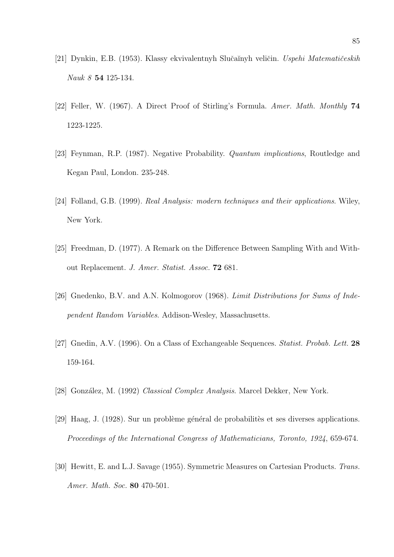- [21] Dynkin, E.B. (1953). Klassy ekvivalentnyh Slučaĭnyh veličin. Uspehi Matematičeskih Nauk 8 54 125-134.
- [22] Feller, W. (1967). A Direct Proof of Stirling's Formula. Amer. Math. Monthly 74 1223-1225.
- [23] Feynman, R.P. (1987). Negative Probability. Quantum implications, Routledge and Kegan Paul, London. 235-248.
- [24] Folland, G.B. (1999). Real Analysis: modern techniques and their applications. Wiley, New York.
- [25] Freedman, D. (1977). A Remark on the Difference Between Sampling With and Without Replacement. J. Amer. Statist. Assoc. 72 681.
- [26] Gnedenko, B.V. and A.N. Kolmogorov (1968). Limit Distributions for Sums of Independent Random Variables. Addison-Wesley, Massachusetts.
- [27] Gnedin, A.V. (1996). On a Class of Exchangeable Sequences. Statist. Probab. Lett. 28 159-164.
- [28] González, M. (1992) Classical Complex Analysis. Marcel Dekker, New York.
- $[29]$  Haag, J. (1928). Sur un problème général de probabilités et ses diverses applications. Proceedings of the International Congress of Mathematicians, Toronto, 1924, 659-674.
- [30] Hewitt, E. and L.J. Savage (1955). Symmetric Measures on Cartesian Products. Trans. Amer. Math. Soc. 80 470-501.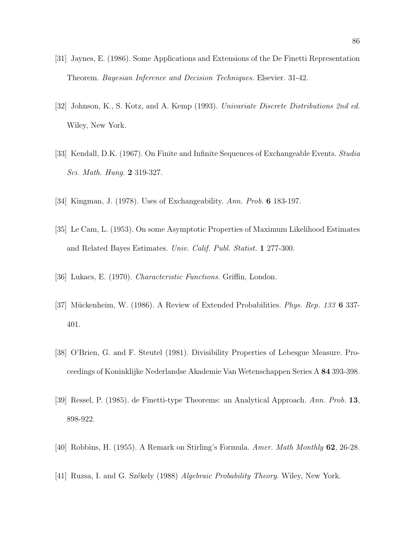- [31] Jaynes, E. (1986). Some Applications and Extensions of the De Finetti Representation Theorem. Bayesian Inference and Decision Techniques. Elsevier. 31-42.
- [32] Johnson, K., S. Kotz, and A. Kemp (1993). Univariate Discrete Distributions 2nd ed. Wiley, New York.
- [33] Kendall, D.K. (1967). On Finite and Infinite Sequences of Exchangeable Events. *Studia* Sci. Math. Hung. 2 319-327.
- [34] Kingman, J. (1978). Uses of Exchangeability. Ann. Prob. **6** 183-197.
- [35] Le Cam, L. (1953). On some Asymptotic Properties of Maximum Likelihood Estimates and Related Bayes Estimates. Univ. Calif. Publ. Statist. 1 277-300.
- [36] Lukacs, E. (1970). Characteristic Functions. Griffin, London.
- [37] Mückenheim, W. (1986). A Review of Extended Probabilities. Phys. Rep. 133 6 337-401.
- [38] O'Brien, G. and F. Steutel (1981). Divisibility Properties of Lebesgue Measure. Proceedings of Koninklijke Nederlandse Akademie Van Wetenschappen Series A 84 393-398.
- [39] Ressel, P. (1985). de Finetti-type Theorems: an Analytical Approach. Ann. Prob.  $13$ , 898-922.
- [40] Robbins, H. (1955). A Remark on Stirling's Formula. Amer. Math Monthly 62, 26-28.
- [41] Ruzsa, I. and G. Székely (1988) Algebraic Probability Theory. Wiley, New York.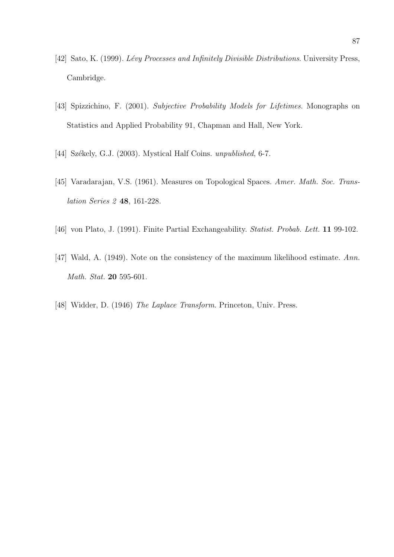- [42] Sato, K. (1999). *Lévy Processes and Infinitely Divisible Distributions*. University Press, Cambridge.
- [43] Spizzichino, F. (2001). Subjective Probability Models for Lifetimes. Monographs on Statistics and Applied Probability 91, Chapman and Hall, New York.
- [44] Székely, G.J. (2003). Mystical Half Coins. unpublished, 6-7.
- [45] Varadarajan, V.S. (1961). Measures on Topological Spaces. Amer. Math. Soc. Translation Series 2 48, 161-228.
- [46] von Plato, J. (1991). Finite Partial Exchangeability. *Statist. Probab. Lett.* **11** 99-102.
- [47] Wald, A. (1949). Note on the consistency of the maximum likelihood estimate. Ann. Math. Stat. 20 595-601.
- [48] Widder, D. (1946) The Laplace Transform. Princeton, Univ. Press.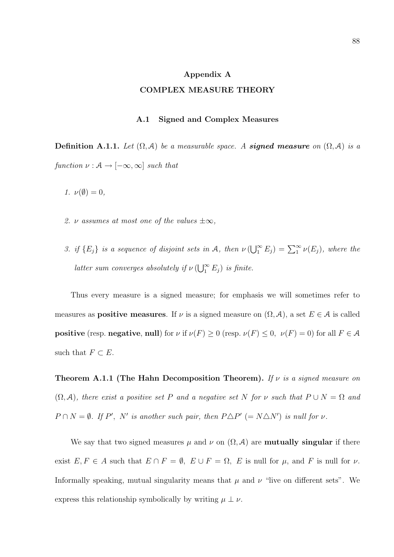### Appendix A

# COMPLEX MEASURE THEORY

## A.1 Signed and Complex Measures

**Definition A.1.1.** Let  $(\Omega, \mathcal{A})$  be a measurable space. A **signed measure** on  $(\Omega, \mathcal{A})$  is a function  $\nu : \mathcal{A} \rightarrow [-\infty, \infty]$  such that

1.  $\nu(\emptyset) = 0$ ,

- 2.  $\nu$  assumes at most one of the values  $\pm \infty$ ,
- 3. if  ${E_j}$  is a sequence of disjoint sets in A, then  $\nu(\bigcup_{1}^{\infty} E_j) = \sum_{1}^{\infty} \nu(E_j)$ , where the latter sum converges absolutely if  $\nu$  ( $\bigcup_{1}^{\infty}$ )  $\sum_{1}^{\infty} E_j$ ) is finite.

Thus every measure is a signed measure; for emphasis we will sometimes refer to measures as **positive measures**. If  $\nu$  is a signed measure on  $(\Omega, \mathcal{A})$ , a set  $E \in \mathcal{A}$  is called **positive** (resp. **negative**, **null**) for  $\nu$  if  $\nu(F) \ge 0$  (resp.  $\nu(F) \le 0$ ,  $\nu(F) = 0$ ) for all  $F \in \mathcal{A}$ such that  $F \subset E$ .

**Theorem A.1.1 (The Hahn Decomposition Theorem).** If  $\nu$  is a signed measure on  $(\Omega, \mathcal{A})$ , there exist a positive set P and a negative set N for v such that  $P \cup N = \Omega$  and  $P \cap N = \emptyset$ . If P', N' is another such pair, then  $P \triangle P' (= N \triangle N')$  is null for v.

We say that two signed measures  $\mu$  and  $\nu$  on  $(\Omega, \mathcal{A})$  are **mutually singular** if there exist  $E, F \in A$  such that  $E \cap F = \emptyset$ ,  $E \cup F = \Omega$ ,  $E$  is null for  $\mu$ , and  $F$  is null for  $\nu$ . Informally speaking, mutual singularity means that  $\mu$  and  $\nu$  "live on different sets". We express this relationship symbolically by writing  $\mu \perp \nu$ .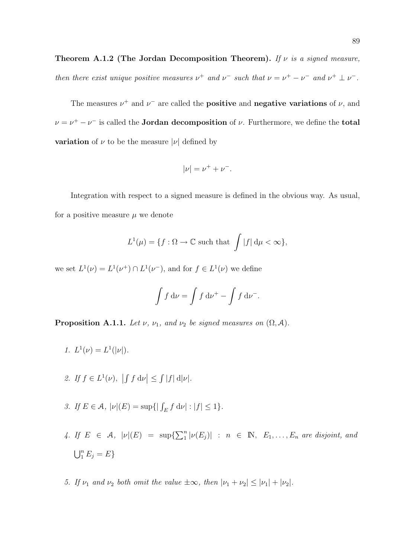The measures  $\nu^+$  and  $\nu^-$  are called the **positive** and **negative variations** of  $\nu$ , and  $\nu = \nu^+ - \nu^-$  is called the **Jordan decomposition** of  $\nu$ . Furthermore, we define the **total variation** of  $\nu$  to be the measure  $|\nu|$  defined by

$$
|\nu| = \nu^+ + \nu^-.
$$

Integration with respect to a signed measure is defined in the obvious way. As usual, for a positive measure  $\mu$  we denote

$$
L^{1}(\mu) = \{ f : \Omega \to \mathbb{C} \text{ such that } \int |f| d\mu < \infty \},
$$

we set  $L^1(\nu) = L^1(\nu^+) \cap L^1(\nu^-)$ , and for  $f \in L^1(\nu)$  we define

$$
\int f \, \mathrm{d}\nu = \int f \, \mathrm{d}\nu^+ - \int f \, \mathrm{d}\nu^-.
$$

**Proposition A.1.1.** Let  $\nu$ ,  $\nu_1$ , and  $\nu_2$  be signed measures on  $(\Omega, \mathcal{A})$ .

- 1.  $L^1(\nu) = L^1(|\nu|)$ .
- 2. If  $f \in L^1(\nu)$ ,  $\frac{1}{2}$  $f d\nu$  $|\leq|$  $|f|$  d| $\nu$ |.
- 3. If  $E \in \mathcal{A}$ ,  $|\nu|(E) = \sup\{|\int_E f \, d\nu| : |f| \le 1\}.$
- 4. If  $E \in \mathcal{A}$ ,  $|\nu|(E) = \sup\{\sum_{1}^{n}$  $\binom{n}{1} |\nu(E_j)|$  :  $n \in \mathbb{N}, E_1, \ldots, E_n$  are disjoint, and  $\mathsf{E}^n$  $_{1}^{n}E_{j}=E\}$
- 5. If  $\nu_1$  and  $\nu_2$  both omit the value  $\pm \infty$ , then  $|\nu_1 + \nu_2| \leq |\nu_1| + |\nu_2|$ .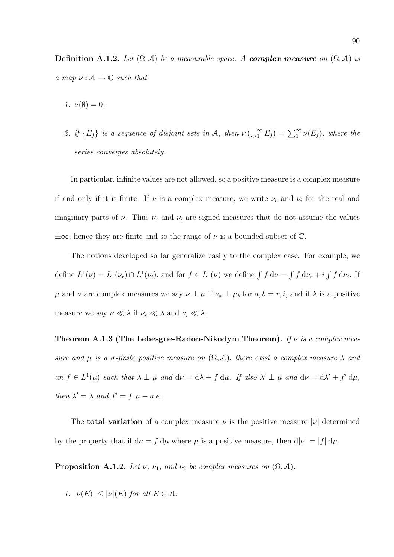Definition A.1.2. Let  $(\Omega, \mathcal{A})$  be a measurable space. A complex measure on  $(\Omega, \mathcal{A})$  is a map  $\nu : \mathcal{A} \to \mathbb{C}$  such that

- 1.  $\nu(\emptyset) = 0$ ,
- 2. if  ${E_j}$  is a sequence of disjoint sets in A, then  $\nu(\bigcup_{1}^{\infty} E_j) = \sum_{1}^{\infty} \nu(E_j)$ , where the series converges absolutely.

In particular, infinite values are not allowed, so a positive measure is a complex measure if and only if it is finite. If  $\nu$  is a complex measure, we write  $\nu_r$  and  $\nu_i$  for the real and imaginary parts of  $\nu$ . Thus  $\nu_r$  and  $\nu_i$  are signed measures that do not assume the values  $\pm\infty$ ; hence they are finite and so the range of  $\nu$  is a bounded subset of  $\mathbb{C}$ .

The notions developed so far generalize easily to the complex case. For example, we define  $L^1(\nu) = L^1(\nu_r) \cap L^1(\nu_i)$ , and for  $f \in L^1(\nu)$  we define  $\int f d\nu =$ R  $f \, \mathrm{d} \nu_r + i$ R  $f \, \mathrm{d} \nu_i$ . If  $\mu$  and  $\nu$  are complex measures we say  $\nu \perp \mu$  if  $\nu_a \perp \mu_b$  for  $a, b = r, i$ , and if  $\lambda$  is a positive measure we say  $\nu \ll \lambda$  if  $\nu_r \ll \lambda$  and  $\nu_i \ll \lambda$ .

Theorem A.1.3 (The Lebesgue-Radon-Nikodym Theorem). If  $\nu$  is a complex measure and  $\mu$  is a  $\sigma$ -finite positive measure on  $(\Omega, \mathcal{A})$ , there exist a complex measure  $\lambda$  and an  $f \in L^1(\mu)$  such that  $\lambda \perp \mu$  and  $d\nu = d\lambda + f d\mu$ . If also  $\lambda' \perp \mu$  and  $d\nu = d\lambda' + f' d\mu$ , then  $\lambda' = \lambda$  and  $f' = f \mu - a.e.$ 

The **total variation** of a complex measure  $\nu$  is the positive measure  $|\nu|$  determined by the property that if  $d\nu = f d\mu$  where  $\mu$  is a positive measure, then  $d|\nu| = |f| d\mu$ .

**Proposition A.1.2.** Let  $\nu$ ,  $\nu_1$ , and  $\nu_2$  be complex measures on  $(\Omega, \mathcal{A})$ .

1.  $|\nu(E)| \leq |\nu|(E)$  for all  $E \in \mathcal{A}$ .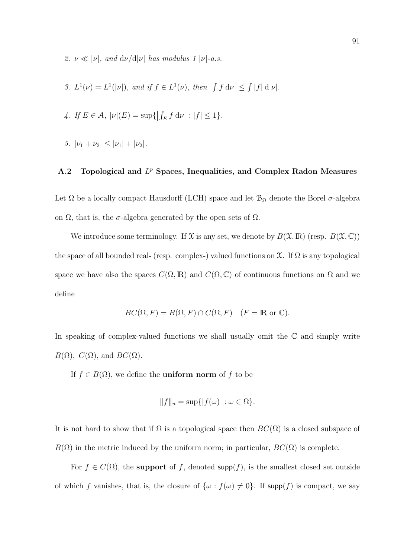- 2.  $\nu \ll |\nu|$ , and  $d\nu/d|\nu|$  has modulus 1  $|\nu|$ -a.s.
- 3.  $L^1(\nu) = L^1(|\nu|)$ , and if  $f \in L^1(\nu)$ , then  $\frac{1}{2}$  $f d\nu$  $|\leq$  $|f|$  d| $\nu$ |.
- 4. If  $E \in \mathcal{A}$ ,  $|\nu|(E) = \sup\{$  $\frac{1}{2}$  $\int_E f \, \mathrm{d} \nu$  $| : |f| \leq 1$ .
- 5.  $|\nu_1 + \nu_2| < |\nu_1| + |\nu_2|$ .

# A.2 Topological and  $L^p$  Spaces, Inequalities, and Complex Radon Measures

Let  $\Omega$  be a locally compact Hausdorff (LCH) space and let  $\mathcal{B}_{\Omega}$  denote the Borel  $\sigma$ -algebra on  $\Omega$ , that is, the  $\sigma$ -algebra generated by the open sets of  $\Omega$ .

We introduce some terminology. If  $\mathfrak X$  is any set, we denote by  $B(\mathfrak X,\mathbb R)$  (resp.  $B(\mathfrak X,\mathbb C)$ ) the space of all bounded real- (resp. complex-) valued functions on  $\mathfrak X$ . If  $\Omega$  is any topological space we have also the spaces  $C(\Omega,\mathbb{R})$  and  $C(\Omega,\mathbb{C})$  of continuous functions on  $\Omega$  and we define

$$
BC(\Omega, F) = B(\Omega, F) \cap C(\Omega, F) \quad (F = \mathbb{R} \text{ or } \mathbb{C}).
$$

In speaking of complex-valued functions we shall usually omit the  $\mathbb C$  and simply write  $B(\Omega)$ ,  $C(\Omega)$ , and  $BC(\Omega)$ .

If  $f \in B(\Omega)$ , we define the **uniform norm** of f to be

$$
||f||_u = \sup\{|f(\omega)| : \omega \in \Omega\}.
$$

It is not hard to show that if  $\Omega$  is a topological space then  $BC(\Omega)$  is a closed subspace of  $B(\Omega)$  in the metric induced by the uniform norm; in particular,  $BC(\Omega)$  is complete.

For  $f \in C(\Omega)$ , the **support** of f, denoted **supp**(f), is the smallest closed set outside of which f vanishes, that is, the closure of  $\{\omega : f(\omega) \neq 0\}$ . If supp(f) is compact, we say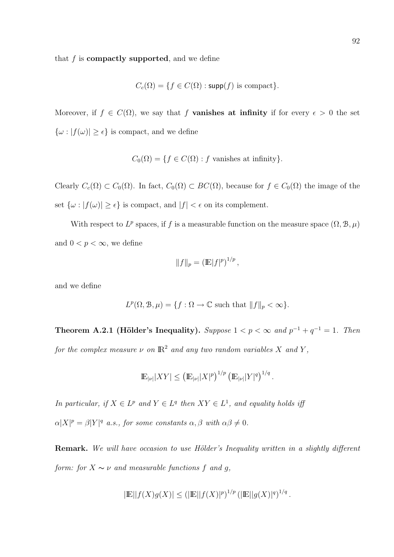that  $f$  is **compactly supported**, and we define

$$
C_c(\Omega) = \{ f \in C(\Omega) : \mathsf{supp}(f) \text{ is compact} \}.
$$

Moreover, if  $f \in C(\Omega)$ , we say that f **vanishes at infinity** if for every  $\epsilon > 0$  the set  $\{\omega : |f(\omega)| \geq \epsilon\}$  is compact, and we define

$$
C_0(\Omega) = \{ f \in C(\Omega) : f \text{ vanishes at infinity} \}.
$$

Clearly  $C_c(\Omega) \subset C_0(\Omega)$ . In fact,  $C_0(\Omega) \subset BC(\Omega)$ , because for  $f \in C_0(\Omega)$  the image of the set  $\{\omega : |f(\omega)| \ge \epsilon\}$  is compact, and  $|f| < \epsilon$  on its complement.

With respect to  $L^p$  spaces, if f is a measurable function on the measure space  $(\Omega, \mathcal{B}, \mu)$ and  $0 < p < \infty$ , we define

$$
||f||_p = (\mathbb{E}|f|^p)^{1/p},
$$

and we define

$$
L^p(\Omega, \mathcal{B}, \mu) = \{ f : \Omega \to \mathbb{C} \text{ such that } ||f||_p < \infty \}.
$$

Theorem A.2.1 (Hölder's Inequality). Suppose  $1 < p < \infty$  and  $p^{-1} + q^{-1} = 1$ . Then for the complex measure  $\nu$  on  $\mathbb{R}^2$  and any two random variables X and Y,

$$
\mathbb{E}_{|\nu|}|XY| \leq (\mathbb{E}_{|\nu|}|X|^p)^{1/p} (\mathbb{E}_{|\nu|}|Y|^q)^{1/q}.
$$

In particular, if  $X \in L^p$  and  $Y \in L^q$  then  $XY \in L^1$ , and equality holds iff  $\alpha |X|^p = \beta |Y|^q$  a.s., for some constants  $\alpha, \beta$  with  $\alpha \beta \neq 0$ .

Remark. We will have occasion to use Hölder's Inequality written in a slightly different form: for  $X \sim \nu$  and measurable functions f and g,

$$
|\mathbb{E}||f(X)g(X)| \le (|\mathbb{E}||f(X)|^p)^{1/p} (|\mathbb{E}||g(X)|^q)^{1/q}.
$$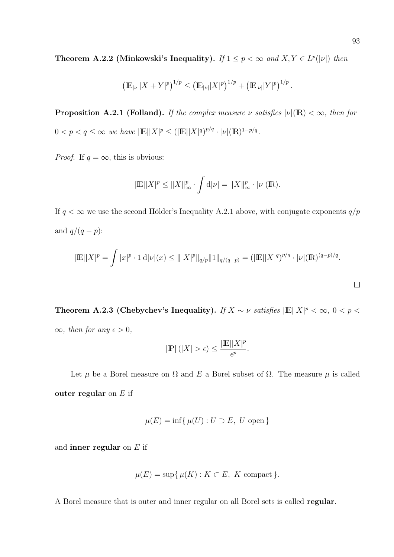**Theorem A.2.2** (Minkowski's Inequality). If  $1 \leq p < \infty$  and  $X, Y \in L^p(|\nu|)$  then

$$
\left(\mathbb{E}_{|\nu|}|X+Y|^p\right)^{1/p} \leq \left(\mathbb{E}_{|\nu|}|X|^p\right)^{1/p}+\left(\mathbb{E}_{|\nu|}|Y|^p\right)^{1/p}.
$$

**Proposition A.2.1 (Folland).** If the complex measure  $\nu$  satisfies  $|\nu|(\mathbb{R}) < \infty$ , then for  $0 < p < q \leq \infty$  we have  $|\mathbb{E}| |X|^p \leq (|\mathbb{E}| |X|^q)^{p/q} \cdot |\nu| (\mathbb{R})^{1-p/q}$ .

*Proof.* If  $q = \infty$ , this is obvious:

$$
|\mathbb{E}||X|^p \le ||X||_{\infty}^p \cdot \int d|\nu| = ||X||_{\infty}^p \cdot |\nu|(\mathbb{R}).
$$

If  $q<\infty$  we use the second Hölder's Inequality A.2.1 above, with conjugate exponents  $q/p$ and  $q/(q-p)$ :

$$
|\mathbb{E}||X|^p = \int |x|^p \cdot 1 \, d|\nu|(x) \le |||X|^p||_{q/p} ||1||_{q/(q-p)} = (|\mathbb{E}||X|^q)^{p/q} \cdot |\nu|(\mathbb{R})^{(q-p)/q}.
$$

Theorem A.2.3 (Chebychev's Inequality). If  $X \sim \nu$  satisfies  $\mathbb{E} \Vert X \Vert^p < \infty$ ,  $0 < p <$  $\infty$ , then for any  $\epsilon > 0$ ,

$$
|\mathbb{P}|(|X| > \epsilon) \le \frac{|\mathbb{E}||X|^p}{\epsilon^p}.
$$

Let  $\mu$  be a Borel measure on  $\Omega$  and E a Borel subset of  $\Omega$ . The measure  $\mu$  is called outer regular on  $E$  if

$$
\mu(E) = \inf \{ \mu(U) : U \supset E, \ U \text{ open} \}
$$

and inner regular on  $E$  if

$$
\mu(E) = \sup \{ \mu(K) : K \subset E, \ K \text{ compact} \}.
$$

A Borel measure that is outer and inner regular on all Borel sets is called regular.

 $\Box$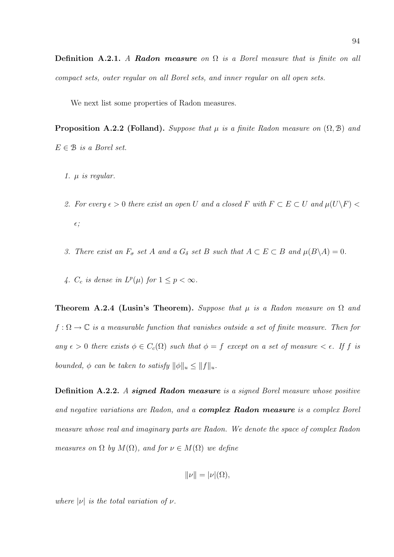We next list some properties of Radon measures.

**Proposition A.2.2 (Folland).** Suppose that  $\mu$  is a finite Radon measure on  $(\Omega, \mathcal{B})$  and  $E \in \mathcal{B}$  is a Borel set.

- 1.  $\mu$  is regular.
- 2. For every  $\epsilon > 0$  there exist an open U and a closed F with  $F \subset E \subset U$  and  $\mu(U \backslash F)$  $\epsilon$ ;
- 3. There exist an  $F_{\sigma}$  set A and a  $G_{\delta}$  set B such that  $A \subset E \subset B$  and  $\mu(B \backslash A) = 0$ .
- 4.  $C_c$  is dense in  $L^p(\mu)$  for  $1 \leq p < \infty$ .

Theorem A.2.4 (Lusin's Theorem). Suppose that  $\mu$  is a Radon measure on  $\Omega$  and  $f : \Omega \to \mathbb{C}$  is a measurable function that vanishes outside a set of finite measure. Then for any  $\epsilon > 0$  there exists  $\phi \in C_c(\Omega)$  such that  $\phi = f$  except on a set of measure  $\epsilon \in \epsilon$ . If f is bounded,  $\phi$  can be taken to satisfy  $\|\phi\|_u \leq \|f\|_u$ .

Definition A.2.2. A signed Radon measure is a signed Borel measure whose positive and negative variations are Radon, and a **complex Radon measure** is a complex Borel measure whose real and imaginary parts are Radon. We denote the space of complex Radon measures on  $\Omega$  by  $M(\Omega)$ , and for  $\nu \in M(\Omega)$  we define

$$
\|\nu\| = |\nu|(\Omega),
$$

where  $|\nu|$  is the total variation of  $\nu$ .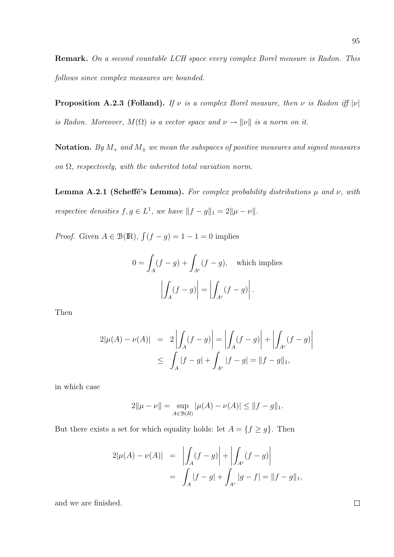Remark. On a second countable LCH space every complex Borel measure is Radon. This follows since complex measures are bounded.

**Proposition A.2.3 (Folland).** If  $\nu$  is a complex Borel measure, then  $\nu$  is Radon iff  $|\nu|$ is Radon. Moreover,  $M(\Omega)$  is a vector space and  $\nu \to ||\nu||$  is a norm on it.

Notation. By  $M_+$  and  $M_{\pm}$  we mean the subspaces of positive measures and signed measures on  $\Omega$ , respectively, with the inherited total variation norm.

Lemma A.2.1 (Scheffé's Lemma). For complex probability distributions  $\mu$  and  $\nu$ , with respective densities  $f, g \in L^1$ , we have  $||f - g||_1 = 2||\mu - \nu||$ .

*Proof.* Given  $A \in \mathcal{B}(\mathbb{R})$ ,  $\int (f - g) = 1 - 1 = 0$  implies

$$
0 = \int_A (f - g) + \int_{A^c} (f - g), \quad \text{which implies}
$$

$$
\left| \int_A (f - g) \right| = \left| \int_{A^c} (f - g) \right|.
$$

Then

$$
2|\mu(A) - \nu(A)| = 2\left| \int_A (f - g) \right| = \left| \int_A (f - g) \right| + \left| \int_{A^c} (f - g) \right|
$$
  
 
$$
\leq \int_A |f - g| + \int_{A^c} |f - g| = ||f - g||_1,
$$

in which case

$$
2\|\mu - \nu\| = \sup_{A \in \mathcal{B}(R)} |\mu(A) - \nu(A)| \le \|f - g\|_1.
$$

But there exists a set for which equality holds: let  $A = \{f \ge g\}$ . Then

$$
2|\mu(A) - \nu(A)| = \left| \int_A (f - g) \right| + \left| \int_{A^c} (f - g) \right|
$$
  
= 
$$
\int_A |f - g| + \int_{A^c} |g - f| = ||f - g||_1,
$$

and we are finished.

 $\Box$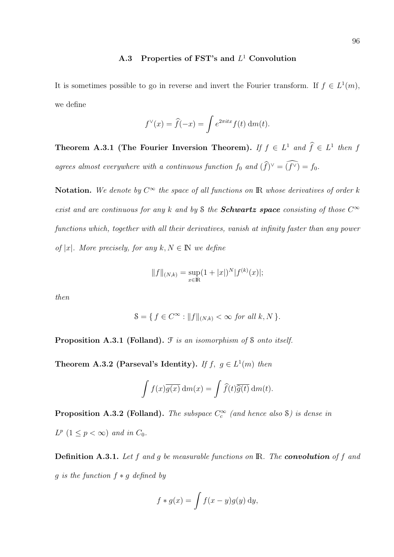# A.3 Properties of FST's and  $L^1$  Convolution

It is sometimes possible to go in reverse and invert the Fourier transform. If  $f \in L^1(m)$ , we define

$$
f^{\vee}(x) = \hat{f}(-x) = \int e^{2\pi i t x} f(t) \, \mathrm{d}m(t).
$$

Theorem A.3.1 (The Fourier Inversion Theorem). If  $f \in L^1$  and  $\widehat{f} \in L^1$  then f agrees almost everywhere with a continuous function  $f_0$  and  $(\widehat{f})^{\vee} = (\widehat{f^{\vee}}) = f_0$ .

**Notation.** We denote by  $C^{\infty}$  the space of all functions on **R** whose derivatives of order k exist and are continuous for any k and by S the **Schwartz space** consisting of those  $C^{\infty}$ functions which, together with all their derivatives, vanish at infinity faster than any power of |x|. More precisely, for any  $k, N \in \mathbb{N}$  we define

$$
||f||_{(N,k)} = \sup_{x \in \mathbb{R}} (1 + |x|)^N |f^{(k)}(x)|;
$$

then

$$
\mathcal{S} = \{ f \in C^{\infty} : ||f||_{(N,k)} < \infty \text{ for all } k, N \}.
$$

Proposition A.3.1 (Folland).  $\mathcal F$  is an isomorphism of  $\mathcal S$  onto itself.

Theorem A.3.2 (Parseval's Identity). If  $f, g \in L^1(m)$  then

$$
\int f(x)\overline{g(x)} \,dm(x) = \int \widehat{f}(t)\overline{\widehat{g}(t)} \,dm(t).
$$

**Proposition A.3.2 (Folland).** The subspace  $C_c^{\infty}$  (and hence also S) is dense in  $L^p$   $(1 \leq p < \infty)$  and in  $C_0$ .

**Definition A.3.1.** Let f and g be measurable functions on  $\mathbb{R}$ . The **convolution** of f and g is the function  $f * g$  defined by

$$
f * g(x) = \int f(x - y)g(y) \, dy,
$$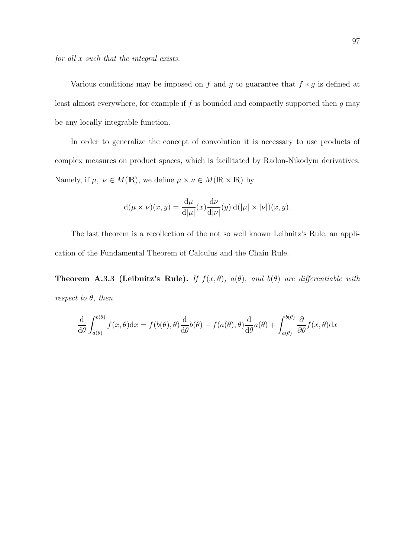Various conditions may be imposed on  $f$  and  $g$  to guarantee that  $f * g$  is defined at least almost everywhere, for example if  $f$  is bounded and compactly supported then  $g$  may be any locally integrable function.

In order to generalize the concept of convolution it is necessary to use products of complex measures on product spaces, which is facilitated by Radon-Nikodym derivatives. Namely, if  $\mu, \nu \in M(\mathbb{R})$ , we define  $\mu \times \nu \in M(\mathbb{R} \times \mathbb{R})$  by

$$
d(\mu \times \nu)(x, y) = \frac{d\mu}{d|\mu|}(x) \frac{d\nu}{d|\nu|}(y) d(|\mu| \times |\nu|)(x, y).
$$

The last theorem is a recollection of the not so well known Leibnitz's Rule, an application of the Fundamental Theorem of Calculus and the Chain Rule.

Theorem A.3.3 (Leibnitz's Rule). If  $f(x, \theta)$ ,  $a(\theta)$ , and  $b(\theta)$  are differentiable with respect to  $\theta$ , then

$$
\frac{\mathrm{d}}{\mathrm{d}\theta} \int_{a(\theta)}^{b(\theta)} f(x,\theta) \mathrm{d}x = f(b(\theta),\theta) \frac{\mathrm{d}}{\mathrm{d}\theta} b(\theta) - f(a(\theta),\theta) \frac{\mathrm{d}}{\mathrm{d}\theta} a(\theta) + \int_{a(\theta)}^{b(\theta)} \frac{\partial}{\partial \theta} f(x,\theta) \mathrm{d}x
$$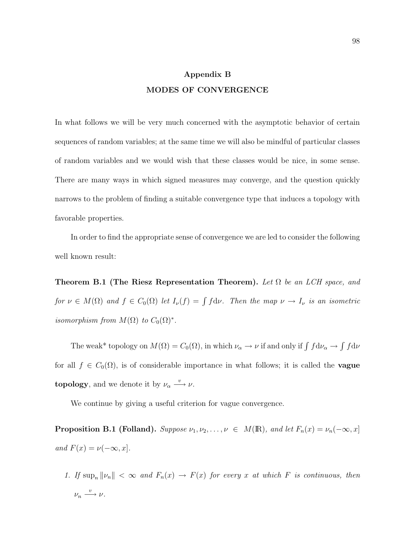# Appendix B MODES OF CONVERGENCE

In what follows we will be very much concerned with the asymptotic behavior of certain sequences of random variables; at the same time we will also be mindful of particular classes of random variables and we would wish that these classes would be nice, in some sense. There are many ways in which signed measures may converge, and the question quickly narrows to the problem of finding a suitable convergence type that induces a topology with favorable properties.

In order to find the appropriate sense of convergence we are led to consider the following well known result:

Theorem B.1 (The Riesz Representation Theorem). Let  $\Omega$  be an LCH space, and for  $\nu \in M(\Omega)$  and  $f \in C_0(\Omega)$  let  $I_{\nu}(f) = \int f d\nu$ . Then the map  $\nu \to I_{\nu}$  is an isometric isomorphism from  $M(\Omega)$  to  $C_0(\Omega)^*$ .

The weak\* topology on  $M(\Omega) = C_0(\Omega)$ , in which  $\nu_\alpha \to \nu$  if and only if  $\int f d\nu_\alpha \to$ R  $f d\nu$ for all  $f \in C_0(\Omega)$ , is of considerable importance in what follows; it is called the **vague topology**, and we denote it by  $\nu_{\alpha} \xrightarrow{v} \nu$ .

We continue by giving a useful criterion for vague convergence.

**Proposition B.1 (Folland).** Suppose  $\nu_1, \nu_2, \ldots, \nu \in M(\mathbb{R})$ , and let  $F_n(x) = \nu_n(-\infty, x]$ and  $F(x) = \nu(-\infty, x]$ .

1. If  $\sup_n ||\nu_n|| < \infty$  and  $F_n(x) \to F(x)$  for every x at which F is continuous, then  $\nu_n \stackrel{v}{\longrightarrow} \nu.$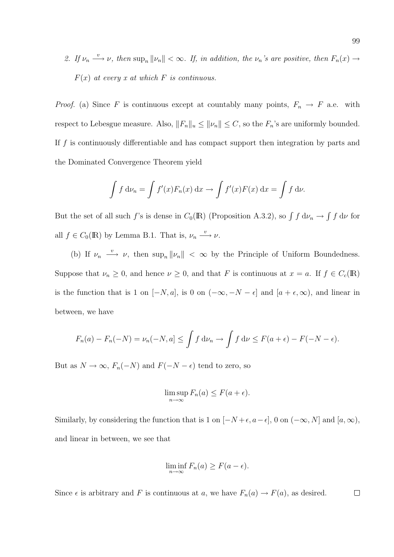2. If  $\nu_n \stackrel{v}{\longrightarrow} \nu$ , then  $\sup_n ||\nu_n|| < \infty$ . If, in addition, the  $\nu_n$ 's are positive, then  $F_n(x) \rightarrow$  $F(x)$  at every x at which F is continuous.

*Proof.* (a) Since F is continuous except at countably many points,  $F_n \to F$  a.e. with respect to Lebesgue measure. Also,  $||F_n||_u \le ||\nu_n|| \le C$ , so the  $F_n$ 's are uniformly bounded. If  $f$  is continuously differentiable and has compact support then integration by parts and the Dominated Convergence Theorem yield

$$
\int f d\nu_n = \int f'(x) F_n(x) dx \to \int f'(x) F(x) dx = \int f d\nu.
$$

But the set of all such f's is dense in  $C_0(\mathbb{R})$  (Proposition A.3.2), so  $\int f d\nu_n \to$ R  $f \, \mathrm{d} \nu$  for all  $f \in C_0(\mathbb{R})$  by Lemma B.1. That is,  $\nu_n \xrightarrow{v} \nu$ .

(b) If  $\nu_n \stackrel{v}{\longrightarrow} \nu$ , then  $\sup_n ||\nu_n|| < \infty$  by the Principle of Uniform Boundedness. Suppose that  $\nu_n \geq 0$ , and hence  $\nu \geq 0$ , and that F is continuous at  $x = a$ . If  $f \in C_c(\mathbb{R})$ is the function that is 1 on  $[-N, a]$ , is 0 on  $(-\infty, -N - \epsilon]$  and  $[a + \epsilon, \infty)$ , and linear in between, we have

$$
F_n(a) - F_n(-N) = \nu_n(-N, a] \le \int f \, d\nu_n \to \int f \, d\nu \le F(a + \epsilon) - F(-N - \epsilon).
$$

But as  $N \to \infty$ ,  $F_n(-N)$  and  $F(-N - \epsilon)$  tend to zero, so

$$
\limsup_{n \to \infty} F_n(a) \le F(a + \epsilon).
$$

Similarly, by considering the function that is 1 on  $[-N+\epsilon, a-\epsilon]$ , 0 on  $(-\infty, N]$  and  $[a, \infty)$ , and linear in between, we see that

$$
\liminf_{n \to \infty} F_n(a) \ge F(a - \epsilon).
$$

Since  $\epsilon$  is arbitrary and F is continuous at a, we have  $F_n(a) \to F(a)$ , as desired.  $\Box$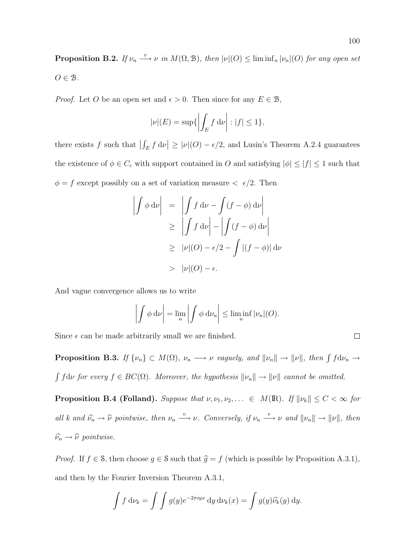**Proposition B.2.** If  $\nu_n \stackrel{v}{\longrightarrow} \nu$  in  $M(\Omega, \mathcal{B})$ , then  $|\nu|(O) \leq \liminf_n |\nu_n|(O)$  for any open set  $O \in \mathcal{B}$ .

*Proof.* Let O be an open set and  $\epsilon > 0$ . Then since for any  $E \in \mathcal{B}$ ,

$$
|\nu|(E) = \sup\{\left|\int_E f \, \mathrm{d}\nu\right| : |f| \le 1\},\
$$

there exists  $f$  such that  $\frac{1}{2}$  $\int_E f \, \mathrm{d} \nu$  $\vert \geq \vert \nu \vert (O) - \epsilon/2$ , and Lusin's Theorem A.2.4 guarantees the existence of  $\phi \in C_c$  with support contained in O and satisfying  $|\phi| \leq |f| \leq 1$  such that  $\phi = f$  except possibly on a set of variation measure  $\langle \epsilon/2 \rangle$ . Then

$$
\left| \int \phi \, \mathrm{d} \nu \right| = \left| \int f \, \mathrm{d} \nu - \int (f - \phi) \, \mathrm{d} \nu \right|
$$
  
\n
$$
\geq \left| \int f \, \mathrm{d} \nu \right| - \left| \int (f - \phi) \, \mathrm{d} \nu \right|
$$
  
\n
$$
\geq |\nu|(O) - \epsilon/2 - \int |(f - \phi)| \, \mathrm{d} \nu
$$
  
\n
$$
> |\nu|(O) - \epsilon.
$$

And vague convergence allows us to write

$$
\left| \int \phi \, \mathrm{d}\nu \right| = \lim_{n} \left| \int \phi \, \mathrm{d}\nu_n \right| \leq \liminf_{n} |\nu_n| (O).
$$

Since  $\epsilon$  can be made arbitrarily small we are finished.

**Proposition B.3.** If  $\{\nu_n\} \subset M(\Omega)$ ,  $\nu_n \longrightarrow \nu$  vaguely, and  $\|\nu_n\| \longrightarrow \|\nu\|$ , then  $\int f d\nu_n \longrightarrow \nu$ R  $fd\nu$  for every  $f \in BC(\Omega)$ . Moreover, the hypothesis  $\|\nu_n\| \to \|\nu\|$  cannot be omitted.

**Proposition B.4 (Folland).** Suppose that  $\nu, \nu_1, \nu_2, \ldots \in M(\mathbb{R})$ . If  $\|\nu_k\| \leq C < \infty$  for all k and  $\hat{\nu_n} \to \hat{\nu}$  pointwise, then  $\nu_n \stackrel{v}{\longrightarrow} \nu$ . Conversely, if  $\nu_n \stackrel{v}{\longrightarrow} \nu$  and  $||\nu_n|| \to ||\nu||$ , then  $\widehat{\nu_n} \to \widehat{\nu}$  pointwise.

*Proof.* If  $f \in \mathcal{S}$ , then choose  $g \in \mathcal{S}$  such that  $\hat{g} = f$  (which is possible by Proposition A.3.1), and then by the Fourier Inversion Theorem A.3.1,

$$
\int f d\nu_k = \int \int g(y)e^{-2\pi iyx} dy d\nu_k(x) = \int g(y)\widehat{\nu_k}(y) dy.
$$

 $\Box$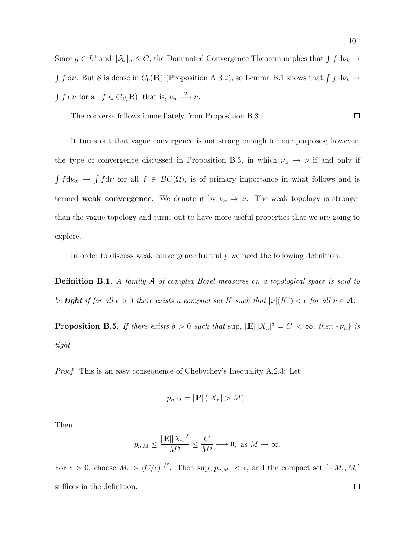Since  $g \in L^1$  and  $\|\widehat{\nu}_k\|_u \leq C$ , the Dominated Convergence Theorem implies that  $\int f d\nu_k \to$  $\int f d\nu$ . But S is dense in  $C_0(\mathbb{R})$  (Proposition A.3.2), so Lemma B.1 shows that  $\int f d\nu_k \to$ R  $f \, \mathrm{d}\nu$  for all  $f \in C_0(\mathbb{R})$ , that is,  $\nu_n \xrightarrow{v} \nu$ .

The converse follows immediately from Proposition B.3.  $\Box$ 

It turns out that vague convergence is not strong enough for our purposes; however, the type of convergence discussed in Proposition B.3, in which  $\nu_{\alpha} \to \nu$  if and only if R  $f d\nu_{\alpha} \rightarrow$ R  $fd\nu$  for all  $f \in BC(\Omega)$ , is of primary importance in what follows and is termed weak convergence. We denote it by  $\nu_{\alpha} \Rightarrow \nu$ . The weak topology is stronger than the vague topology and turns out to have more useful properties that we are going to explore.

In order to discuss weak convergence fruitfully we need the following definition.

Definition B.1. A family A of complex Borel measures on a topological space is said to be **tight** if for all  $\epsilon > 0$  there exists a compact set K such that  $|\nu|(K^c) < \epsilon$  for all  $\nu \in \mathcal{A}$ .

**Proposition B.5.** If there exists  $\delta > 0$  such that  $\sup_n |\mathbb{E}| |X_n|^\delta = C < \infty$ , then  $\{\nu_n\}$  is tight.

Proof. This is an easy consequence of Chebychev's Inequality A.2.3: Let

$$
p_{n,M} = |\mathbb{P}| (|X_n| > M).
$$

Then

$$
p_{n,M} \le \frac{|\mathbb{E}||X_n|^{\delta}}{M^{\delta}} \le \frac{C}{M^{\delta}} \longrightarrow 0, \text{ as } M \to \infty.
$$

For  $\epsilon > 0$ , choose  $M_{\epsilon} > (C/\epsilon)^{1/\delta}$ . Then  $\sup_n p_{n,M_{\epsilon}} < \epsilon$ , and the compact set  $[-M_{\epsilon}, M_{\epsilon}]$ suffices in the definition. $\Box$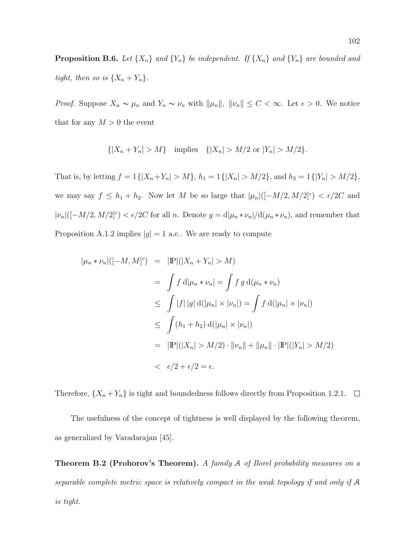**Proposition B.6.** Let  $\{X_n\}$  and  $\{Y_n\}$  be independent. If  $\{X_n\}$  and  $\{Y_n\}$  are bounded and tight, then so is  $\{X_n + Y_n\}.$ 

*Proof.* Suppose  $X_n \sim \mu_n$  and  $Y_n \sim \nu_n$  with  $\|\mu_n\|$ ,  $\|\nu_n\| \leq C < \infty$ . Let  $\epsilon > 0$ . We notice that for any  $M > 0$  the event

$$
\{|X_n + Y_n| > M\} \quad \text{implies} \quad \{|X_n| > M/2 \text{ or } |Y_n| > M/2\}.
$$

That is, by letting  $f = 1\{|X_n + Y_n| > M\}$ ,  $h_1 = 1\{|X_n| > M/2\}$ , and  $h_2 = 1\{|Y_n| > M/2\}$ , we may say  $f \leq h_1 + h_2$ . Now let M be so large that  $|\mu_n|([-M/2, M/2]^c) < \epsilon/2C$  and  $|\nu_n|([-M/2, M/2]^c) < \epsilon/2C$  for all n. Denote  $g = d|\mu_n * \nu_n|/d(\mu_n * \nu_n)$ , and remember that Proposition A.1.2 implies  $|g| = 1$  a.e.. We are ready to compute

$$
|\mu_n * \nu_n|([-M, M]^c) = |\mathbb{P}|(|X_n + Y_n| > M)
$$
  
=  $\int f d|\mu_n * \nu_n| = \int f g d(\mu_n * \nu_n)$   
 $\leq \int |f| |g| d(|\mu_n| \times |\nu_n|) = \int f d(|\mu_n| \times |\nu_n|)$   
 $\leq \int (h_1 + h_2) d(|\mu_n| \times |\nu_n|)$   
=  $|\mathbb{P}|(|X_n| > M/2) \cdot ||\nu_n|| + ||\mu_n|| \cdot |\mathbb{P}|(|Y_n| > M/2)$   
 $< \epsilon/2 + \epsilon/2 = \epsilon.$ 

Therefore,  $\{X_n + Y_n\}$  is tight and boundedness follows directly from Proposition 1.2.1.  $\Box$ 

The usefulness of the concept of tightness is well displayed by the following theorem, as generalized by Varadarajan [45].

Theorem B.2 (Prohorov's Theorem). A family A of Borel probability measures on a separable complete metric space is relatively compact in the weak topology if and only if A is tight.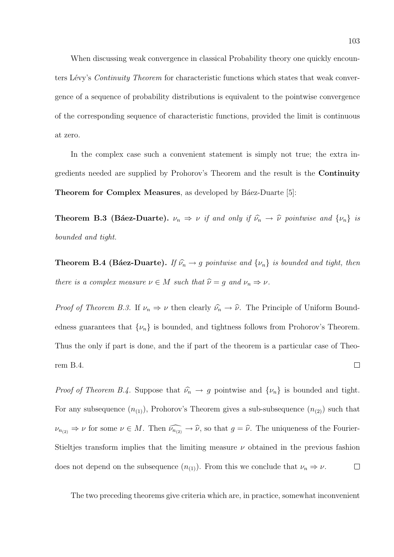When discussing weak convergence in classical Probability theory one quickly encounters Lévy's *Continuity Theorem* for characteristic functions which states that weak convergence of a sequence of probability distributions is equivalent to the pointwise convergence of the corresponding sequence of characteristic functions, provided the limit is continuous at zero.

In the complex case such a convenient statement is simply not true; the extra ingredients needed are supplied by Prohorov's Theorem and the result is the Continuity **Theorem for Complex Measures**, as developed by Báez-Duarte [5]:

**Theorem B.3 (Báez-Duarte).**  $\nu_n \Rightarrow \nu$  if and only if  $\hat{\nu}_n \rightarrow \hat{\nu}$  pointwise and  $\{\nu_n\}$  is bounded and tight.

**Theorem B.4 (Báez-Duarte).** If  $\hat{\nu_n} \rightarrow g$  pointwise and  $\{\nu_n\}$  is bounded and tight, then there is a complex measure  $\nu \in M$  such that  $\widehat{\nu} = g$  and  $\nu_n \Rightarrow \nu$ .

*Proof of Theorem B.3.* If  $\nu_n \Rightarrow \nu$  then clearly  $\widehat{\nu}_n \rightarrow \widehat{\nu}$ . The Principle of Uniform Boundedness guarantees that  $\{\nu_n\}$  is bounded, and tightness follows from Prohorov's Theorem. Thus the only if part is done, and the if part of the theorem is a particular case of Theorem B.4.  $\Box$ 

*Proof of Theorem B.4.* Suppose that  $\widehat{\nu_n} \to g$  pointwise and  $\{\nu_n\}$  is bounded and tight. For any subsequence  $(n_{(1)})$ , Prohorov's Theorem gives a sub-subsequence  $(n_{(2)})$  such that  $\nu_{n_{(2)}} \Rightarrow \nu$  for some  $\nu \in M$ . Then  $\widehat{\nu_{n_{(2)}} \to \widehat{\nu}}$ , so that  $g = \widehat{\nu}$ . The uniqueness of the Fourier-Stieltjes transform implies that the limiting measure  $\nu$  obtained in the previous fashion does not depend on the subsequence  $(n_{(1)})$ . From this we conclude that  $\nu_n \Rightarrow \nu$ .  $\Box$ 

The two preceding theorems give criteria which are, in practice, somewhat inconvenient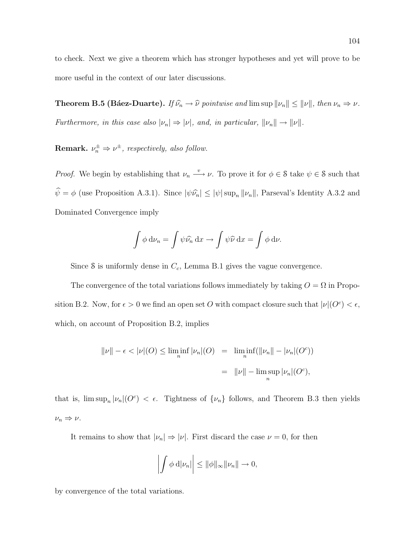to check. Next we give a theorem which has stronger hypotheses and yet will prove to be more useful in the context of our later discussions.

**Theorem B.5 (Báez-Duarte).** If  $\hat{\nu_n} \to \hat{\nu}$  pointwise and lim sup  $\|\nu_n\| \le \|\nu\|$ , then  $\nu_n \Rightarrow \nu$ . Furthermore, in this case also  $|\nu_n| \Rightarrow |\nu|$ , and, in particular,  $||\nu_n|| \rightarrow ||\nu||$ .

**Remark.**  $\nu_n^{\pm} \Rightarrow \nu^{\pm}$ , respectively, also follow.

*Proof.* We begin by establishing that  $\nu_n \stackrel{v}{\longrightarrow} \nu$ . To prove it for  $\phi \in \mathcal{S}$  take  $\psi \in \mathcal{S}$  such that  $\hat{\psi} = \phi$  (use Proposition A.3.1). Since  $|\psi \hat{\nu_n}| \le |\psi| \sup_n ||\nu_n||$ , Parseval's Identity A.3.2 and Dominated Convergence imply

$$
\int \phi \, \mathrm{d}\nu_n = \int \psi \widehat{\nu_n} \, \mathrm{d}x \to \int \psi \widehat{\nu} \, \mathrm{d}x = \int \phi \, \mathrm{d}\nu.
$$

Since  $\delta$  is uniformly dense in  $C_c$ , Lemma B.1 gives the vague convergence.

The convergence of the total variations follows immediately by taking  $O = \Omega$  in Proposition B.2. Now, for  $\epsilon > 0$  we find an open set O with compact closure such that  $|\nu|(O^c) < \epsilon$ , which, on account of Proposition B.2, implies

$$
||\nu|| - \epsilon < |\nu|(O) \le \liminf_{n} |\nu_n|(O) = \liminf_{n} (||\nu_n|| - |\nu_n|(O^c))
$$
  

$$
= ||\nu|| - \limsup_{n} |\nu_n|(O^c),
$$

that is,  $\limsup_n |\nu_n|(O^c) < \epsilon$ . Tightness of  $\{\nu_n\}$  follows, and Theorem B.3 then yields  $\nu_n \Rightarrow \nu.$ 

It remains to show that  $|\nu_n| \Rightarrow |\nu|$ . First discard the case  $\nu = 0$ , for then

$$
\left| \int \phi \, \mathrm{d} |\nu_n| \right| \leq ||\phi||_{\infty} ||\nu_n|| \to 0,
$$

by convergence of the total variations.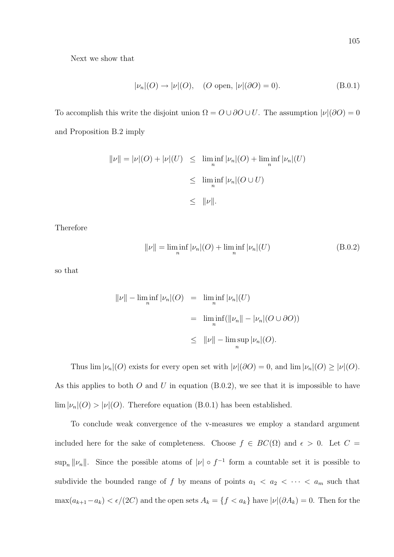Next we show that

$$
|\nu_n|(O) \to |\nu|(O), \quad (O \text{ open}, |\nu|(\partial O) = 0). \tag{B.0.1}
$$

To accomplish this write the disjoint union  $\Omega = O \cup \partial O \cup U$ . The assumption  $|\nu|(\partial O) = 0$ and Proposition B.2 imply

$$
||\nu|| = |\nu|(O) + |\nu|(U) \le \liminf_{n} |\nu_n|(O) + \liminf_{n} |\nu_n|(U)
$$
  

$$
\le \liminf_{n} |\nu_n|(O \cup U)
$$
  

$$
\le ||\nu||.
$$

Therefore

$$
\|\nu\| = \liminf_{n} |\nu_n|(O) + \liminf_{n} |\nu_n|(U)
$$
\n(B.0.2)

so that

$$
\|\nu\| - \liminf_{n} |\nu_n|(O) = \liminf_{n} |\nu_n|(U)
$$
  

$$
= \liminf_{n} (||\nu_n|| - |\nu_n|(O \cup \partial O))
$$
  

$$
\leq ||\nu|| - \limsup_{n} |\nu_n|(O).
$$

Thus  $\lim |\nu_n|(O)$  exists for every open set with  $|\nu|(\partial O) = 0$ , and  $\lim |\nu_n|(O) \ge |\nu|(O)$ . As this applies to both  $O$  and  $U$  in equation (B.0.2), we see that it is impossible to have  $\lim |\nu_n|(O) > |\nu|(O)$ . Therefore equation (B.0.1) has been established.

To conclude weak convergence of the v-measures we employ a standard argument included here for the sake of completeness. Choose  $f \in BC(\Omega)$  and  $\epsilon > 0$ . Let  $C =$  $\sup_n ||\nu_n||$ . Since the possible atoms of  $|\nu| \circ f^{-1}$  form a countable set it is possible to subdivide the bounded range of f by means of points  $a_1 < a_2 < \cdots < a_m$  such that  $\max(a_{k+1}-a_k) < \epsilon/(2C)$  and the open sets  $A_k = \{f < a_k\}$  have  $|\nu|(\partial A_k) = 0$ . Then for the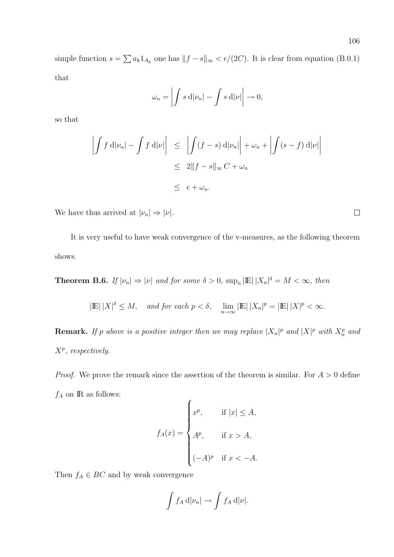simple function  $s = \sum a_k 1_{A_k}$  one has  $||f - s||_{\infty} < \epsilon/(2C)$ . It is clear from equation (B.0.1) that

$$
\omega_n = \left| \int s \, \mathrm{d} |\nu_n| - \int s \, \mathrm{d} |\nu| \right| \to 0,
$$

so that

$$
\left| \int f d|\nu_n| - \int f d|\nu| \right| \leq \left| \int (f - s) d|\nu_n| \right| + \omega_n + \left| \int (s - f) d|\nu| \right|
$$
  

$$
\leq 2 \|f - s\|_{\infty} C + \omega_n
$$
  

$$
\leq \epsilon + \omega_n.
$$

We have thus arrived at  $|\nu_n| \Rightarrow |\nu|$ .

It is very useful to have weak convergence of the v-measures, as the following theorem shows.

**Theorem B.6.** If  $|\nu_n| \Rightarrow |\nu|$  and for some  $\delta > 0$ ,  $\sup_n |E| |X_n|^{\delta} = M < \infty$ , then

$$
|\mathbb{E}| |X|^{\delta} \leq M
$$
, and for each  $p < \delta$ ,  $\lim_{n \to \infty} |\mathbb{E}| |X_n|^p = |\mathbb{E}| |X|^p < \infty$ .

**Remark.** If p above is a positive integer then we may replace  $|X_n|^p$  and  $|X|^p$  with  $X_n^p$  and  $X^p$ , respectively.

*Proof.* We prove the remark since the assertion of the theorem is similar. For  $A > 0$  define  $f_A$  on  ${\rm I\!R}$  as follows:

$$
f_A(x) = \begin{cases} x^p, & \text{if } |x| \le A, \\ A^p, & \text{if } x > A, \\ (-A)^p & \text{if } x < -A. \end{cases}
$$

Then  $f_A \in BC$  and by weak convergence

$$
\int f_A \, \mathrm{d} |\nu_n| \to \int f_A \, \mathrm{d} |\nu|.
$$

 $\Box$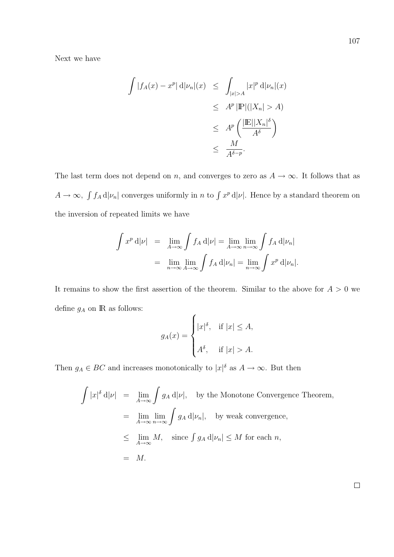Next we have

$$
\int |f_A(x) - x^p| \, d|\nu_n|(x) \leq \int_{|x| > A} |x|^p \, d|\nu_n|(x)
$$
  
\n
$$
\leq A^p |\mathbb{P}|(|X_n| > A)
$$
  
\n
$$
\leq A^p \left( \frac{|\mathbb{E}| |X_n|^{\delta}}{A^{\delta}} \right)
$$
  
\n
$$
\leq \frac{M}{A^{\delta - p}}.
$$

The last term does not depend on n, and converges to zero as  $A \to \infty$ . It follows that as  $A \rightarrow \infty$ ,  $\int f_A d|\nu_n|$  converges uniformly in n to  $\int x^p d|\nu|$ . Hence by a standard theorem on the inversion of repeated limits we have

$$
\int x^p \, \mathrm{d}|\nu| = \lim_{A \to \infty} \int f_A \, \mathrm{d}|\nu| = \lim_{A \to \infty} \lim_{n \to \infty} \int f_A \, \mathrm{d}|\nu_n|
$$

$$
= \lim_{n \to \infty} \lim_{A \to \infty} \int f_A \, \mathrm{d}|\nu_n| = \lim_{n \to \infty} \int x^p \, \mathrm{d}|\nu_n|.
$$

It remains to show the first assertion of the theorem. Similar to the above for  $A > 0$  we define  $g_A$  on  ${\rm I\!R}$  as follows:  $\overline{a}$ 

$$
g_A(x) = \begin{cases} |x|^{\delta}, & \text{if } |x| \leq A, \\ A^{\delta}, & \text{if } |x| > A. \end{cases}
$$

Then  $g_A \in BC$  and increases monotonically to  $|x|^\delta$  as  $A \to \infty$ . But then

$$
\int |x|^{\delta} d|\nu| = \lim_{A \to \infty} \int g_A d|\nu|, \text{ by the Monotone Convergence Theorem,}
$$
  
= 
$$
\lim_{A \to \infty} \lim_{n \to \infty} \int g_A d|\nu_n|, \text{ by weak convergence,}
$$
  

$$
\leq \lim_{A \to \infty} M, \text{ since } \int g_A d|\nu_n| \leq M \text{ for each } n,
$$
  
= 
$$
M.
$$

 $\Box$